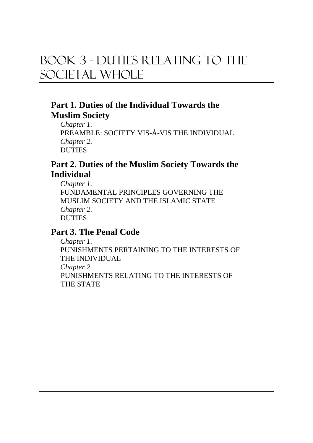# BOOK 3 - DUTIES RELATING TO THE SOCIETAL WHOLE

## **Part 1. Duties of the Individual Towards the Muslim Society**

*Chapter 1.*  PREAMBLE: SOCIETY VIS-À-VIS THE INDIVIDUAL *Chapter 2.*  **DUTIES** 

## **Part 2. Duties of the Muslim Society Towards the Individual**

*Chapter 1.*  FUNDAMENTAL PRINCIPLES GOVERNING THE MUSLIM SOCIETY AND THE ISLAMIC STATE *Chapter 2.*  DUTIES

## **Part 3. The Penal Code**

*Chapter 1.*  PUNISHMENTS PERTAINING TO THE INTERESTS OF THE INDIVIDUAL *Chapter 2.*  PUNISHMENTS RELATING TO THE INTERESTS OF THE STATE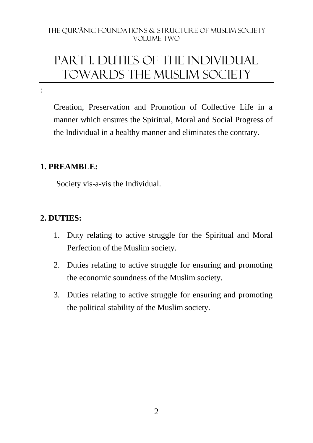# PART 1. DUTIES OF THE INDIVIDUAL TOWARDS THE MUSLIM SOCIETY

Creation, Preservation and Promotion of Collective Life in a manner which ensures the Spiritual, Moral and Social Progress of the Individual in a healthy manner and eliminates the contrary.

### **1. PREAMBLE:**

*:* 

Society vis-a-vis the Individual.

## **2. DUTIES:**

- 1. Duty relating to active struggle for the Spiritual and Moral Perfection of the Muslim society.
- 2. Duties relating to active struggle for ensuring and promoting the economic soundness of the Muslim society.
- 3. Duties relating to active struggle for ensuring and promoting the political stability of the Muslim society.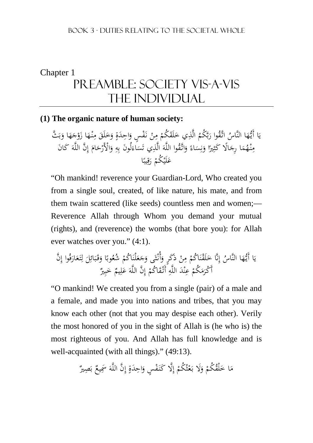## Chapter 1 PREAMBLE: SOCIETY VIS-A-VIS THE INDIVIDUAL

### **(1) The organic nature of human society:**

ا ي ا ه أَيـُ الناس وا ُ اتـق ُ ُكم ر يال ذ َ ُكم َق ل ْ خ ن ْ م ٍس ِ َف ٍ نـ ة د احِ و َق ل خ و ا ْه ِنـ م ا ه ْج َو ز ث و يا<br>. ہ<br>. بز<br>با َ ِ ْ َ َ و<br>ڊ ِّبَّ َ َ َ َ َ ب<br>۔ ب َ مِنْهُمَا رِجَالًا كَثِيرًا وَنِسَاءً وَاتَّقُوا اللَّهَ الَّذِي تَسَاءَلُونَ بِهِ وَالْأَرْحَامَ إِنَّ اللَّهَ كَانَ  $\ddot{\phantom{0}}$ ً ; ً </sub> ٍ<br>با :<br>بر َ َ **ء**<br>. ِ </sub>  $\ddot{\phantom{0}}$ ِ<br>ٍ ِ َ َ َ ا ً<br>م <sup> $\mathbf$ </sup> عَلَيْكُمْ رَقِيبًا ْ َ ً ِ َ

"Oh mankind! reverence your Guardian-Lord, Who created you from a single soul, created, of like nature, his mate, and from them twain scattered (like seeds) countless men and women;— Reverence Allah through Whom you demand your mutual (rights), and (reverence) the wombs (that bore you): for Allah ever watches over you." (4:1).

ا َ ي ا َ ه أَيـ ُ ِ الناس ا ن إ ْ اكم ُ َ ن ْ َق ل َ ْ خ ن ِ ذََك ى م ٍر َ ث ْ أُنـَ و ْ اكم ُ َ لْن َ ع َ ج َ و ا ً وب ُ ُشع َ ل ِ ائ َ ب َ قـ َ ُوا و ف َ ار َ ع َ ل ن ِتـ ِ إ ْ ُكم َ م َ ْ َد ْ أَكر ن عِ ِ الله ْ اكم ُ َ ِ أَتـ ن ْق إ َ الله ٌ يم ِ ل َ ع ٌ ِير ب َ خ

"O mankind! We created you from a single (pair) of a male and a female, and made you into nations and tribes, that you may know each other (not that you may despise each other). Verily the most honored of you in the sight of Allah is (he who is) the most righteous of you. And Allah has full knowledge and is well-acquainted (with all things)." (49:13).

ا َ م ْ ُ ُكم لْق َ خ َلا َ و ْ ُكم ُ ث ْ ع َ ْ إ ٍس ِلا بـ ف َ َكنـ ٍ ة َ د احِ َ ن ِ و إ َ الله ٌ سمِيع َ ٌ ِصير َ ب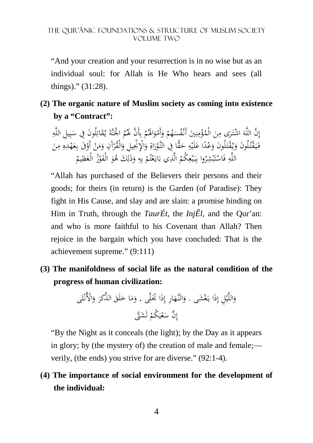"And your creation and your resurrection is in no wise but as an individual soul: for Allah is He Who hears and sees (all things)." (31:28).

**(2) The organic nature of Muslim society as coming into existence by a "Contract":** 

إِنَّ اللَّهَ اشْتَرَى مِنَ الْمُؤْمِنِينَ أَنْفُسَهُمْ وَأَمْوَالَهُمْ بِأَنَّ لَهُمُ الْجُنَّةَ يُقَاتِلُونَ فِي سَبِيلِ اللَّهِ<br>مُسْتُمُّ ﴾ مِسْتُرَى مِنْ الْمُؤْمِنِينَ أَنْفُسَهُمْ وَأَمْوَالَهُمْ بِأَنَّ لَهُمُ الْج ا َ ر<br>۽ ً. .<br>.  $\ddot{\phantom{0}}$ ِم<br>ِ ِ ن ∕' ْ ْ .<br>. ْ َ ْ ه<br>. ِ **ٔ** ِ Ä .<br>-<u>ہ</u> فَيَقْتُلُونَ وَيُقْتَلُونَ وَعْدًا عَلَيْهِ حَقًّا فِي التَّوْرَاةِ وَالْإِنْجِيلِ وَالْقُرْآنِ وَمَنْ أَوْفَ بِعَهْدِهِ مِنَ<br>\* يَعْتَمُدُونَ مَنْ أَوْفَ بِعَهْدِهِ .<br>م  $\ddot{\phantom{0}}$ َ **:** َ َ ₫. **∶** َ َ ِ ة<br>ة َ ْ ِ َ ر<br>( َ .<br>.<br>.  $\overline{a}$ ؙ ْ ِ ِ ْ َ :<br>ا ِ <u>ہ</u> اللَّهِ فَاسْتَبْشِرُوا بِبَيْعِكُمُ الَّذِي بَايَعْتُمْ بِهِ وَذَٰلِكَ هُوَ الْفَوْزُ الْعَظِيمُ ب <u>ً</u> ت **ـ** َ **ٍ** ْ ي  $\ddot{\cdot}$ ِ ْ ت ْ با<br>ا ِ ِ ِ َ َ <u>ٔ</u>

"Allah has purchased of the Believers their persons and their goods; for theirs (in return) is the Garden (of Paradise): They fight in His Cause, and slay and are slain: a promise binding on Him in Truth, through the *TaurÉt*, the *InjÊl*, and the Qur'an: and who is more faithful to his Covenant than Allah? Then rejoice in the bargain which you have concluded: That is the achievement supreme." (9:111)

**(3) The manifoldness of social life as the natural condition of the progress of human civilization:** 

ا َ م َ و َ َق ل َ خ َ الذ ى َكر َ ث ْ ْالأُنـ َ ِار . و َ النـه َ ذَ لى ِ َ و ا إ ِل **.** َ تج ْ ي الل َ ذَ ى ِ ْ َش و ا إ غ َ يـ ن ِ إ ْ ُكم َ ي ْ ع َ َشتى س لَ

"By the Night as it conceals (the light); by the Day as it appears in glory; by (the mystery of) the creation of male and female; verily, (the ends) you strive for are diverse." (92:1-4).

**(4) The importance of social environment for the development of the individual:**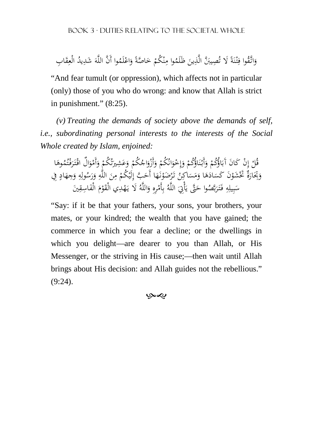وَاتَّقُوا فِتْنَةً لَا تُصِيبَنَّ الَّذِينَ ظَلَمُوا مِنْكُمْ خَاصَّةً وَاعْلَمُوا أَنَّ اللَّهَ شَدِيدُ الْعِقَابِ َ .<br>أ ن ْ َ م<br>تا :<br>ا ِ ْ ن ِ َ ْ َ ً<br>م Ä ِ

"And fear tumult (or oppression), which affects not in particular (only) those of you who do wrong: and know that Allah is strict in punishment." (8:25).

*(v) Treating the demands of society above the demands of self, i.e., subordinating personal interests to the interests of the Social Whole created by Islam, enjoined:* 

.<br>. قُلْ إِنْ كَانَ آَبَاؤُكُمْ وَأَبْنَاؤُكُمْ وَإِخْوَانُكُمْ وَأَزْوَاجُكُمْ وَعَشِيرَتُكُمْ وَأَمْوَالٌ اقْتَرَفْتُمُوهَا<br>تَمَا يَقْدَ وَحَمَدَ كَمَرَ الْمَدَاءِ ِ ْ ب<br>۔ ْ ن **ٔ** َ ْ َ ْ إ َ ْ َ َ ْ بر<br>ت َ َ َ ْ َ **م** َ ً. ةٌ ار تجِ و َن ْ َشو َتخ ا َه اد َكس ُ ن اكِ َس م و ا َه نـْ ْ َضو َر ب تـ أَح ُكم لَي إ ِ ن م الله ه ول ُ س ر و اد ه جِ في و ِ َ َ َ ْ ۵<br>ا .<br>. </sub> َ َ ์<br>. ْ **∶** :<br>. ٍ<br>≀ ِم<br>ٍ <u>ہ</u> ِ َ و<br>: .<br>; َ َ <u>ہ</u> سَبِيلِهِ فَتَرَتَصُوا حَتَّى يَأْتِيَ اللَّهُ بِأَمْرِهِ وَاللَّهُ لَا يَهْدِي الْقَوْمَ الْفَاسِقِينَ ِ ب .<br>. ر<br>. ً. َ  $\zeta$ یہ<br>ا ام<br>ا ِ ب َ ِّ ْ بہ<br>ا َ ْ ٍ<br>وَا .<br>م

"Say: if it be that your fathers, your sons, your brothers, your mates, or your kindred; the wealth that you have gained; the commerce in which you fear a decline; or the dwellings in which you delight—are dearer to you than Allah, or His Messenger, or the striving in His cause;—then wait until Allah brings about His decision: and Allah guides not the rebellious." (9:24).

بهي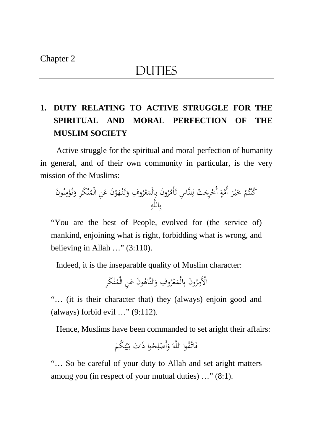## **DUTIES**

## **1. DUTY RELATING TO ACTIVE STRUGGLE FOR THE SPIRITUAL AND MORAL PERFECTION OF THE MUSLIM SOCIETY**

Active struggle for the spiritual and moral perfection of humanity in general, and of their own community in particular, is the very mission of the Muslims:

ْ ُم ت ْ ُ كن َ ر ْ يـ َ خ ٍ َ ْت أُمة ِرج ِ أُخ ِ لناس ْ َون ل ُ ر ُ أْم َ ِوف ت ُ ر ْ ع َ ِالْم َن ب ْ و َ ْه نـَ تـ َ و ِن َ ع َكِر ْ ن ُ ُ َون الْم ن ِ م ْ ُؤ تـ َ و ِ ِالله ب

"You are the best of People, evolved for (the service of) mankind, enjoining what is right, forbidding what is wrong, and believing in Allah  $\ldots$ " (3:110).

Indeed, it is the inseparable quality of Muslim character:

الْأَمِرُونَ بِالْمَعْرُوفِ وَالنَّاهُونَ عَنِ الْمُنْكَرِ ٍ<br>پ ْ </sub><br>أ َ َ **ٔ** ن

"… (it is their character that) they (always) enjoin good and (always) forbid evil …" (9:112).

Hence, Muslims have been commanded to set aright their affairs:

ُوا اتـق َ ف َ الل وا ه ُ ح ِ ل ْ أَص َ ات و َ ذَ ْ ُكم ِ ن ْ ي َ بـ

"… So be careful of your duty to Allah and set aright matters among you (in respect of your mutual duties) …" (8:1).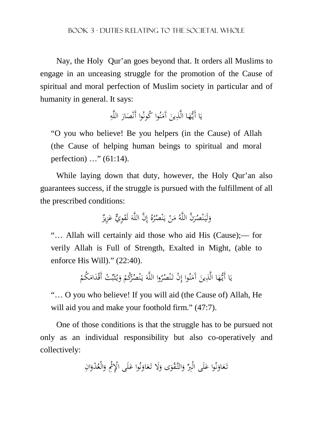Nay, the Holy Qur'an goes beyond that. It orders all Muslims to engage in an unceasing struggle for the promotion of the Cause of spiritual and moral perfection of Muslim society in particular and of humanity in general. It says:

> يَا أَيُّهَا الَّذِينَ آَمَنُوا كُونُوا أَنْصَارَ اللَّهِ با<br>ا َ َ ِ ن َ ر<br>ا  $\ddot{\phantom{0}}$

"O you who believe! Be you helpers (in the Cause) of Allah (the Cause of helping human beings to spiritual and moral perfection) …" (61:14).

While laying down that duty, however, the Holy Qur'an also guarantees success, if the struggle is pursued with the fulfillment of all the prescribed conditions:

> وَلَيَنْصُرَنَّ اللَّهُ مَنْ يَنْصُرُهُ إِنَّ اللَّهَ لَقَوِيٌّ عَزِيزٌ َ ن ∶' َ :<br>- $\overline{\phantom{a}}$ ن يا<br>. َ Ä َ

"… Allah will certainly aid those who aid His (Cause);— for verily Allah is Full of Strength, Exalted in Might, (able to enforce His Will)." (22:40).

> يَا أَيُّهَا الَّذِينَ آمَنُوا إِنْ تَنْصُرُوا اللَّهَ يَنْصُرُكُمْ وَيُثَبِّتْ أَقْدَامَكُمْ یہ<br>ا  $\epsilon$ .<br>-ِ ن  $\overline{a}$ ِ ن َ َ ْ ر<br>ز ن یہ<br>ا ب ٔ ث َ ْ  $\overline{a}$ ر<br>ا

"… O you who believe! If you will aid (the Cause of) Allah, He will aid you and make your foothold firm."  $(47:7)$ .

One of those conditions is that the struggle has to be pursued not only as an individual responsibility but also co-operatively and collectively:

> تَعَاوَنُوا عَلَى الْبِرِّ وَالتَّقْوَى وَلَا تَعَاوَنُوا عَلَى الْإِثْمِ وَالْعُدْوَانِ ن َ َ َ َ َ َ ن َ َ َ َ َ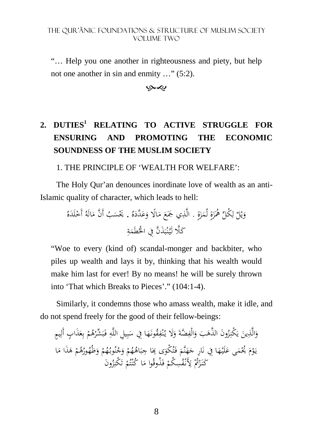"… Help you one another in righteousness and piety, but help not one another in sin and enmity …" (5:2).

صما

## **2. DUTIES<sup>1</sup> RELATING TO ACTIVE STRUGGLE FOR ENSURING AND PROMOTING THE ECONOMIC SOUNDNESS OF THE MUSLIM SOCIETY**

1. THE PRINCIPLE OF 'WEALTH FOR WELFARE':

The Holy Qur'an denounces inordinate love of wealth as an anti-Islamic quality of character, which leads to hell:

وَيْلٌ لِكُلِّ هُزَوِّ لُمَزَوِّ ١ الَّذِي جَمَ مَالَّا وَعَدَّدَهُ . يَخُسَبُ أَنَّ مَالَهُ أَحْلَدَهُ
$$
\frac{1}{2} \left( \frac{3}{2} + \frac{3}{2} \right)
$$

"Woe to every (kind of) scandal-monger and backbiter, who piles up wealth and lays it by, thinking that his wealth would make him last for ever! By no means! he will be surely thrown into 'That which Breaks to Pieces'." (104:1-4).

Similarly, it condemns those who amass wealth, make it idle, and do not spend freely for the good of their fellow-beings:

.<br>-وَالَّذِينَ يَكْنِزُونَ الذَّهَبَ وَالْفِضَّةَ وَلَا يُنْفِقُونَهَا فِي سَبِيلِ اللَّهِ فَبَشِّرْهُمْ بِعَذَابٍ أَلِيمٍ ِ َ ِ يا<br>. .<br>ا ة<br>≀ ِ َ َ َ ِ ن **ـ** ِم<br>ٍ <sup> $\mathbf$ </sup> <u>ٔ</u>  $\ddot{\cdot}$ ب َ ؚ<br>پا َ م و يـ ى ْم ُ يح ا ه َيـ ل في ِار َ ع ِ ن نم ه ج ى ْكو ُ فـ ا ِ م ُ ه ُ اه ْ جِ م ُ ه ُ ُوبـن ُ ج و م ُ ه ُ ور ُ ظُه و ا َذ ا ه م ْ يا<br>. َ َ ْ َ َ ہے<br>ء ์<br>. َ ت َ َفَ<br>ِ ْ .<br>. ب َ ْ َ َ  $\overline{\phantom{a}}$ كَنَزْتُمْ لِأَنْفُسِكُمْ فَذُوقُوا مَا كُنْتُمْ تَكْنِزُونَ ْ ت **:** ِ <u>ت</u> ت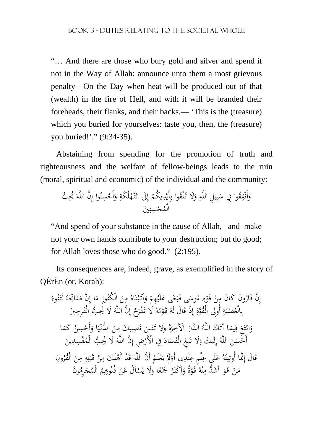"… And there are those who bury gold and silver and spend it not in the Way of Allah: announce unto them a most grievous penalty—On the Day when heat will be produced out of that (wealth) in the fire of Hell, and with it will be branded their foreheads, their flanks, and their backs.— 'This is the (treasure) which you buried for yourselves: taste you, then, the *(treasure)* you buried!'." (9:34-35).

Abstaining from spending for the promotion of truth and righteousness and the welfare of fellow-beings leads to the ruin (moral, spiritual and economic) of the individual and the community:

ُوا ق ِ ْف أَن َ ِ ِ يل في ب و ِ َ س ِ َلا ه الل َ و وا ُ ُْلق تـ ْ ُ يكم ِ د ْ أَي َلى ب ِ ِ إ ِ ُ َكة ل ْ التـه وا ُ ن ْسِ أَح َ ن ِ و إ َ ب الله ُ يحِ َين ِ ن ْسِ ُح الْم

"And spend of your substance in the cause of Allah, and make not your own hands contribute to your destruction; but do good; for Allah loves those who do good." (2:195).

Its consequences are, indeed, grave, as exemplified in the story of QÉrËn (or, Korah):

ن ِ َون إ ُ ار َ ان ق َ ك َ ْ ن ِ م ِ م ْ قـ ى َو َ وس ُ َ م ى غ َ بـ َ فـ ْ ِهم ْ َي ل َ ع ُ اه َ ن ْ يـ َ آَتـ َ و َ ن ِ ِوز م ُ الْ ُكن ا َ م ن ِ إ ُ ه َ اتحِ َ ف َ م ُ ُوء ن َ لَتـِ ب ِ ة َ ُ ْصب ِ أُولي الْع ِ ُوة ْذ الْق َ إ َال ِ ق ُ لَه ُ ه ُ م ْ َ لا َو قـْ َح ْر ِ تـ ن َف إ َ َ لا ه ب الل َين ُ يحِ ِرحِ َ الْف ِغ َ ت ْ ابـ َ و ا َ يم ف َ اك ِ َ آَت ُ الله َ الدار َ ة َ ر ْالآَخ َلا ِ َ و َ ْس ن َ َ َك تـ ِصيب َ ن َ ن ِ م ا َ ي ْ الدنـ ْ ن ْسِ أَح َ و ا َ َ كم َ ن َ ْس أَح ُ ْ َك الله لَي َلا إ ِ َ و ِغ ْ ب َ تـ َ اد َ َس في ِض الْف ِ ْ ن ْالأَر ِ إ َ َ لا ه ب الل ُ يحِ َ ين ِ د ْسِ ف ُ الْم َ َال ِنمَا ق إ ُ ه ُ َ أُوت ى ِيت ل َ ْلٍم ع ع ي ِ ِ ْد ن ِ ع ْ َلم َ أَو ْ َم ل ْ ع َ يـ أَن َ َْد الله َك ق َ ل ْ أَه ْ ن ِ م ِ ه ِ ل ْ ب َ قـ َ ن ِ م ونِ ُ ُر الْق ْ ن َ م َ و ُ د ه ُ أَش َ ْه ن ِ ً م ُوة قـ ُ َر ْ أَكثـ َ و ا ً ع جمْ َلا َ َ و أَُل ْ ُس ي ْ َن ع ُ م ُوِِ َون ذُن ُ ِرم ْ ُج الْم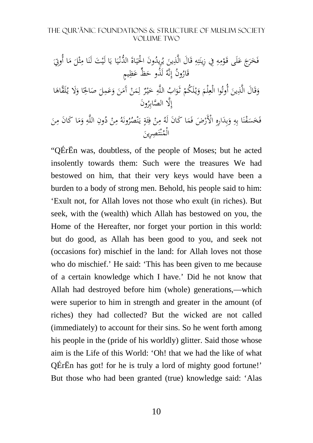َ َج ر َ َى َخ ف ل َ ع ِ ه ِ م ْ َو في قـِ ِ ه ِ ت َ زين َ َال ِ ق َ ين ِ ُ َون الذ ِريد ُ ي َ اة َ ي َ ْ الح ا َ ي ْ الدنـ ا َ ْ َت ي ا لَي َ لَن َ ْل ث ِ ا م َ م َ أُوتي ِ ُون ُ ار َ ق ُ نه و إ لَُذ ظ ِ َ ٍ يم ح َظِ ع َ َال ق َ و َ ين ِ ال وا ذ ُ أُوت َ ْلم ِ الْع ْ َ ُكم ل ْ يـ َ اب و ُ َ ِ ثـَو الله َ خ ٌ ر ْ يـ ْ ن َ م ِ ل َ ن َ آَم َ ل َمِ ع َ و ا ً الحِ َ ص َلا َ و ا َ َقاه ل ُ يـ ِلا َون إ ُ ر ِ الصاب ا َ ن ْ ف َ َس َخ ف ِ ه ِ ب ِ ارهِ َ بِد َ ْ َض و ْالأَر ا َ َم ان ف َ ك َ ُ لَه ْ ن ِ م ٍ ة َ ئ ِ ف ُ َه ون ُ ر ُ ْص ن َ يـ ْ ن ِ م ونِ ُ د ِ ا الله َ م َ ان و َ ك َ َ ن ِ م َ ِصِرين َ ت ْ ن ُ الْم

"QÉrËn was, doubtless, of the people of Moses; but he acted insolently towards them: Such were the treasures We had bestowed on him, that their very keys would have been a burden to a body of strong men. Behold, his people said to him: 'Exult not, for Allah loves not those who exult (in riches). But seek, with the (wealth) which Allah has bestowed on you, the Home of the Hereafter, nor forget your portion in this world: but do good, as Allah has been good to you, and seek not (occasions for) mischief in the land: for Allah loves not those who do mischief.' He said: 'This has been given to me because of a certain knowledge which I have.' Did he not know that Allah had destroyed before him (whole) generations,—which were superior to him in strength and greater in the amount (of riches) they had collected? But the wicked are not called (immediately) to account for their sins. So he went forth among his people in the (pride of his worldly) glitter. Said those whose aim is the Life of this World: 'Oh! that we had the like of what QÉrËn has got! for he is truly a lord of mighty good fortune!' But those who had been granted (true) knowledge said: 'Alas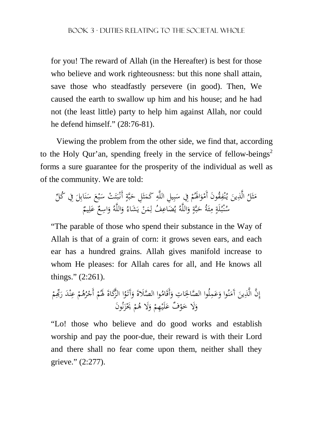for you! The reward of Allah (in the Hereafter) is best for those who believe and work righteousness: but this none shall attain, save those who steadfastly persevere (in good). Then, We caused the earth to swallow up him and his house; and he had not (the least little) party to help him against Allah, nor could he defend himself." (28:76-81).

Viewing the problem from the other side, we find that, according to the Holy Our'an, spending freely in the service of fellow-beings<sup>2</sup> forms a sure guarantee for the prosperity of the individual as well as of the community. We are told:

ُ َل ث َ م َ ين ِ ُ َون الذ ق ِ ْف ن ُ يـ ْ م ُ َ اله َ و ْ في ِ ِ يل أَم ب ِ َ س ِ الل ِل ه َ ث َ َكم ٍ ة ب َ َ ْت ح ت َ ب ْ أَنـ َ ع ْ ب َ س َ ِل اب َ ن َ في ُ ك ل س ِ ٍ َة ل ُ بـ ْ ن ُ س ُ ة َ ئ ِ م ٍ ة ب َ ح ُ الله َ ُف و ُ َضاعِ ي ْ ن َ م ِ ل ُ َ َشاء ي ُ الله َ و ٌ ع اسِ َ و ٌ يم ِ ل َ ع

"The parable of those who spend their substance in the Way of Allah is that of a grain of corn: it grows seven ears, and each ear has a hundred grains. Allah gives manifold increase to whom He pleases: for Allah cares for all, and He knows all things." (2:261).

ن ِ إ َ ين ِ ال وا ذ ُ ن َ ُوا آَم ل َمِ ع َ ِ ات و َ الصالحِ وا ُ ام َ أَق َ ا َ و الصَلاة ُ َو آَتـ َ َ و َكاة الز ْ م ُ َ له ْ م ُ ه ُ ر ْ أَج َ ْد ن عِ ْ م ِ َ ر َلا َ ٌف و ْ و َ ْ خ ِهم ْ َي ل َ ع َلا َ و ْ م ُ ُ َون ه ن َ ز ْ َيح

"Lo! those who believe and do good works and establish worship and pay the poor-due, their reward is with their Lord and there shall no fear come upon them, neither shall they grieve." (2:277).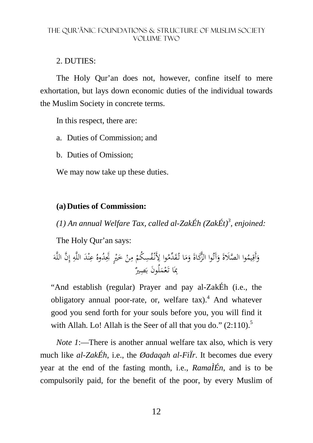#### 2. DUTIES:

The Holy Qur'an does not, however, confine itself to mere exhortation, but lays down economic duties of the individual towards the Muslim Society in concrete terms.

In this respect, there are:

a. Duties of Commission; and

b. Duties of Omission;

We may now take up these duties.

#### **(a) Duties of Commission:**

*(1) An annual Welfare Tax, called al-ZakÉh (ZakÉt)<sup>3</sup> , enjoined:* 

The Holy Qur'an says:

وا ُ يم ِ أَق َ َ وا ُ و الصَلاة آَت َ َ و َكاة الز ا َ م َ و وا ُ دم َ ُق تـ ْ ُكم ُسِ ْف َنـِ ْ لأ ن ِ م ٍ ْ َير خ ُ ُوه د َ تجِ َ ْد ن عِ ِ الل ن ه ِ إ َ الله ا َ ِ ُ َون بم ل َ م ْ َع تـ ٌ ِصير َ ب

"And establish (regular) Prayer and pay al-ZakÉh (i.e., the obligatory annual poor-rate, or, welfare tax).<sup>4</sup> And whatever good you send forth for your souls before you, you will find it with Allah. Lo! Allah is the Seer of all that you do."  $(2:110).$ <sup>5</sup>

*Note 1*:—There is another annual welfare tax also, which is very much like *al-ZakÉh*, i.e., the *Øadaqah al-FiÏr*. It becomes due every year at the end of the fasting month, i.e., *RamaÌÉn*, and is to be compulsorily paid, for the benefit of the poor, by every Muslim of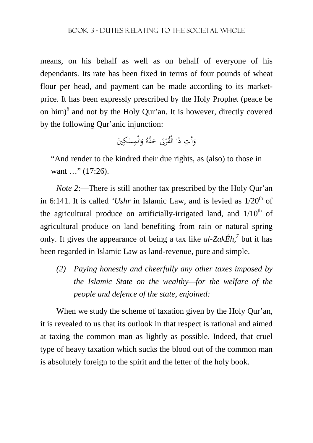means, on his behalf as well as on behalf of everyone of his dependants. Its rate has been fixed in terms of four pounds of wheat flour per head, and payment can be made according to its marketprice. It has been expressly prescribed by the Holy Prophet (peace be on him)<sup>6</sup> and not by the Holy Qur'an. It is however, directly covered by the following Qur'anic injunction:

> وَأَتِ ذَا الْقُرْبَى حَقَّهُ وَالْمِسْكِينَ َ َ َ **ـ** َ

"And render to the kindred their due rights, as (also) to those in want ..." (17:26).

*Note 2*:—There is still another tax prescribed by the Holy Qur'an in 6:141. It is called *'Ushr* in Islamic Law, and is levied as  $1/20<sup>th</sup>$  of the agricultural produce on artificially-irrigated land, and  $1/10<sup>th</sup>$  of agricultural produce on land benefiting from rain or natural spring only. It gives the appearance of being a tax like *al-ZakÉh,<sup>7</sup>* but it has been regarded in Islamic Law as land-revenue, pure and simple.

*(2) Paying honestly and cheerfully any other taxes imposed by the Islamic State on the wealthy—for the welfare of the people and defence of the state, enjoined:* 

When we study the scheme of taxation given by the Holy Qur'an, it is revealed to us that its outlook in that respect is rational and aimed at taxing the common man as lightly as possible. Indeed, that cruel type of heavy taxation which sucks the blood out of the common man is absolutely foreign to the spirit and the letter of the holy book.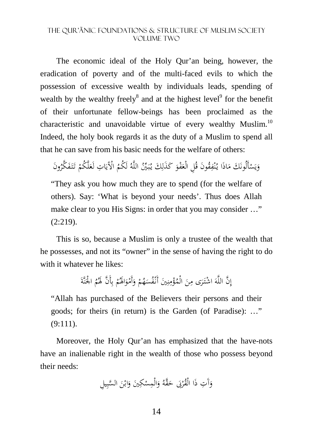The economic ideal of the Holy Qur'an being, however, the eradication of poverty and of the multi-faced evils to which the possession of excessive wealth by individuals leads, spending of wealth by the wealthy freely $^8$  and at the highest level $^9$  for the benefit of their unfortunate fellow-beings has been proclaimed as the characteristic and unavoidable virtue of every wealthy Muslim.<sup>10</sup> Indeed, the holy book regards it as the duty of a Muslim to spend all that he can save from his basic needs for the welfare of others:

وَيَسْأَلُونَكَ مَاذَا يُنْفِقُونَ قُلِ الْعَفْوَ كَذَلِكَ يُبَيِّنُ اللَّهُ لَكُمُ الْأَيَاتِ لَعَلَّكُمْ تَتَفَكَّرُونَ ْ ي َ  $\overline{\phantom{a}}$ ِ ن َ َ ؚ<br>ٳ  $\ddot{\cdot}$ بہ<br>ا ْ َ .<br>م ً<br>أ َ

"They ask you how much they are to spend (for the welfare of others). Say: 'What is beyond your needs'. Thus does Allah make clear to you His Signs: in order that you may consider ..." (2:219).

This is so, because a Muslim is only a trustee of the wealth that he possesses, and not its "owner" in the sense of having the right to do with it whatever he likes:

> إِنَّ اللَّهَ اشْتَرَى مِنَ الْمُؤْمِنِينَ أَنْفُسَهُمْ وَأَمْوَالَهُمْ بِأَنَّ لَهُمُ الْجَنَّةَ ِ ً<br>م ر<br>. <u>ت</u> .<br>.  $\ddot{\phantom{0}}$ ∕' ِ ن ٍ<br>≀ ةُ<br>م ْ  $\ddot{\phantom{0}}$ ْ َ **ا** َ ِ َ

"Allah has purchased of the Believers their persons and their goods; for theirs (in return) is the Garden (of Paradise): …"  $(9:111).$ 

Moreover, the Holy Qur'an has emphasized that the have-nots have an inalienable right in the wealth of those who possess beyond their needs:

> وَاَتِ ذَا الْقُرْبَى حَقَّهُ وَالْمِسْكِينَ وَابْنَ السَّبِيلِ َ ا<br>ا َ **ٔ** َ  $\ddot{\phantom{0}}$ َ ِ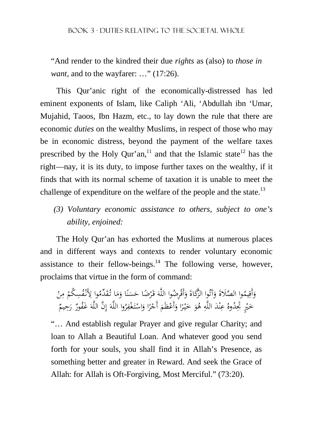"And render to the kindred their due *rights* as (also) to *those in want*, and to the wayfarer: ..." (17:26).

This Qur'anic right of the economically-distressed has led eminent exponents of Islam, like Caliph 'Ali, 'Abdullah ibn 'Umar, Mujahid, Taoos, Ibn Hazm, etc., to lay down the rule that there are economic *duties* on the wealthy Muslims, in respect of those who may be in economic distress, beyond the payment of the welfare taxes prescribed by the Holy Our'an,<sup>11</sup> and that the Islamic state<sup>12</sup> has the right—nay, it is its duty, to impose further taxes on the wealthy, if it finds that with its normal scheme of taxation it is unable to meet the challenge of expenditure on the welfare of the people and the state.<sup>13</sup>

*(3) Voluntary economic assistance to others, subject to one's ability, enjoined:* 

The Holy Qur'an has exhorted the Muslims at numerous places and in different ways and contexts to render voluntary economic assistance to their fellow-beings. $14$  The following verse, however, proclaims that virtue in the form of command:

وَأَقِيمُوا الصَّلَاةَ وَأَتُوا الزَّكَاةَ وَأَقْرِضُوا اللَّهَ قَرْضًا حَسَنًا وَمَا تُقَدِّمُوا لِأَنْفُسِكُمْ مِنْ<br>مَسَوْء عَمُه مِنْ مَسْأَةً مِنْ مَسْئَةً مِنْ مَسْئَةٍ مِنْ مَسْئَةٍ وَمَا تُقَدِّمُوا لِأَنْفُسِكُمْ موا الصلاة وأنوا الزخاة واقرِضُوا الله قرضا حسننا وما تقليم ٍ<br>قِ َ َ ْ َ ہ<br>غ .<br>أ ن .<br>. َ َ Ä ْ ِم <u>ل</u> ْ خَيْرٍ تَجِدُوهُ عِنْدَ اللَّهِ هُوَ خَيْرًا وَأَعْظَمَ أَجْرًا وَاسْتَغْفِرُوا اللَّهَ إِنَّ اللَّهَ غَفُورٌ رَحِيمٌ ر<br>ا ن ₫. َ ً ْ َ َ َ ً ْ ِ ً<br>أ **ٔ** َ َ ِ َ

"… And establish regular Prayer and give regular Charity; and loan to Allah a Beautiful Loan. And whatever good you send forth for your souls, you shall find it in Allah's Presence, as something better and greater in Reward. And seek the Grace of Allah: for Allah is Oft-Forgiving, Most Merciful." (73:20).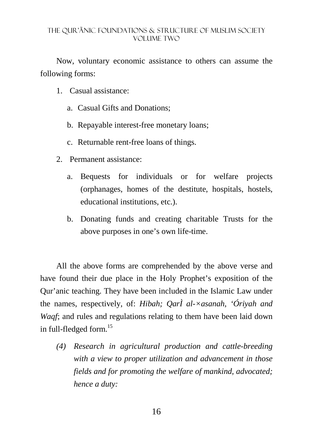Now, voluntary economic assistance to others can assume the following forms:

- 1. Casual assistance:
	- a. Casual Gifts and Donations;
	- b. Repayable interest-free monetary loans;
	- c. Returnable rent-free loans of things.
- 2. Permanent assistance:
	- a. Bequests for individuals or for welfare projects (orphanages, homes of the destitute, hospitals, hostels, educational institutions, etc.).
	- b. Donating funds and creating charitable Trusts for the above purposes in one's own life-time.

All the above forms are comprehended by the above verse and have found their due place in the Holy Prophet's exposition of the Qur'anic teaching. They have been included in the Islamic Law under the names, respectively, of: *Hibah; QarÌ al-×asanah, 'Óriyah and Waqf*; and rules and regulations relating to them have been laid down in full-fledged form.<sup>15</sup>

*(4) Research in agricultural production and cattle-breeding with a view to proper utilization and advancement in those fields and for promoting the welfare of mankind, advocated; hence a duty:*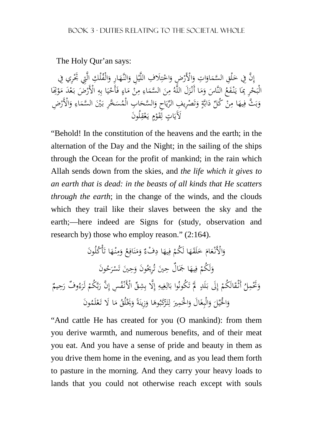The Holy Qur'an says:

إِنَّ فِي خَلْقِ السَّمَاوَاتِ وَالْأَرْضِ وَاخْتِلَافِ اللَّيْلِ وَالنَّهَارِ وَالْفُلْكِ الَّتِي بَخْرِي فِي ا َ َ َ ر<br>( ه<br>ن ِ ت ْ َ ْ ي َ َ َ <u>و</u> الْبَحْرِ بِمَا يَنْفَعُ النَّاسَ وَمَا أَنْزَلَ اللَّهُ مِنَ السَّمَاءِ مِنْ مَاءٍ فَأَحْيَا بِهِ الْأَرْضَ بَعْدَ مَوْتِمَا<br>. ـ<br>: ٍ<br>ا  $\vdots$ يا<br>. **้**  $\overline{\phantom{a}}$ ه<br>ر .<br>ن :<br>. ِ ِ  $\ddot{\phantom{0}}$ .<br>-∕' ٍ  $\overline{a}$  $\ddot{\phantom{0}}$ ي ا<br>. َ ِم<br>ٍ ِ ْ َ ُ<br>ن ْ  $\overline{a}$ َث و ا ِيه ف ن م ُ كل ة اب َ ْصِر ِ يف د و ِ اح ِ اب الر السح و خِر ُس َْ َين الْم بـ اء السم ِض ْالأَر و ب َ َ .<br>.<br>. ِ <u>ہ</u> ٔ. ت َ بہ<br>: ي َ َ  $\ddot{\phantom{0}}$ ِ  $\ddot{\phantom{0}}$ ر<br>. َ لَأَيَاتٍ لِّقَوْمٍ يَعْقِلُونَ يا<br>. **ٍ** ْ ِ ِ. ْ يا<br>.

"Behold! In the constitution of the heavens and the earth; in the alternation of the Day and the Night; in the sailing of the ships through the Ocean for the profit of mankind; in the rain which Allah sends down from the skies, and *the life which it gives to an earth that is dead: in the beasts of all kinds that He scatters through the earth*; in the change of the winds, and the clouds which they trail like their slaves between the sky and the earth;—here indeed are Signs for (study, observation and research by) those who employ reason." (2:164).

َ وَالْأَنْعَامَ خَلَقَهَا لَكُمْ فِيهَا دِفْءٌ وَمَنَافِعُ وَمِنْهَا تَأْكُلُونَ َ َ َ َ َ <u>ِ</u> ِ  $\ddot{\phantom{0}}$ ن  $\overline{\phantom{a}}$ َ َ َ ْ وَلَكُمْ فِيهَا جَمَالٌ حِينَ تُرِيحُونَ وَحِينَ تَسْرَحُونَ َ َ َ َ ُ<br>ن **ٔ** وَتَحْمِلُ أَنْقَالَكُمْ إِلَى بَلَدٍ لَمْ تَكُونُوا بَالِغِيهِ إِلَّا بِشِقٌ الْأَنْفُسِ إِنَّ رَبَّكُمْ لَرَءُوفٌ رَحِيمٌ َ ْ ا ٍ بہ<br>أ ْ ت <u>ہ</u> ِ<br>ل َ ا ْ بر<br>با َ َ وَالْخَيْلَ وَالْبِغَالَ وَالْحَمِيرَ لِتَزْكَبُوهَا وَزِينَةً وَيَخْلُقُ مَا لَا تَعْلَمُونَ ي َ َ ِ َ .<br>. **ٔ** َ َ ر<br>ز ً<br>أ ل ة<br>أ َ َ َ َ ْ

"And cattle He has created for you (O mankind): from them you derive warmth, and numerous benefits, and of their meat you eat. And you have a sense of pride and beauty in them as you drive them home in the evening, and as you lead them forth to pasture in the morning. And they carry your heavy loads to lands that you could not otherwise reach except with souls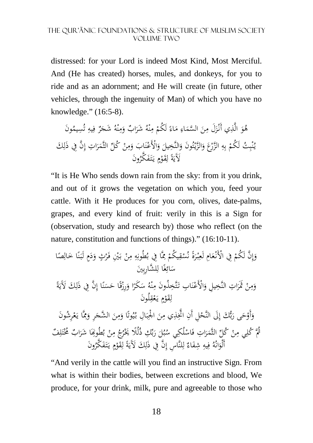distressed: for your Lord is indeed Most Kind, Most Merciful. And (He has created) horses, mules, and donkeys, for you to ride and as an adornment; and He will create (in future, other vehicles, through the ingenuity of Man) of which you have no knowledge." (16:5-8).

َ و ُ ه ي ِ ال َل ذ َ ْز أَنـ َ ن ِ م ِ اء َ السم ً اء َ م ْ لَ ُكم ُ ْه ن ِ اب م ٌ َ ر ُ َش ْه ن ِ م َ و ٌ ر َ شج َ ِ ِيه َون ف ُ يم ُسِ ت ُت ِ ب ْ ن ُ يـ ْ لَ ُكم ِ ه ِ ب َ ْع َون ُ الزر ت ْ الزيـَ و َ ِ النخيل َ اب و َ َ ن ْ ْالأَع َ و ْ ن ِ م َ و ِ ات ُ كل َ ر َ ِ الثم ن في إ َك ِ ِ ذَل ً ة َ َ لآَي ٍ م ْ َو ق ِ َون ل ُ كر َ ف َ تـ َ يـ

"It is He Who sends down rain from the sky: from it you drink, and out of it grows the vegetation on which you, feed your cattle. With it He produces for you corn, olives, date-palms, grapes, and every kind of fruit: verily in this is a Sign for (observation, study and research by) those who reflect (on the nature, constitution and functions of things)." (16:10-11).

ن ِ إ َ و ْ في ِام لَ ُكم ِ َ ً ْع ْالأَنـ ة َ ر ْ بـ ِ لَع ْ ُ يكم ِ ق ْ ُس ن ا ِ في مم ِ ِ ه ِ طُون ُ ب ْ ن ِ م َْينِ ٍث بـ ْ َر مٍ فـ َ د َ ا و ً ن َ لَبـ ا ً ِص ال َ خ ا ً غ ِ ائ َ َين س لش ِاربِ ِ ل ْ ن ِ م َ ِ ات و َ ِ النخ ِ اب ِ يل َثمَر َ ن ْ ْالأَع َ ِخ <sup>و</sup> ُذ َون ت َ تـ ُ ْه ن ِ م ا ً َكر َ ً س ا ق ْ ِرز َ و ا ً ن َ َس ح ن ِ في إ َك ِ ِ ذَل ً ة َ َ لآَي ٍ م ْ َو ق ِ ُ َون ل ل ِ ق ْ ع َ يـَى ْح أَو َ َك و ب َ ر َلى إ ِل ِ ْ أَن ي ِ النح ِ ِ اتخذ َ ن ِ م الِ َ ب ِ ً ْ الج ا وت ُ ي ُ بـَ ن ِ م َ و ِر َ الشج ا ِ مم َ ُش َون و ِر ْ ع َ يـ ُ ثم ي ِ ُ كل ْ ن ِ م ِ ات ُ كل َ ر َ ُكِ الثم ي ل ْ اس َ ف َ ل ُ ب ُ ِك س ب َ ذُ ر لًُلا ُ ُج َ يخْر ْ ن ِ م ا َ طُوِ ُ اب ب ٌ َ َش ٌف ر ِ ل َ ت ُمخْ ا َ أَلْو ُ ُه ن ِ ِيه ف ٌ اء َ ف ش ِ لناس ِ ل ن ِ ِ في إ َك ِ ِ ذَل ً ة َ َ لآَي ٍ م ْ َو ق ِ َون ل ُ كر َ ف َ تـ َ يـ

"And verily in the cattle will you find an instructive Sign. From what is within their bodies, between excretions and blood, We produce, for your drink, milk, pure and agreeable to those who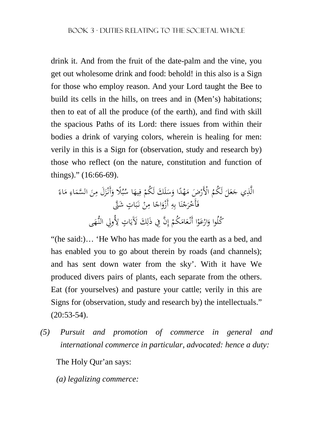drink it. And from the fruit of the date-palm and the vine, you get out wholesome drink and food: behold! in this also is a Sign for those who employ reason. And your Lord taught the Bee to build its cells in the hills, on trees and in (Men's) habitations; then to eat of all the produce (of the earth), and find with skill the spacious Paths of its Lord: there issues from within their bodies a drink of varying colors, wherein is healing for men: verily in this is a Sign for (observation, study and research by) those who reflect (on the nature, constitution and function of things)." (16:66-69).

ي ِ الذ َ َل ع َ ج ُ ْ َض لَ ُكم ً ْالأَر ا د ْ ه َ َك م َ ل َ س َ و ْ لَ ُكم ا َ ف ًلا ِيه ُ ب ُ س َل َ ْز أَنـَ و َ ن ِ م ِ اء َ السم ً اء َ م ا َ ن ْ ج َ ر ْ أَخ َ ف ِ ه ِ ب ا ً اج َ ْو أَز ْ ن ِ ٍ ات م َ ب َش نـ تى َ ُوا ُ كل ا ْ و َ ع ْ ار َ و ْ ُكم َ ام َ ِ أَنـ ن ْع في إ َك ِ ِ ٍ ات ذَل َ ُ ِولي َلآَي لأ ى ِ َ النـه

"(he said:)… 'He Who has made for you the earth as a bed, and has enabled you to go about therein by roads (and channels); and has sent down water from the sky'. With it have We produced divers pairs of plants, each separate from the others. Eat (for yourselves) and pasture your cattle; verily in this are Signs for (observation, study and research by) the intellectuals." (20:53-54).

*(5) Pursuit and promotion of commerce in general and international commerce in particular, advocated: hence a duty:* 

The Holy Qur'an says:

*(a) legalizing commerce:*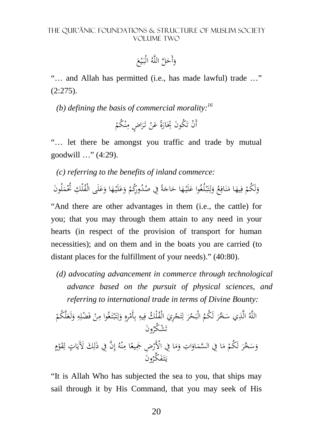وَأَحَلَّ اللَّهُ الْبَيْعَ َ َ  $\zeta$ **ื่** ي  $\ddot{\cdot}$ 

"… and Allah has permitted (i.e., has made lawful) trade …"  $(2:275)$ .

*(b) defining the basis of commercial morality:<sup>16</sup>*

أَنْ تَكُونَ بِخَارَةً عَنْ تَرَاضٍ مِنْكُمْ ت ة<br>م َ ٔ. .<br>-َ ْ ن ٍ<br>≀

"… let there be amongst you traffic and trade by mutual goodwill …" (4:29).

*(c) referring to the benefits of inland commerce:* 

ْ وَلَكُمْ فِيهَا مَنَافِعُ وَلِتَبْلُغُوا عَلَيْهَا حَاحَةً فِي صُدُورِكُمْ وَعَلَيْهَا وَعَلَى الْفُلْكِ تُحْمَلُونَ َ َ ِ .<br>. ن  $\overline{\phantom{a}}$ ْ <u>ً</u> ت <u>ل</u> ل َ َ **∶** َ َ َ **∶** َ َ َ َ لْ َ

"And there are other advantages in them (i.e., the cattle) for you; that you may through them attain to any need in your hearts (in respect of the provision of transport for human necessities); and on them and in the boats you are carried (to distant places for the fulfillment of your needs)." (40:80).

*(d) advocating advancement in commerce through technological advance based on the pursuit of physical sciences, and referring to international trade in terms of Divine Bounty:* 

ُ الل ي ه ِ الذ َ خر َ س ُ لَ ُكم َ ر ْ َح الْب َ ِري ْ َج ت ِ ُك ل ُْل ِ الْف ِيه ف ِرهِ ْ أَم ِ ب وا ُ غ َ تـ ْ ب َ ت ِ ل َ و ْ ن ِ م ِ ه ِ َ ْضل ف ْ ُكم ل َ لَع َ و َون ُ َ ْش ُكر ت َ خر َ س َ و ْ ا لَ ُكم َ في م ِ ات ِ َ او َ السم ا َ م َ في ِض و ِ ْ ْالأَر ا ً جمِيع َ ُ ْه ن م ن ِ ِ في إ َك ِ ِ ٍ ات ذَل َ َلآَي ٍ م ْ َو ق ِ ل ُ كر َ ف َ تـ َ َون يـ

"It is Allah Who has subjected the sea to you, that ships may sail through it by His Command, that you may seek of His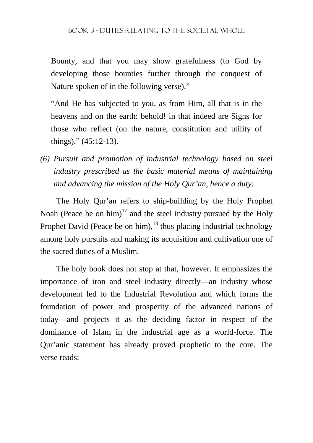Bounty, and that you may show gratefulness (to God by developing those bounties further through the conquest of Nature spoken of in the following verse)."

"And He has subjected to you, as from Him, all that is in the heavens and on the earth: behold! in that indeed are Signs for those who reflect (on the nature, constitution and utility of things)." (45:12-13).

*(6) Pursuit and promotion of industrial technology based on steel industry prescribed as the basic material means of maintaining and advancing the mission of the Holy Qur'an, hence a duty:* 

The Holy Qur'an refers to ship-building by the Holy Prophet Noah (Peace be on him)<sup>17</sup> and the steel industry pursued by the Holy Prophet David (Peace be on him), $^{18}$  thus placing industrial technology among holy pursuits and making its acquisition and cultivation one of the sacred duties of a Muslim.

The holy book does not stop at that, however. It emphasizes the importance of iron and steel industry directly—an industry whose development led to the Industrial Revolution and which forms the foundation of power and prosperity of the advanced nations of today—and projects it as the deciding factor in respect of the dominance of Islam in the industrial age as a world-force. The Qur'anic statement has already proved prophetic to the core. The verse reads: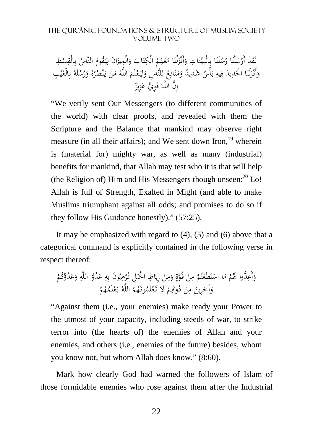َ ْد لَق ا َ لْن َ ْس أَر ا َ َن ل ُ س ُ ِ ات ر َ ن يـ َ ِالْبـ ب ا َ لْن َ ْز أَنـَ و ُ م ُ ه َ ع َ اب م َ َ ت ان الْكِ َ َ الْمِيز َ و َ ُوم ق َ يـ ِ ل ُ ِط الناس ْ س ِ ِالْق ب ا َ لْن َ ْز أَنـ َ َ و ِيد د َ ْ الح ِ ِيه ف ٌ أْس َ يد ب ٌ ِ ُ َشد ع ِ اف َ ن َ م َ و ِ لناس ِ ل َ َم ل ْ ع َ يـ ِ ل َ و ُ الله ْ ن َ م ُ ه ُ ر ُ ْص ن َ يـُ َه ل ُ س ُ ر َ و ِب ْ ي َ ِالْغ ب ن ِ إ َ ي الله ِو َ ق ٌ ِزيز َ ع

"We verily sent Our Messengers (to different communities of the world) with clear proofs, and revealed with them the Scripture and the Balance that mankind may observe right measure (in all their affairs); and We sent down Iron,<sup>19</sup> wherein is (material for) mighty war, as well as many (industrial) benefits for mankind, that Allah may test who it is that will help (the Religion of) Him and His Messengers though unseen: $^{20}$  Lo! Allah is full of Strength, Exalted in Might (and able to make Muslims triumphant against all odds; and promises to do so if they follow His Guidance honestly)." (57:25).

It may be emphasized with regard to  $(4)$ ,  $(5)$  and  $(6)$  above that a categorical command is explicitly contained in the following verse in respect thereof:

دوا أَعِ َ و ْ م ُ َ ا له َ م ْ ُم ت ْ َطَع ت ْ اس ْ ن ِ م ٍ ُوة قـ ْ ن ِ م َ ِ اط و َ ر ِل ب ِ ْ ي َ َون ْ الخ ُ ب ِ ه ْ ُر ِ تـ ه ِ ب ُ َد و ع ِ الله ْ ُكم ُو َد ع َ و َ ِرين َ آَخ َ و ْ ن ِ م ْ م وِِ ُ د َ لا ُ م ُ َه ونـ ُ َم ل ْ َع تـ ُ الله ْ م ُ ه ُ َم ل ْ ع َ يـ

"Against them (i.e., your enemies) make ready your Power to the utmost of your capacity, including steeds of war, to strike terror into (the hearts of) the enemies of Allah and your enemies, and others (i.e., enemies of the future) besides, whom you know not, but whom Allah does know." (8:60).

Mark how clearly God had warned the followers of Islam of those formidable enemies who rose against them after the Industrial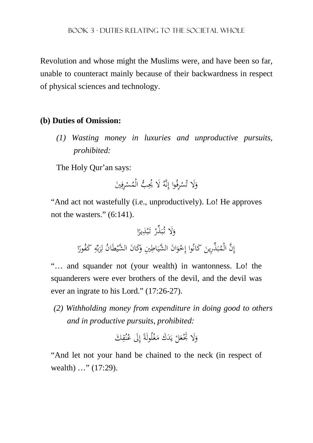Revolution and whose might the Muslims were, and have been so far, unable to counteract mainly because of their backwardness in respect of physical sciences and technology.

#### **(b) Duties of Omission:**

*(1) Wasting money in luxuries and unproductive pursuits, prohibited:* 

The Holy Qur'an says:

َلا َ ُ و وا ِرف ْ ُس ت ُ نه َ لا ِ ب إ َين ُ يحِ ِ ِرف ْ ُس الْم

"And act not wastefully (i.e., unproductively). Lo! He approves not the wasters." (6:141).

َلا َ و ْ ذر َ ب ُ تـ ا ً ير ِ ذ ْ ب َ تـن ِ إ َ ذِرين َ ب ُ الْم وا ُ ان ان َ ك َ َ و ْ ِخ إ اطِ َ ين الشي ان ِ َك َ َ ان و ْطَ ُ الشي ِ ه ب َ ر ِ ل ا ً ُور َكف

"… and squander not (your wealth) in wantonness. Lo! the squanderers were ever brothers of the devil, and the devil was ever an ingrate to his Lord." (17:26-27).

*(2) Withholding money from expenditure in doing good to others and in productive pursuits, prohibited:* 

َلا َ و ْ َل ع َ تج َك ْ َ د َ ي ً ُولَة ل ْ غ َ م َلى ِ َك إ ِ ق ُ ن ُ ع

"And let not your hand be chained to the neck (in respect of wealth) ..." (17:29).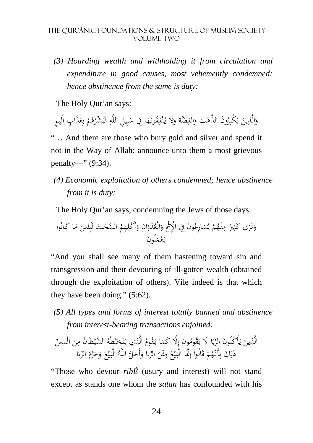*(3) Hoarding wealth and withholding it from circulation and expenditure in good causes, most vehemently condemned: hence abstinence from the same is duty:* 

The Holy Qur'an says:

 $\ddot{\phantom{0}}$ وَالَّذِينَ يَكْنِزُونَ الذَّهَبَ وَالْفِضَّةَ وَلَا يُنْفِقُونَهَا فِي سَبِيلِ اللَّهِ فَبَشِّرْهُمْ بِعَذَابٍ أَلِيمٍ ِ َ ِ يا<br>. ي .<br>ا ة<br>م ِ َ َ َ ِ ن ٔ<br>أ ِ ْ <u>ٔ</u>  $\ddot{\cdot}$ ب َ ؚ<br>پ

"… And there are those who bury gold and silver and spend it not in the Way of Allah: announce unto them a most grievous penalty—" (9:34).

*(4) Economic exploitation of others condemned; hence abstinence from it is duty:* 

The Holy Qur'an says, condemning the Jews of those days:

وَتَرَى كَثِيرًا مِنْهُمْ يُسَارِعُونَ فِي الْإِثْمِ وَالْعُدْوَانِ وَأَكْلِهِمُ السُّحْتَ لَبِئْسَ مَا كَانُوا ِ َ ً ْ  $\ddot{\phantom{0}}$ َ ۠ ِ َ <u>َ</u> ئ  $\overline{a}$ يَعْمَلُونَ  $\ddot{\phantom{0}}$ ْ يہ<br>.

"And you shall see many of them hastening toward sin and transgression and their devouring of ill-gotten wealth (obtained through the exploitation of others). Vile indeed is that which they have been doing." (5:62).

*(5) All types and forms of interest totally banned and abstinence from interest-bearing transactions enjoined:* 

 $\ddot{\phantom{0}}$ الَّذِينَ يَأْكُلُونَ الرِّبَا لَا يَقُومُونَ إِلَّا كَمَا يَقُومُ الَّذِي يَتَخَبَّطُهُ الشَّيْطَانُ مِنَ الْمَسِّ<br>مَا يَسْتَمَرُّونَ الرَّبَّاءُ الْمَسَّمَّى أَوْدُو وَّاسِنَةٍ عَمَّى السَّائَةِ وَالْمَسَّائِفَةِ الْمَس ِ يا<br>. ب<br>. ب مُول إِلاّ كُمَّا يَقُومُ الْكِرِّي يَتَخْبَطُهُ<br>سَمَّرَ مَنْ مَسْرِدٍ عَمَّلَ مِنَّةً مِنْ یہ<br>بر ٔ يا<br>. ِ بن<br>ج َ ت <u>ب</u>  $\ddot{\phantom{0}}$ ِ ذَلِكَ بِأَنَّهُمْ قَالُوا إِنَّمَا الْبَيْعُ مِثْلُ الرِّبَا وَأَحَلَّ اللَّهُ الْبَيْعَ وَحَرَّمَ الرِّبَا ؚ<br>ٳ ْ ِ َ **ื่** ي  $\ddot{\cdot}$ ث ِم بہ<br>أ ب َ  $\zeta$ ْ ي  $\ddot{\cdot}$ مُ َ َ بہ<br>أ ب

"Those who devour *ribÉ* (usury and interest) will not stand except as stands one whom the *satan* has confounded with his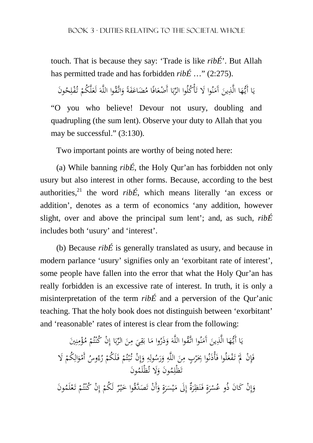touch. That is because they say: 'Trade is like *ribÉ*'. But Allah has permitted trade and has forbidden *ribÉ* …" (2:275).

يَا أَيُّهَا الَّذِينَ آَمَنُوا لَا تَأْكُلُوا الرِّبَا أَضْعَافًا مُضَاعَفَةً وَاتَّقُوا اللَّهَ لَعَلَّكُمْ تُفْلِحُونَ<br>. بہ<br>ا َ ِ ن  $\overline{\phantom{a}}$ َ با<br>أ ب َ **ٔ** َ َ َ ْ َ ِ .<br>م

"O you who believe! Devour not usury, doubling and quadrupling (the sum lent). Observe your duty to Allah that you may be successful." (3:130).

Two important points are worthy of being noted here:

(a) While banning *ribÉ*, the Holy Qur'an has forbidden not only usury but also interest in other forms. Because, according to the best authorities,  $21$  the word *ribÉ*, which means literally 'an excess or addition', denotes as a term of economics 'any addition, however slight, over and above the principal sum lent'; and, as such, *ribÉ* includes both 'usury' and 'interest'.

(b) Because *ribÉ* is generally translated as usury, and because in modern parlance 'usury' signifies only an 'exorbitant rate of interest', some people have fallen into the error that what the Holy Qur'an has really forbidden is an excessive rate of interest. In truth, it is only a misinterpretation of the term *ribÉ* and a perversion of the Qur'anic teaching. That the holy book does not distinguish between 'exorbitant' and 'reasonable' rates of interest is clear from the following:

يَا أَيُّهَا الَّذِينَ آمَنُوا اتَّقُوا اللَّهَ وَذَرُوا مَا بَقِيَ مِنَ الرِّبَا إِنْ كُنْتُمْ مُؤْمِنِينَ بہ<br>ا َ :<br>ا ِ ن  $\overline{a}$ َ َ  $\overline{a}$ َ ٍ<br>وَمَ با<br>ا :<br>ا ِ ب<br>أ ب ا ْ ت **:** ِ ن ٍ<br>≀ ةُ<br>م فَإِنْ لَمْ تَفْعَلُوا فَأْذَنُوا بِحَرْبٍ مِنَ اللَّهِ وَرَسُولِهِ وَإِنْ تُبْتُمْ فَلَكُمْ رُءُوسُ أَمْوَالِكُمْ لَا<br>مَا أَمْوَالِكُمْ ٳ في<br>أ **أ** َ َ ر<br>( َ :<br>ا ِ  $\overline{a}$ ⊿<br>≀ ِ َ َ ِ ه<br>بر <sup> $\mathbf$ </sup> ت .<br>: ب َ <sup> $\mathbf$ </sup> ِ َ ابل<br>أ تَظْلِمُونَ وَلَا تُظْلَمُونَ مون ولا يصلحا ِ َ وَإِنْ كَانَ ذُو عُسْرَةٍ فَنَظِرَةٌ إِلَى مَيْسَرَةٍ وَأَنْ تَصَدَّقُوا خَيْرٌ لَكُمْ إِنْ كُنْتُمْ تَعْلَمُونَ ِ إ َ َ ْ َ ن َ  $\ddot{\phantom{0}}$ ي  $\overline{a}$ ֡֡<u>֡</u> َ  $\ddot{\phantom{0}}$ ت **∶** َ ْ ِ ْ ت **:** ْ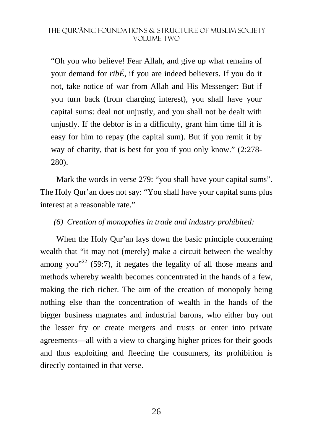"Oh you who believe! Fear Allah, and give up what remains of your demand for *ribÉ*, if you are indeed believers. If you do it not, take notice of war from Allah and His Messenger: But if you turn back (from charging interest), you shall have your capital sums: deal not unjustly, and you shall not be dealt with unjustly. If the debtor is in a difficulty, grant him time till it is easy for him to repay (the capital sum). But if you remit it by way of charity, that is best for you if you only know." (2:278- 280).

Mark the words in verse 279: "you shall have your capital sums". The Holy Qur'an does not say: "You shall have your capital sums plus interest at a reasonable rate."

#### *(6) Creation of monopolies in trade and industry prohibited:*

When the Holy Our'an lays down the basic principle concerning wealth that "it may not (merely) make a circuit between the wealthy among you"<sup>22</sup> (59:7), it negates the legality of all those means and methods whereby wealth becomes concentrated in the hands of a few, making the rich richer. The aim of the creation of monopoly being nothing else than the concentration of wealth in the hands of the bigger business magnates and industrial barons, who either buy out the lesser fry or create mergers and trusts or enter into private agreements—all with a view to charging higher prices for their goods and thus exploiting and fleecing the consumers, its prohibition is directly contained in that verse.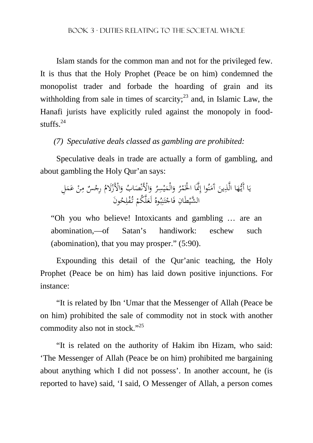Islam stands for the common man and not for the privileged few. It is thus that the Holy Prophet (Peace be on him) condemned the monopolist trader and forbade the hoarding of grain and its withholding from sale in times of scarcity;<sup>23</sup> and, in Islamic Law, the Hanafi jurists have explicitly ruled against the monopoly in foodstuffs $24$ 

## *(7) Speculative deals classed as gambling are prohibited:*

Speculative deals in trade are actually a form of gambling, and about gambling the Holy Qur'an says:

ا َ ي ا َ ه أَيـ َ ين ِ ال وا ذ ُ ن َ ِنمَا آَم إ ُ ر ْ َم ْ الخ ُ ر ْسِ ي َ الْم َ اب و ُ َ ْص ْالأَن َ و ُ َْلام ْالأَز َ و ٌ ْس ِرج ْ ن م ِل ِ َ َم ع ْطَانِ الشي ُ وه ُ ب ِ ن َ ت ْ اج َ ف ْ ُكم ل َ َون لَع ُ ح ِ ل ْ ُف تـ

"Oh you who believe! Intoxicants and gambling … are an abomination,—of Satan's handiwork: eschew such (abomination), that you may prosper." (5:90).

Expounding this detail of the Qur'anic teaching, the Holy Prophet (Peace be on him) has laid down positive injunctions. For instance:

"It is related by Ibn 'Umar that the Messenger of Allah (Peace be on him) prohibited the sale of commodity not in stock with another commodity also not in stock."<sup>25</sup>

"It is related on the authority of Hakim ibn Hizam, who said: 'The Messenger of Allah (Peace be on him) prohibited me bargaining about anything which I did not possess'. In another account, he (is reported to have) said, 'I said, O Messenger of Allah, a person comes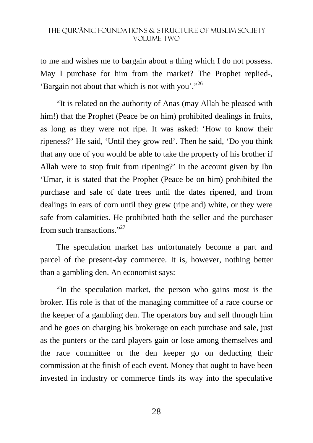to me and wishes me to bargain about a thing which I do not possess. May I purchase for him from the market? The Prophet replied-, 'Bargain not about that which is not with you'."<sup>26</sup>

"It is related on the authority of Anas (may Allah be pleased with him!) that the Prophet (Peace be on him) prohibited dealings in fruits, as long as they were not ripe. It was asked: 'How to know their ripeness?' He said, 'Until they grow red'. Then he said, 'Do you think that any one of you would be able to take the property of his brother if Allah were to stop fruit from ripening?' In the account given by Ibn 'Umar, it is stated that the Prophet (Peace be on him) prohibited the purchase and sale of date trees until the dates ripened, and from dealings in ears of corn until they grew (ripe and) white, or they were safe from calamities. He prohibited both the seller and the purchaser from such transactions."<sup>27</sup>

The speculation market has unfortunately become a part and parcel of the present-day commerce. It is, however, nothing better than a gambling den. An economist says:

"In the speculation market, the person who gains most is the broker. His role is that of the managing committee of a race course or the keeper of a gambling den. The operators buy and sell through him and he goes on charging his brokerage on each purchase and sale, just as the punters or the card players gain or lose among themselves and the race committee or the den keeper go on deducting their commission at the finish of each event. Money that ought to have been invested in industry or commerce finds its way into the speculative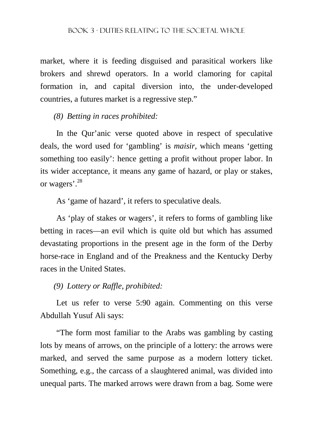#### BOOK 3 - DUTIES RELATING TO THE SOCIETAL WHOLE

market, where it is feeding disguised and parasitical workers like brokers and shrewd operators. In a world clamoring for capital formation in, and capital diversion into, the under-developed countries, a futures market is a regressive step."

#### *(8) Betting in races prohibited:*

In the Qur'anic verse quoted above in respect of speculative deals, the word used for 'gambling' is *maisir*, which means 'getting something too easily': hence getting a profit without proper labor. In its wider acceptance, it means any game of hazard, or play or stakes, or wagers'.<sup>28</sup>

As 'game of hazard', it refers to speculative deals.

As 'play of stakes or wagers', it refers to forms of gambling like betting in races—an evil which is quite old but which has assumed devastating proportions in the present age in the form of the Derby horse-race in England and of the Preakness and the Kentucky Derby races in the United States.

*(9) Lottery or Raffle, prohibited:* 

Let us refer to verse 5:90 again. Commenting on this verse Abdullah Yusuf Ali says:

"The form most familiar to the Arabs was gambling by casting lots by means of arrows, on the principle of a lottery: the arrows were marked, and served the same purpose as a modern lottery ticket. Something, e.g., the carcass of a slaughtered animal, was divided into unequal parts. The marked arrows were drawn from a bag. Some were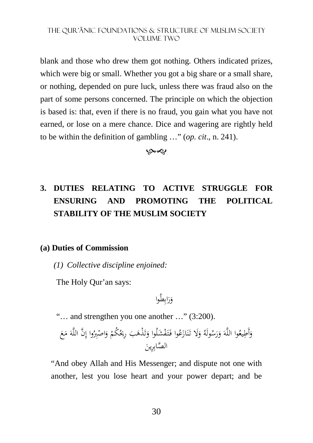blank and those who drew them got nothing. Others indicated prizes, which were big or small. Whether you got a big share or a small share, or nothing, depended on pure luck, unless there was fraud also on the part of some persons concerned. The principle on which the objection is based is: that, even if there is no fraud, you gain what you have not earned, or lose on a mere chance. Dice and wagering are rightly held to be within the definition of gambling …" (*op. cit*., n. 241).

صحب

## **3. DUTIES RELATING TO ACTIVE STRUGGLE FOR ENSURING AND PROMOTING THE POLITICAL STABILITY OF THE MUSLIM SOCIETY**

#### **(a) Duties of Commission**

*(1) Collective discipline enjoined:* 

The Holy Qur'an says:

ِطُوا اب ر و َ َ

"… and strengthen you one another …" (3:200).

وا ُ أَطِيع َ و َ الله َ و ُ ولَه ُ س َ ر َلا َ و وا ُ َع از َ ن َ ُ تـ وا ْ َشل ف َ تـَ فـ َ َب َْذه ت َ و ْ ُكم ُ وا ِريح ُ ِبر ْ اص َ ن ِ و إ َ الله َ ع َ م َ ِِرين الصاب

"And obey Allah and His Messenger; and dispute not one with another, lest you lose heart and your power depart; and be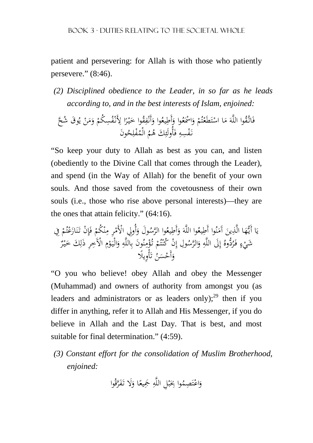patient and persevering: for Allah is with those who patiently persevere." (8:46).

*(2) Disciplined obedience to the Leader, in so far as he leads according to, and in the best interests of Islam, enjoined:* 

ُوا اتـق َ ف َ ا الله َ م ْ ُم ت ْ َطَع ت ْ اس وا ُ ع َ اسم ْ َ و وا ُ أَطِيع َ ُ و وا ق ِ ْف أَن َ و ً ر ْ يـ َ اخ ْ ُكم ُسِ ْف َنـ ْ لأِ ن َ م َ َوق و ُ ش ح ي ُ ِ ه ْسِ َف َك نـِ أُولَئ َ ف ُ م ُ َون ه ُ ح ِ ل ْ ف ُ الْم

"So keep your duty to Allah as best as you can, and listen (obediently to the Divine Call that comes through the Leader), and spend (in the Way of Allah) for the benefit of your own souls. And those saved from the covetousness of their own souls (i.e., those who rise above personal interests)—they are the ones that attain felicity." (64:16).

ا َ ي ا َ ه أَيـَ ين ِ ال وا ذ ُ ن َ آَم وا ُ ِيع أَط َ الل وا ه ُ أَطِيع َ و َول ُ س ِ أُولي الر َ و ِر ْ ْالأَم ْ ْ ُكم ن ْن ِ م ِ إ َ ف ْ ُم ت ْ َع از َ ن َ في تـ ِ ٍ ء ْ ُ شي َ دوه ُ ِ فـ َلى َر إ ِ الله ولِ ُ س الر َ ْن ِ و إ ْ ُم ت ْ ُ ك ُ َون ن ن ِ م ْ ُؤ ِ تـِالله ب ِ م ْ و َ الْيـَ و ِر َك ْالآَخِ ِ ذَل ٌ ر ْ يـَ خ ُ ن َ ْس أَح َ َ و أِْو ًيلا ت

"O you who believe! obey Allah and obey the Messenger (Muhammad) and owners of authority from amongst you (as leaders and administrators or as leaders only); <sup>29</sup> then if you differ in anything, refer it to Allah and His Messenger, if you do believe in Allah and the Last Day. That is best, and most suitable for final determination." (4:59).

*(3) Constant effort for the consolidation of Muslim Brotherhood, enjoined:* 

> وَاعْتَصِمُوا بِحَبْلِ اللَّهِ جَمِيعًا وَلَا تَفَرَّقُوا ً<br>أ ت ْ َ ْ ب <u>ٔ</u> ِم<br>ٍ ً َ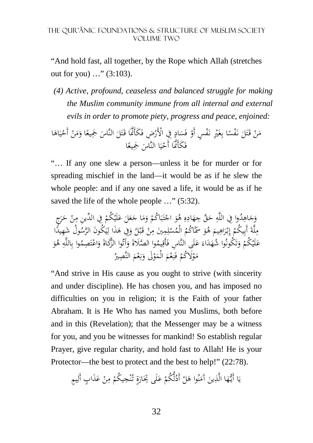"And hold fast, all together, by the Rope which Allah (stretches out for you) …" (3:103).

*(4) Active, profound, ceaseless and balanced struggle for making the Muslim community immune from all internal and external evils in order to promote piety, progress and peace, enjoined:* 

ْ ن َ م َ َل ت َ قـ ا ً ْس َف ِ نـ ْ َير غ ْ ب ٍس ِ َف نـ ْ أَو ٍ اد َ َس في ِض ف ِ ْ َ َكأَنم ْالأَر َا ف َ َل ت َ قـ َ الناس ا ً جمِيع َ ْ ن َ م َ و ا َ اه َ ي ْ أَح َ َكأَنمَا ف ا َ ي ْ أَح َ الناس ا ً َجمِيع

"… If any one slew a person—unless it be for murder or for spreading mischief in the land—it would be as if he slew the whole people: and if any one saved a life, it would be as if he saved the life of the whole people ..." (5:32).

وَجَاهِدُوا فِي اللَّهِ حَقَّ جِهَادِهِ هُوَ اجْتَبَاكُمْ وَمَا جَعَلَ عَلَيْكُمْ فِي الدِّينِ مِنْ حَرَجٍ<br>تَيْرَ عُمُ ₽, ً<br>ً و<br>ت ً ์<br>. ِ <u>ِ</u> َ ِ ر<br>ر ْ  $\ddot{\cdot}$ ب ً<br>أ ت ْ َ َ َ َ ْ **ٔ** َ .<br>-<br>-َ َ ة<br>ا مِلَّةَ أَبِيكُمْ إِبْرَاهِيمَ هُوَ سَمَّاكُمُ الْمُسْلِمِينَ مِنْ قَبْلُ وَفِي هَذَا لِيَكُونَ الرَّسُولُ شَهِيدًّا<br>كَفَكُمْ سَمَّ مِنْ مَدِينٍ عَلَى السَّاسِ وَأَسْدِينَ السَّاسَةِ وَفِي هَذَا لِيَكُونَ الرَّسُولُ شَهِي ِ<br>ِم ْ ِ َ **ِم** َ ا<br>ّْ َ ا ــ<br>أ :<br>. ِ<br>ِم ب َ َ ۵<br>ا ∶ُ ي ر<br>ا ْ ُكم َي ل ُ ع وا َ ُكون و اء د ُش ى ه ل ع ِ الناس وا ُ يم أَق َ ف ُو الصَلاة آَت َ او وا الزَكاة ُ ِصم اع و ِالله ب و ُ ه **∶** َ ت َ َ ا<br>ا َ  $\frac{1}{2}$ َ ِ َ و<br>. ً. ت ْ َ <u>ہ</u> َ ْ مَوْلَاكُمْ فَنِعْمَ الْمَوْلَى وَنِعْمَ النَّصِيرُ ْ َ َ ْ ِ ن ْ  $\overline{a}$ ا ْ ِ ز َ

"And strive in His cause as you ought to strive (with sincerity and under discipline). He has chosen you, and has imposed no difficulties on you in religion; it is the Faith of your father Abraham. It is He Who has named you Muslims, both before and in this (Revelation); that the Messenger may be a witness for you, and you be witnesses for mankind! So establish regular Prayer, give regular charity, and hold fast to Allah! He is your Protector—the best to protect and the best to help!" (22:78).

يَا أَيُّهَا الَّذِينَ آمَنُوا هَلْ أَدُلُّكُمْ عَلَى بِحَارَةٍ تُنْجِيكُمْ مِنْ عَذَابٍ أَلِيمٍ بہ<br>ا َ :<br>ا ِ ن  $\overline{a}$ ْ ْ ل َ َ َ ْ ن .<br>.<br>. ٍ<br>≀ َ ِ<br>ل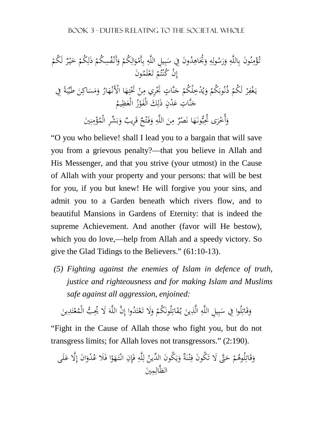ُ َون ن ِ م ْ ُؤ ِ تـِالله ب ِ ه ِ ول ُ س َ ر َ ُ و َون د ِ اه َ ُتج َ ِ ِ يل في ب و ِ َ س ِ الله ْ ُكم ِ ال َ و ْ أَم ِ ب ْ ُكم ُسِ ْف أَنـَ و ْ ُكم ِ ذَل ٌ ر ْ يـ َ خ ْ لَ ُكم ْن ِ إ ْ ُم ت ْ ُ ك َون ن ُ َم ل ْ َع تـ ْ ر ِ ْف غ َ يـ ْ لَ ُكم ْ ُكم َ ُوب ذُن ْ ْل ُكم ْدخِ ُ ي َ ٍ نات و َ ِري ْ ج َ تجْ ن ِ م ا َ ه ِ ت َ تحْ ُ ار َ ْه ْالأَنـَ ن اكِ َ َس م َ ً و ة َ ب في طَي ِ ِ نات َ ن َ <sup>ج</sup> ْدٍ َك ع ِ ذَل ُ ز ْ َو الْف ُ يم َظِ الْع َى ر ْ أُخ َ و ا َ َه ونـ ب ُتحِ ٌ َ ْصر ن َ ن ِ م ِ الله ٌ ْح ت َ فـ َ يب و ٌ ِر َ شِر ق َ ب َ َين و ِ ن ِ م ْ ؤ ُ الْم

"O you who believe! shall I lead you to a bargain that will save you from a grievous penalty?—that you believe in Allah and His Messenger, and that you strive (your utmost) in the Cause of Allah with your property and your persons: that will be best for you, if you but knew! He will forgive you your sins, and admit you to a Garden beneath which rivers flow, and to beautiful Mansions in Gardens of Eternity: that is indeed the supreme Achievement. And another (favor will He bestow), which you do love,—help from Allah and a speedy victory. So give the Glad Tidings to the Believers." (61:10-13).

*(5) Fighting against the enemies of Islam in defence of truth, justice and righteousness and for making Islam and Muslims safe against all aggression, enjoined:* 

وَقَاتِلُوا فِي سَبِيلِ اللَّهِ الَّذِينَ يُقَاتِلُونَكُمْ وَلَا تَعْتَدُوا إِنَّ اللَّهَ لَا يُحِبُّ الْمُعْتَدِينَ ِ َ َ **ـ** ِم<br>ٍ :<br>ا ِ <sup> $\mathbf$ </sup> ِ .<br>م َ ت ْ َ :<br>ا ِ ت ْ

"Fight in the Cause of Allah those who fight you, but do not transgress limits; for Allah loves not transgressors." (2:190).

ْ م ُ ُوه ل ِ ات َ ق َ و تى َ َ ُك َون ح َ لا ٌ ت ة َ ن ْ ِتـُك َون ف َ ي َ و ُ الدين ِ له ِ ل ِنِ إ َ ف ا ْ و َ َه تـْ ََلا انـ ان ف َ َ ُ ْدو َى ِلا ل َ ع إ ع َين مِ ِ الظال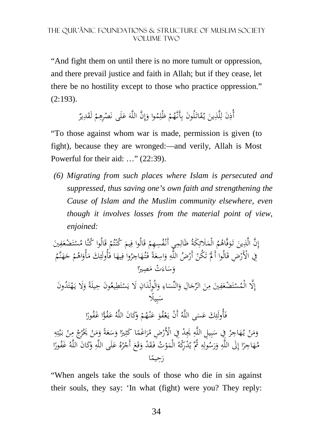"And fight them on until there is no more tumult or oppression, and there prevail justice and faith in Allah; but if they cease, let there be no hostility except to those who practice oppression." (2:193).

> أَذِنَ لِلَّذِينَ يُقَاتَلُونَ بِأَنَّهُمْ ظُلِمُوا وَإِنَّ اللَّهَ عَلَى نَصْرِهِمْ لَقَدِيزٌ ؚ  $\ddot{\phantom{0}}$ ِ ڶ ت<br>ا .<br>م ْ ِ ِ ِ َ َ َ ْ ِ ن ِ

"To those against whom war is made, permission is given (to fight), because they are wronged:—and verily, Allah is Most Powerful for their aid: ..." (22:39).

*(6) Migrating from such places where Islam is persecuted and suppressed, thus saving one's own faith and strengthening the Cause of Islam and the Muslim community elsewhere, even though it involves losses from the material point of view, enjoined:* 

ن ِ إ َ ين ِ الذ ُ م ُ فاه َ َو تـ ُ َكة ِ َلائ َ مِ الْم ي ِ ظَال ْ ِهم ُسِ ْف أَنـ الُوا َ ق َ يم ِ ف ْ ُم ت ْ ُ كن الُوا َ َين ُ كنا ق ِ ف َ َ ْضع ت ْ ُس م في ِض ِ ْ َ ْالأَر الُوا ق ْ َ أَلم ْ َ ُكن ْ ُض ت ِ أَر الله ً ة َ ع اسِ َ و وا ُ ر اجِ َ ُه تـ َ فـ ا َ ِيه َك ف ِ أُولَئ َ ف ْ م ُ اه َ أْو َ م ُ نم َ ه َ ج َ ْت اء َ س َ و ا ً ِصير َ م َين إ لا ِ ِ ف َ َ ْضع ت ْ ُس الْم َ ن ِ م الِ َ ج ِ الر اء َ النس َ و انِ َ ِولْد الْ َ و َ لا َون ُ َطِيع ت ْ َس ي ً َة ح َلا ِ يل َ ُ َون و َد ت ْ ه َ يـ ًيلا ِ ب َ س َك ِ أُولَئ ف ى َ َ َس ع ُ ْ أَن الله َ ُو ف ْ ع َ يـ ْ م ُ ْه نـ َ ان ع َك َ َ و ُ ُو الل ا ه ف َ ع ا ً ُور غَف ْ ن َ م َ و ْ ر اجِ َ ه ُ في ِ ِ يل يـ ب ِ َ س ِ ْد الله في َ يجِ ِض ْالأَ ِ ْ ر ا ً َ اغم َ ر ُ م ا ً ير ِ ث َ ك ً ة َ ع َ س َ و ْ ن َ م َ و ْ ُج َ يخْر ْ ن ِ م ِ ه ِ ت ْ ي َ بـ ا ً ر اجِ َ ه ُ م َلى ِ إ ِ الله ِ ه ِ ول ُ س َ ر َ و ُ ثم ُ ْدِرْكه ُ ْ ُت ي و َ َ ْد الْم َق فـ َ َع ق َ و ُ ه ُ ر ْ َ أَج ى ل َ ع ِ ان الله َك َ َ و ُ الل ا ه ً ُور َ غف ا ً يم َحِ ر

"When angels take the souls of those who die in sin against their souls, they say: 'In what (fight) were you? They reply: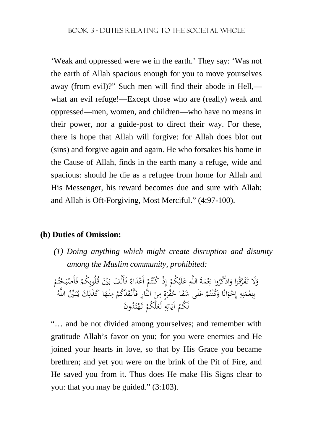'Weak and oppressed were we in the earth.' They say: 'Was not the earth of Allah spacious enough for you to move yourselves away (from evil)?" Such men will find their abode in Hell, what an evil refuge!—Except those who are (really) weak and oppressed—men, women, and children—who have no means in their power, nor a guide-post to direct their way. For these, there is hope that Allah will forgive: for Allah does blot out (sins) and forgive again and again. He who forsakes his home in the Cause of Allah, finds in the earth many a refuge, wide and spacious: should he die as a refugee from home for Allah and His Messenger, his reward becomes due and sure with Allah: and Allah is Oft-Forgiving, Most Merciful." (4:97-100).

### **(b) Duties of Omission:**

*(1) Doing anything which might create disruption and disunity among the Muslim community, prohibited:* 

َلا َ ُ و وا ق َر َف تـ وا ُ اذُْكر َ َ و ة َ م ْ ع ِ ن ِ الله ْ ُكم ْ َي ل َ ْذ ِ ع إ ْ ُم ت ْ ُ كن ً اء َ ْد َف أَع أَل َ َْ َين ف بـ ْ ُكم ُوبِ ل ُ قـْ ُم ت ْ َح ب ْ أَص َ ف ِ ه ِ ت َ م ْ ع ِ ن ِ ب ا ً ان َ و ْ ِخ إ ْ ُم ت ْ ُكن َ َى و ل َ ع ا َ شف َ ةٍ َ ْر ف ُ ح َ ن ِ النار م ِ ْ َ َذُكم ْق أَنـ َ ف ا َ ْه ِنـ َك م ِ ينُ َك َذل َ بـ ُ يـ ُ الله ْ لَ ُكم َ آَي ِ ه ِ ات ْ ُكم ل َ ُ َون لَع َد ت ْ َه تـ

"… and be not divided among yourselves; and remember with gratitude Allah's favor on you; for you were enemies and He joined your hearts in love, so that by His Grace you became brethren; and yet you were on the brink of the Pit of Fire, and He saved you from it. Thus does He make His Signs clear to you: that you may be guided." (3:103).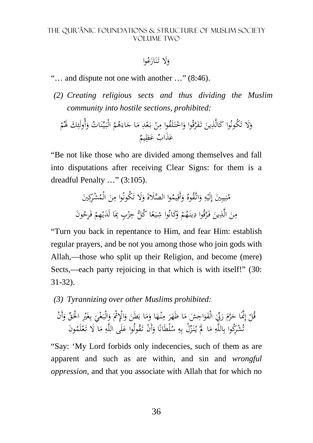وَلَا تَنَازَعُوا َ .<br>أ ن َ

### "… and dispute not one with another …" (8:46).

*(2) Creating religious sects and thus dividing the Muslim community into hostile sections, prohibited:* 

َلا َ و وا ُ َ ُكون ت َ ين ِ َكالذ ُوا ق َر َف تـ وا ُ َف ل َ تـ ْ اخ َ و ْ ن ِ م ِ د ْ ع َ ا بـ َ م ُ م ُ ه َ اء َ ات ج ُ َ ن يـ َ َك الْبـ ِ أُولَئ َ و ْ م ُ َ له اب ٌ َذ َ ع ٌ يم َظِ ع

"Be not like those who are divided among themselves and fall into disputations after receiving Clear Signs: for them is a dreadful Penalty …" (3:105).

َين ِ يب ِ ن ُ م ِ ه ْ لَي ِ إ ُ ُوه اتـق َ و وا ُ يم ِ أَق َ َ َلا و الصَلاة َ و وا ُ َ ُكون ت َ ن ِ َين م ْشِركِ ُ الْم َ ن ِ م َ ين ِ ال وا ذ ُ ق َر فـْ م ُ َه ِينـ ُ د وا َكان َ و ا ً ع َ يـٍب ُ ك ل شِ ْ ز ا حِ َ ِ بم ْ ِهم ْ ي َ َون لَد ُ ِرح َ ف

"Turn you back in repentance to Him, and fear Him: establish regular prayers, and be not you among those who join gods with Allah,—those who split up their Religion, and become (mere) Sects,—each party rejoicing in that which is with itself!" (30: 31-32).

*(3) Tyrannizing over other Muslims prohibited:* 

ْ ُل ِنمَا ق إ َ م ر َ ح َ بي َ َش ر احِ َ َو الْف ا َ م َ ر َ ظَه ا َ ْه ِنـ ا م َ م َ و َ طَن َ ب َ ْثم ْالإِ َ و َ ْي غ َ الْبـ َ و ِ ْ َير غ ق ِ ب َ أَن ْ ْ الح َ و ُ ْشِرُكوا ت ِ ِالله ا ب َ م ْ َ َ لم زْل نـ ُ ِ يـ ه ِ ب ا ً ْلطَان ُ أَن ْ س َ و ولُوا ُ َ تـ ى َق ل َ ع ِ ا الله َ َون م َ لا ُ َم ل ْ َع تـ

"Say: 'My Lord forbids only indecencies, such of them as are apparent and such as are within, and sin and *wrongful oppression*, and that you associate with Allah that for which no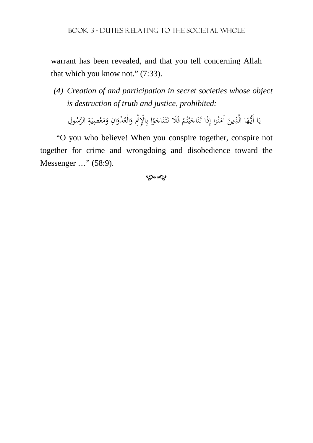warrant has been revealed, and that you tell concerning Allah that which you know not." (7:33).

*(4) Creation of and participation in secret societies whose object is destruction of truth and justice, prohibited:* 

يَا أَيُّهَا الَّذِينَ آمَنُوا إِذَا تَنَاجَيْتُمْ فَلَا تَتَنَاجَوْا بِالْإِثْمِ وَالْعُدْوَانِ وَمَعْصِيَةِ الرَّسُولِ ب<br>: َ ِ ن  $\overline{\phantom{a}}$ ا ْ ت .<br>: ي َ  $\ddot{\phantom{0}}$ ن َ <u>ٔ</u> َ  $\ddot{\phantom{0}}$ ن <u>بر</u> ت<br>ا ِ<br>با ب َ َ ï ∶' ْ  $\overline{a}$ َ

"O you who believe! When you conspire together, conspire not together for crime and wrongdoing and disobedience toward the Messenger …" (58:9).

بهي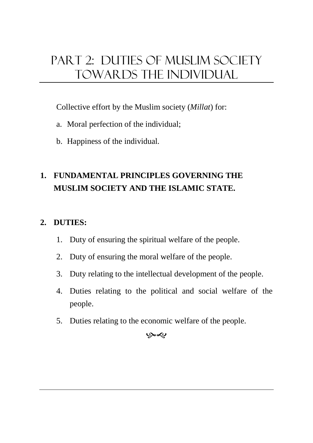# PART 2: DUTIES OF MUSLIM SOCIETY towards the individual

Collective effort by the Muslim society (*Millat*) for:

- a. Moral perfection of the individual;
- b. Happiness of the individual.

### **1. FUNDAMENTAL PRINCIPLES GOVERNING THE MUSLIM SOCIETY AND THE ISLAMIC STATE.**

### **2. DUTIES:**

- 1. Duty of ensuring the spiritual welfare of the people.
- 2. Duty of ensuring the moral welfare of the people.
- 3. Duty relating to the intellectual development of the people.
- 4. Duties relating to the political and social welfare of the people.
- 5. Duties relating to the economic welfare of the people.

### صحب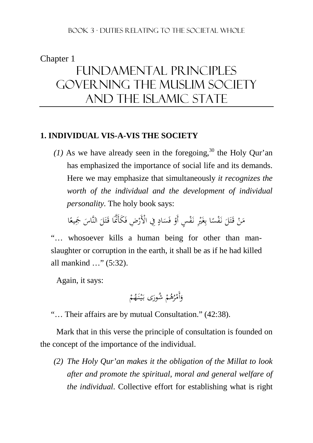# Chapter 1 FUNDAMENTAL PRINCIPLES GOVERNING THE MUSLIM SOCIETY AND THE ISLAMIC STATE

### **1. INDIVIDUAL VIS-A-VIS THE SOCIETY**

 $(1)$  As we have already seen in the foregoing,<sup>30</sup> the Holy Our'an has emphasized the importance of social life and its demands. Here we may emphasize that simultaneously *it recognizes the worth of the individual and the development of individual personality.* The holy book says:

.<br>-<br>-مَنْ قَتَلَ نَفْسًا بِغَيْرِ نَفْسٍ أَوْ فَسَادٍ فِي الْأَرْضِ فَكَأَنَّمَا قَتَلَ النَّاسَ جَمِيعًا  $\overline{a}$  $\overline{\phantom{0}}$ ت َ ً ْ ْ .<br>;  $\ddot{\phantom{0}}$ ِ ر<br>ا  $\overline{\phantom{0}}$ ت َ <u>َ</u> ً

"… whosoever kills a human being for other than manslaughter or corruption in the earth, it shall be as if he had killed all mankind …" (5:32).

Again, it says:

ْ م ُ ه ُ ر ْ أَم َ و ى َ ْ ُشور م ُ َه نـ ْ يـ َ بـ

"… Their affairs are by mutual Consultation." (42:38).

Mark that in this verse the principle of consultation is founded on the concept of the importance of the individual.

*(2) The Holy Qur'an makes it the obligation of the Millat to look after and promote the spiritual, moral and general welfare of the individual*. Collective effort for establishing what is right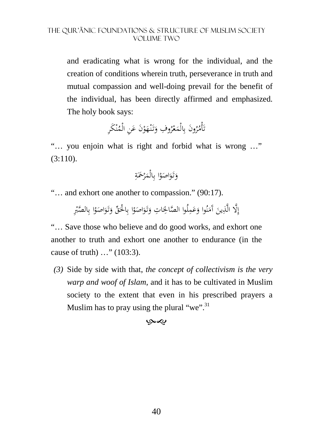and eradicating what is wrong for the individual, and the creation of conditions wherein truth, perseverance in truth and mutual compassion and well-doing prevail for the benefit of the individual, has been directly affirmed and emphasized. The holy book says:

> تَأْمُرُونَ بِالْمَعْرُوفِ وَتَنْهَوْنَ عَنِ الْمُنْكَرِ َ ْ  $\ddot{\phantom{0}}$ ْ َ َ َ **:** ن

"… you enjoin what is right and forbid what is wrong …" (3:110).

ا ْ و َ اص َ َو تـ َ و ِ ة َحمَ ْ ر َ ِالْم ب

"… and exhort one another to compassion." (90:17).

إِلَّا الَّذِينَ آمَنُوا وَعَمِلُوا الصَّالِحَاتِ وَتَوَاصَوْا بِالْحَقِّ وَتَوَاصَوْا بِالصَّبْرِ :<br>ا ِ ن  $\overline{a}$ َ **ٔ** تة<br>أ َ ْ  $\overline{a}$ َ **ٔ** ِ<br>با ْ  $\overline{\phantom{a}}$ َ َ ْ ِ<br>ب ب

"… Save those who believe and do good works, and exhort one another to truth and exhort one another to endurance (in the cause of truth) …" (103:3).

*(3)* Side by side with that, *the concept of collectivism is the very warp and woof of Islam*, and it has to be cultivated in Muslim society to the extent that even in his prescribed prayers a Muslim has to pray using the plural "we".<sup>31</sup>

$$
\mathfrak{g}_\mathcal{A}
$$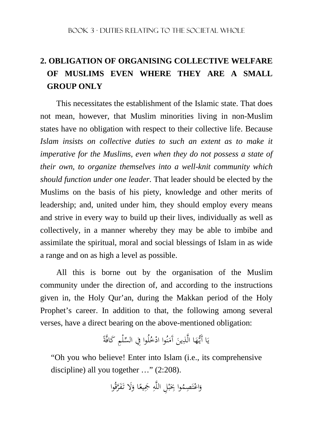## **2. OBLIGATION OF ORGANISING COLLECTIVE WELFARE OF MUSLIMS EVEN WHERE THEY ARE A SMALL GROUP ONLY**

This necessitates the establishment of the Islamic state. That does not mean, however, that Muslim minorities living in non-Muslim states have no obligation with respect to their collective life. Because *Islam insists on collective duties to such an extent as to make it imperative for the Muslims, even when they do not possess a state of their own, to organize themselves into a well-knit community which should function under one leader.* That leader should be elected by the Muslims on the basis of his piety, knowledge and other merits of leadership; and, united under him, they should employ every means and strive in every way to build up their lives, individually as well as collectively, in a manner whereby they may be able to imbibe and assimilate the spiritual, moral and social blessings of Islam in as wide a range and on as high a level as possible.

All this is borne out by the organisation of the Muslim community under the direction of, and according to the instructions given in, the Holy Qur'an, during the Makkan period of the Holy Prophet's career. In addition to that, the following among several verses, have a direct bearing on the above-mentioned obligation:

> يَا أَيُّهَا الَّذِينَ أَمَنُوا ادْخُلُوا فِي السِّلْمِ كَافَّةً ب<br>أ َ ِ ن  $\overline{\phantom{a}}$ ِ لْ

"Oh you who believe! Enter into Islam (i.e., its comprehensive discipline) all you together …" (2:208).

> وَاعْتَصِمُوا بِحَبْلِ اللَّهِ جَمِيعًا وَلَا تَفَرَّقُوا ً<br>أ ت ْ َ ْ ب َ ⊿<br>≀ ً َ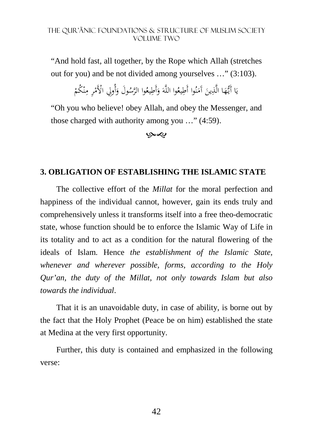"And hold fast, all together, by the Rope which Allah (stretches out for you) and be not divided among yourselves …" (3:103).

> يَا أَيُّهَا الَّذِينَ آَمَنُوا أَطِيعُوا اللَّهَ وَأَطِيعُوا الرَّسُولَ وَأُولِي الْأَمْرِ مِنْكُمْ با<br>ا َ َ ِ ن َ َ َ َ ْ ْ ن ِم<br>ِ

"Oh you who believe! obey Allah, and obey the Messenger, and those charged with authority among you …" (4:59).

بهمو

#### **3. OBLIGATION OF ESTABLISHING THE ISLAMIC STATE**

The collective effort of the *Millat* for the moral perfection and happiness of the individual cannot, however, gain its ends truly and comprehensively unless it transforms itself into a free theo-democratic state, whose function should be to enforce the Islamic Way of Life in its totality and to act as a condition for the natural flowering of the ideals of Islam. Hence *the establishment of the Islamic State, whenever and wherever possible, forms, according to the Holy Qur'an, the duty of the Millat, not only towards Islam but also towards the individual*.

That it is an unavoidable duty, in case of ability, is borne out by the fact that the Holy Prophet (Peace be on him) established the state at Medina at the very first opportunity.

Further, this duty is contained and emphasized in the following verse: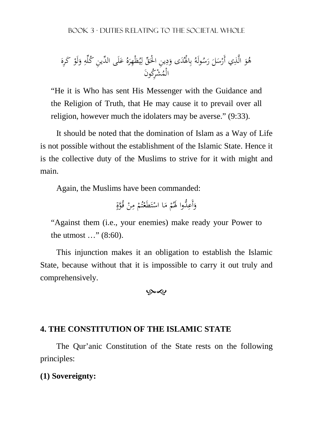َ و ُ ه ي ِ الذ َ ل َ ْس أَر ُ ولَه ُ س َ َ ر ى د ُ ْاله ب ِ ين ِ ِ د َ و ق َ ْ الح ُ ه َ ِهر ظْ ُ ي َ ل ى ِ ل َ ع الد ِ ين ِ ُ كله ْ لَو َ و َ َ كِره ْشِرُك َون ُ الْم

"He it is Who has sent His Messenger with the Guidance and the Religion of Truth, that He may cause it to prevail over all religion, however much the idolaters may be averse." (9:33).

It should be noted that the domination of Islam as a Way of Life is not possible without the establishment of the Islamic State. Hence it is the collective duty of the Muslims to strive for it with might and main.

Again, the Muslims have been commanded:

دوا أَعِ َ و ْ م ُ َ ا له َ م ْ ُم ت ْ َطَع ت ْ اس ْ ن ِ م ٍ ُوة قـ

"Against them (i.e., your enemies) make ready your Power to the utmost …" (8:60).

This injunction makes it an obligation to establish the Islamic State, because without that it is impossible to carry it out truly and comprehensively.

#### صحب

### **4. THE CONSTITUTION OF THE ISLAMIC STATE**

The Qur'anic Constitution of the State rests on the following principles:

### **(1) Sovereignty:**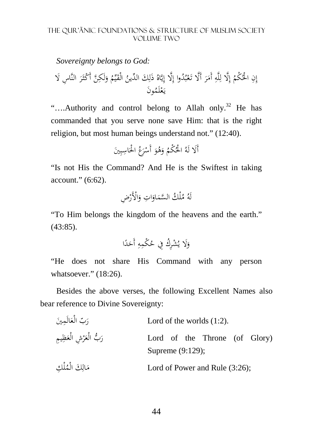*Sovereignty belongs to God:* 

إِنِ الْحُكْمُ إِلَّا لِلَّهِ أَمَرَ أَلَّا تَعْبُدُوا إِلَّا إِيَّاهُ ذَلِكَ الدِّينُ الْقَيِّمُ وَلَكِنَّ أَكْثَرَ النَّاسِ لَا<br>. ِ<br>ٍ ٳ ر<br>.  $\overline{\phantom{a}}$ ب ْ ِ ٍٍٍٍٍٍٍٍٍٍٍٍ ي Ä َ ر<br>. يَعْلَمُونَ<br>\* ْ يا<br>.

"....Authority and control belong to Allah only.<sup>32</sup> He has commanded that you serve none save Him: that is the right religion, but most human beings understand not." (12:40).

َ أَلا َ ل ُ ه ُ ْكم ُ ْ الح َ و ُ ه َ و ُ ع َ ر ْ َين أَس ِ ب اسِ َ ْ الح

"Is not His the Command? And He is the Swiftest in taking account." (6:62).

ُ ُك لَه لْ ُ ِ ات م َ او َ السم ِض ْ ْالأَر َ و

"To Him belongs the kingdom of the heavens and the earth." (43:85).

َلا َ ُ ْش و ِرُك في ي ِ ِ ه ْكمِ ُ ًد َ ح اأَ ح

"He does not share His Command with any person whatsoever." (18:26).

Besides the above verses, the following Excellent Names also bear reference to Divine Sovereignty:

| رَبّ الْعَالَمِينَ         | Lord of the worlds $(1:2)$ .                      |
|----------------------------|---------------------------------------------------|
| رَبُّ الْعَرْشِ الْعَظِيمِ | Lord of the Throne (of Glory)<br>Supreme (9:129); |
| مَالِكَ الْمُلْك           | Lord of Power and Rule $(3:26)$ ;                 |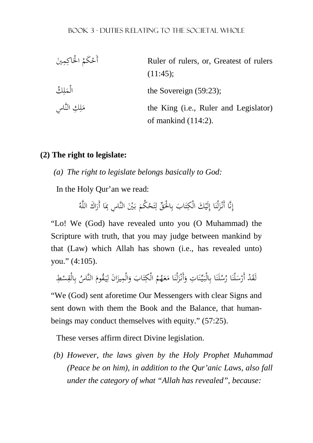#### BOOK 3 - DUTIES RELATING TO THE SOCIETAL WHOLE

| أَحْكَمُ الْحَاكِمِينَ | Ruler of rulers, or, Greatest of rulers |
|------------------------|-----------------------------------------|
|                        | (11:45);                                |
| الْمَلِكُ              | the Sovereign $(59:23)$ ;               |
| مَلِكِ النَّاسِ        | the King (i.e., Ruler and Legislator)   |
|                        | of mankind $(114:2)$ .                  |

### **(2) The right to legislate:**

*(a) The right to legislate belongs basically to God:* 

In the Holy Qur'an we read:

إِنَّا أَنْزَلْنَا إِلَيْكَ الْكِتَابَ بِالْحَقِّ لِتَحْكُمَ بَيْنَ النَّاسِ بِمَا أَرَاكَ اللَّهُ ِ  $\ddot{ }$ :<br>ز اٍ<br>ٍٍٍٍٍٍٍٍٍٍٍٍٍٍٍٍٍٍٍٍٍٍ ت َ ِ ب َ ْ ت لُ<br>ا ا ر<br>ا

"Lo! We (God) have revealed unto you (O Muhammad) the Scripture with truth, that you may judge between mankind by that (Law) which Allah has shown (i.e., has revealed unto) you." (4:105).

لَقَدْ أَرْسَلْنَا رُسُلَنَا بِالْبَيِّنَاتِ وَأَنْزَلْنَا مَعَهُمُ الْكِتَابَ وَالْمِيزَانَ لِيَقُومَ النَّاسُ بِالْقِسْطِ  $\ddot{\phantom{0}}$ **ـ**  $\ddot{\phantom{0}}$ .<br>أ  $\ddot{\cdot}$ .<br>أ ز<br>ا َ  $\overline{a}$ ً<br>أ ت َ َ َ َ ؚ<br>ٳ ل ْ .<br>ق ب

"We (God) sent aforetime Our Messengers with clear Signs and sent down with them the Book and the Balance, that humanbeings may conduct themselves with equity." (57:25).

These verses affirm direct Divine legislation.

*(b) However, the laws given by the Holy Prophet Muhammad (Peace be on him), in addition to the Qur'anic Laws, also fall under the category of what "Allah has revealed", because:*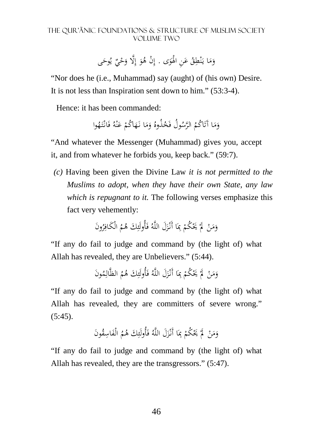ْن ِ إ َ و ُ ه لا ِ إ ٌ ْي ح َ و ى َ وح ُ ا . ي َ م َ و ُ ق ْطِ ن َ يـ ِن ع ى َ َ و َ ْ اله

"Nor does he (i.e., Muhammad) say (aught) of (his own) Desire. It is not less than Inspiration sent down to him." (53:3-4).

Hence: it has been commanded:

ا َ م َ و ُ اكم آَت ُول َ ُ ُ س الر ُ ُذوه ُ َخ ف ا َ م َ و ْ اكم ُ َ َه نـ ُ ْه ن َ ع وا ُ َه تـْ انـ َ ف

"And whatever the Messenger (Muhammad) gives you, accept it, and from whatever he forbids you, keep back." (59:7).

*(c)* Having been given the Divine Law *it is not permitted to the Muslims to adopt, when they have their own State, any law which is repugnant to it.* The following verses emphasize this fact very vehemently:

> .<br>-وَمَنْ ۖ لَمَ يَكْكُمْ بِمَا أَنْزَلَ اللَّهُ فَأُولَئِكَ هُمُ الْكَافِرُونَ َ َ **أ** ْ  $\hat{\cdot}$ .<br>ن ِ َ ِ

"If any do fail to judge and command by (the light of) what Allah has revealed, they are Unbelievers." (5:44).

ْ ن َ م َ و ْ َ لم ْ ُكم ا يح َ ْ َ بم َل ِ َ ْز أَنـ ُ َك الله ِ أُولَئ َ ف ُ م ُ ه ُ م ِ َون الظال

"If any do fail to judge and command by (the light of) what Allah has revealed, they are committers of severe wrong."  $(5:45)$ .

> .<br>.<br>. وَمَنْ ۚ لَمَ يَحْكُمْ بِمَا أَنْزَلَ اللَّهُ فَأُولَئِكَ هُمُ الْفَاسِقُونَ  $\overline{a}$ َ **أ** ْ  $\hat{a}$ َ ِ<br>پُ َ .<br>م

"If any do fail to judge and command by (the light of) what Allah has revealed, they are the transgressors." (5:47).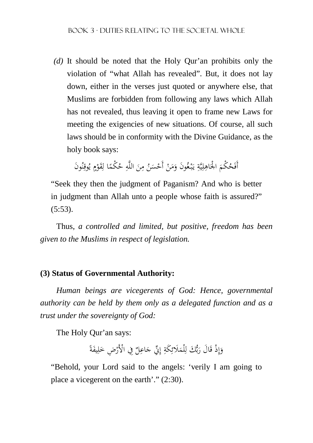*(d)* It should be noted that the Holy Qur'an prohibits only the violation of "what Allah has revealed". But, it does not lay down, either in the verses just quoted or anywhere else, that Muslims are forbidden from following any laws which Allah has not revealed, thus leaving it open to frame new Laws for meeting the exigencies of new situations. Of course, all such laws should be in conformity with the Divine Guidance, as the holy book says:

َ أَفَحُكْمَ الجُاهِلِيَّةِ يَبْغُونَ وَمَنْ أَحْسَنُ مِنَ اللَّهِ حُكْمًا لِقَوْمٍ يُوقِنُونَ ي ِ ₽, **ٔ** ْ يا<br>. .<br>-َ َ  $\ddot{\phantom{0}}$ َ ِم ِم<br>ٍ ً **ٍ** ،<br>' اِ ن ِ ي

"Seek they then the judgment of Paganism? And who is better in judgment than Allah unto a people whose faith is assured?"  $(5:53)$ .

Thus, *a controlled and limited, but positive, freedom has been given to the Muslims in respect of legislation.* 

### **(3) Status of Governmental Authority:**

*Human beings are vicegerents of God: Hence, governmental authority can be held by them only as a delegated function and as a trust under the sovereignty of God:* 

The Holy Qur'an says:

ْذ ِ إ َ َ و َال َك ق ب َ ر ِ َكة ِ َلائ َ ْلم ل ني ِ ِ إ ٌ ل اعِ في ِض َ ْ ج ِ ً ْالأَر َة ِيف ل َ خ

"Behold, your Lord said to the angels: 'verily I am going to place a vicegerent on the earth'." (2:30).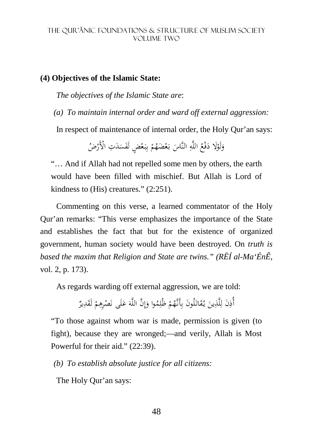### **(4) Objectives of the Islamic State:**

*The objectives of the Islamic State are*:

*(a) To maintain internal order and ward off external aggression:* 

In respect of maintenance of internal order, the Holy Qur'an says:

وَلَوْلَا دَفْعُ اللَّهِ النَّاسَ بَعْضَهُمْ بِبَعْضٍ لَفَسَدَتِ الْأَرْضُ ْ َ  $\ddot{ }$ <u>ہ</u> <u>َ</u> ْ ْ  $\ddot{\cdot}$ ا<br>ا </sub>

"… And if Allah had not repelled some men by others, the earth would have been filled with mischief. But Allah is Lord of kindness to (His) creatures." (2:251).

Commenting on this verse, a learned commentator of the Holy Qur'an remarks: "This verse emphasizes the importance of the State and establishes the fact that but for the existence of organized government, human society would have been destroyed. On *truth is based the maxim that Religion and State are twins." (RËÍ al-Ma'ÉnÊ*, vol. 2, p. 173).

As regards warding off external aggression, we are told:

أَذِنَ لِلّذِينَ يُقَاتَلُونَ بِأَنَّهُمْ ظُلِمُوا وَإِنَّ اللَّهَ عَلَى نَصْرِهِمْ لَقَدِيرٌ ِ  $\ddot{\phantom{0}}$ ِ ڶ ت<br>ا .<br>م ْ ِ ِ ِ َ َ َ ْ ِ ن ِ

"To those against whom war is made, permission is given (to fight), because they are wronged;—and verily, Allah is Most Powerful for their aid." (22:39).

*(b) To establish absolute justice for all citizens:* 

The Holy Qur'an says: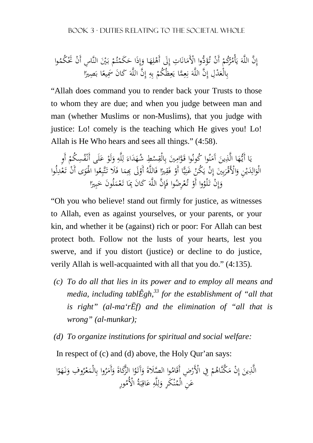ن ِ إ َ الله ْ ُكم ُ ر ُ أْم َ ْ أَن ي دوا َ ُؤ ِ ات تـَ ان َ ْالأَم َلى ِ إ ا َ ه ِ ل ْ ذَ أَه ا ِ إ َ و ْ ُم ت ْ َكم َ َْ َين ح ْ أَن بـ ِ الناس وا ُ ُكم َتحْ َ ْدلِ ب ن ِالْع ِ إ َ م الل ا ه ِ ع ِ ن ْ ظُ ُكم ِ ع َ ي ِ ه ب ن ِ إ الل ِ َ ان ه َ ك َ ا ً سمِيع َ ا ً ِصير َ ب

"Allah does command you to render back your Trusts to those to whom they are due; and when you judge between man and man (whether Muslims or non-Muslims), that you judge with justice: Lo! comely is the teaching which He gives you! Lo! Allah is He Who hears and sees all things." (4:58).

يَا أَيُّهَا الَّذِينَ آَمَنُوا كُونُوا قَوَّامِينَ بِالْقِسْطِ شُهَدَاءَ لِلَّهِ وَلَوْ عَلَى أَنْفُسِكُمْ أَوِ<br>عدد نَائمُّه على ذلك مُرِينَ وَيَسْتَدِينَ بِالْقِسْطِ شُهَدَاءَ لِلَّهِ وَلَوْ عَلَى أَنْفُسِكُمْ أَوِ يا<br>ر َ ِ ن َ ِ .<br>. ٍ<br>پر ب </sub> ا<br>ا ہے<br>ب ِم<br>ٍ ِ ْ َ َ ْ ِن د ال َين الْو بِ ْر ْالأَقـَ ْن و إ ُكن ي ا غَن أَو ا ير َق ف ُ الله ف َلى َ أَو ا م َ َلا ِِ ف وا ُ ع تب تـ ى َ و ْ أَن لُوا ْ اله د َع تـ <u>ب</u><br>: ي ٍ<br>ا ِ َ **ر** ا .<br>ئ يا<br>. ي ِ ْ زا<br>قا .<br>و ْ **ٌ** ِ َ ار<br>ا ِ ْ وَإِنْ تَلْوُوا أَوْ تُعْرِضُوا فَإِنَّ اللَّهَ كَانَ بِمَا تَعْمَلُونَ خَبِيرًا ا إ َ ْ ْ في<br>أ َ ُ<br>ا َ ِ َ ْ ً ب َ

"Oh you who believe! stand out firmly for justice, as witnesses to Allah, even as against yourselves, or your parents, or your kin, and whether it be (against) rich or poor: For Allah can best protect both. Follow not the lusts of your hearts, lest you swerve, and if you distort (justice) or decline to do justice, verily Allah is well-acquainted with all that you do." (4:135).

- *(c) To do all that lies in its power and to employ all means and media, including tablÊgh,<sup>33</sup> for the establishment of "all that is right" (al-ma'rËf) and the elimination of "all that is wrong" (al-munkar);*
- *(d) To organize institutions for spiritual and social welfare:*

In respect of (c) and (d) above, the Holy Qur'an says:

 $\ddot{\phantom{0}}$ الَّذِينَ إِنْ مَكَّنَاهُمْ فِي الْأَرْضِ أَقَامُوا الصَّلَاةَ وَآتَوْا الزَّكَاةَ وَأَمَرُوا بِالْمَعْرُوفِ وَنَهَوْا<br>الَّذِينَ إِنْ مَكَّنَاهُمْ فِي الْأَرْضِ أَقَامُوا الصَّلَاةَ وَآتَوْا الزَّكَاةَ وَأَمَرُوا بِالْمَع ِ ا ْ ر<br>. موا الصلاة وأنو<br>حُـــ ، الله عند الله َ ة<br>م ا َ َ َ ْ َ ْ َ َ عَنِ الْمُنْكَرِ وَلِلَّهِ عَاقِبَةُ الْأُمُورِ َ **:** ن ِ ا َ  $\ddot{\cdot}$ ب ٍ<br>قِ َ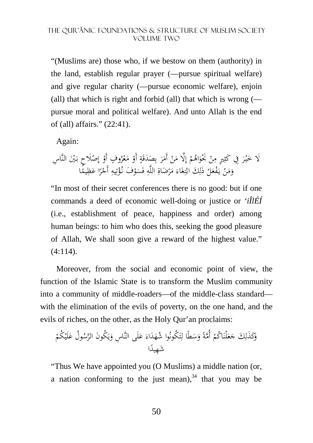"(Muslims are) those who, if we bestow on them (authority) in the land, establish regular prayer (—pursue spiritual welfare) and give regular charity (—pursue economic welfare), enjoin (all) that which is right and forbid (all) that which is wrong  $($  pursue moral and political welfare). And unto Allah is the end of (all) affairs." (22:41).

Again:

َ لا َ ر ْ يـَ في ٍير خ ِ ِ َ كث ْ ن ِ م ْ م ُ اه َ ْو ِلا َنج إ ْ ن َ م َ ر َ أَم ٍ َة ق َ د َ ب ِص ْ ٍوف أَو ُ ر ْ ع َ م ْ أَو َلا ٍح ْ َْ َين إ ِص بـ ِ الناس ْ ن َ م َ و ْ َل ْع ف َ َك يـِ ذَل َ اء َ غ ِ ت ْ ِ اب ْ َضاة ر َ م ِ َف الله ْ و َ َس ف ِ ِيه ت ْ ُؤ نـ ا ً ر ْ أَج ا ً يم َظِ ع

"In most of their secret conferences there is no good: but if one commands a deed of economic well-doing or justice or *'iÎlÉÍ* (i.e., establishment of peace, happiness and order) among human beings: to him who does this, seeking the good pleasure of Allah, We shall soon give a reward of the highest value."  $(4:114)$ .

Moreover, from the social and economic point of view, the function of the Islamic State is to transform the Muslim community into a community of middle-roaders—of the middle-class standard with the elimination of the evils of poverty, on the one hand, and the evils of riches, on the other, as the Holy Qur'an proclaims:

َك ِ َك َذل َ و ْ اكم ُ َ ْلن َ ع َ ً طًا َ ج أُمة س َ ُ و وا ُكون َ ت ِ ل َ اء َ د َ ُش ى ه َ ل ُك َون ع ِ الناس َ َ ي َ و ُول ُ س الر ْ ُكم ْ َي ل َ ع ا ً َشِهيد

"Thus We have appointed you (O Muslims) a middle nation (or, a nation conforming to the just mean),  $34$  that you may be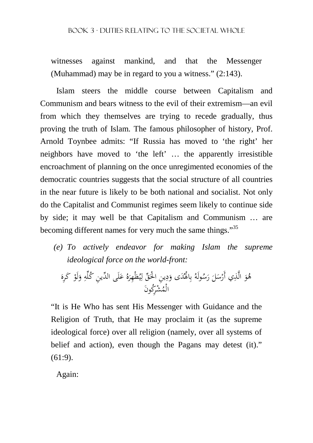witnesses against mankind, and that the Messenger (Muhammad) may be in regard to you a witness." (2:143).

Islam steers the middle course between Capitalism and Communism and bears witness to the evil of their extremism—an evil from which they themselves are trying to recede gradually, thus proving the truth of Islam. The famous philosopher of history, Prof. Arnold Toynbee admits: "If Russia has moved to 'the right' her neighbors have moved to 'the left' … the apparently irresistible encroachment of planning on the once unregimented economies of the democratic countries suggests that the social structure of all countries in the near future is likely to be both national and socialist. Not only do the Capitalist and Communist regimes seem likely to continue side by side; it may well be that Capitalism and Communism … are becoming different names for very much the same things."<sup>35</sup>

*(e) To actively endeavor for making Islam the supreme ideological force on the world-front:* 

َ و ُ ه ي ِ الذ َ ل َ ْس أَر ُ ولَه ُ س َ َ ر ى د ُ ْاله ب ِ ين ِ ِ د َ و ق َ ْ الح ُ ه َ ِهر ظْ ُ ي َ ل ى ِ ل َ ع الد ِ ين ِ ُ كله ْ لَو َ و َ َ كِره ْشِرُك َون ُ الْم

"It is He Who has sent His Messenger with Guidance and the Religion of Truth, that He may proclaim it (as the supreme ideological force) over all religion (namely, over all systems of belief and action), even though the Pagans may detest (it)."  $(61:9)$ .

Again: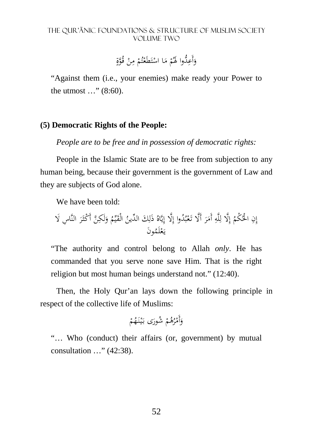دوا أَعِ َ و ْ م ُ َ ا له َ م ْ ُم ت ْ َطَع ت ْ اس ْ ن ِ م ٍ ُوة قـ

"Against them (i.e., your enemies) make ready your Power to the utmost …" (8:60).

### **(5) Democratic Rights of the People:**

*People are to be free and in possession of democratic rights:* 

People in the Islamic State are to be free from subjection to any human being, because their government is the government of Law and they are subjects of God alone.

We have been told:

ِنِ إ ُ ْكم ُ ِلا ْ الح إ ِ له ِ ل َ ر َ أَم أَلا وا ُ د ُ ب ْ َع ِلا تـ إ ُ اه ي ِ َك إ ِ ذَل ُ الدين ُ م ي َ ن الْق لَكِ َ و َ َر َ لا ِ الناس ْ أَكثـ َون ُ َم ل ْ ع َ يـ

"The authority and control belong to Allah *only*. He has commanded that you serve none save Him. That is the right religion but most human beings understand not." (12:40).

Then, the Holy Qur'an lays down the following principle in respect of the collective life of Muslims:

ْ م ُ ه ُ ر ْ أَم َ و ى َ ْ ُشور م ُ َه نـ ْ يـ َ بـ

"… Who (conduct) their affairs (or, government) by mutual consultation …" (42:38).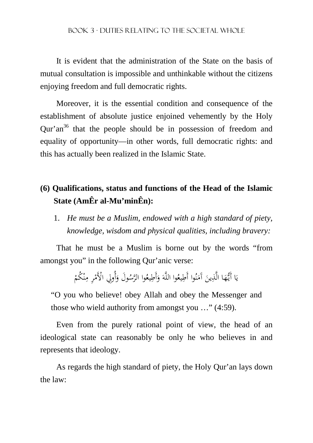#### BOOK 3 - DUTIES RELATING TO THE SOCIETAL WHOLE

It is evident that the administration of the State on the basis of mutual consultation is impossible and unthinkable without the citizens enjoying freedom and full democratic rights.

Moreover, it is the essential condition and consequence of the establishment of absolute justice enjoined vehemently by the Holy Our'an<sup>36</sup> that the people should be in possession of freedom and equality of opportunity—in other words, full democratic rights: and this has actually been realized in the Islamic State.

### **(6) Qualifications, status and functions of the Head of the Islamic State (AmÊr al-Mu'minÊn):**

1. *He must be a Muslim, endowed with a high standard of piety, knowledge, wisdom and physical qualities, including bravery:* 

That he must be a Muslim is borne out by the words "from amongst you" in the following Qur'anic verse:

> يَا أَيُّهَا الَّذِينَ آمَنُوا أَطِيعُوا اللَّهَ وَأَطِيعُوا الرَّسُولَ وَأُولِي الْأَمْرِ مِنْكُمْ يا<br>. َ َ ِ ن  $\overline{a}$ َ َ َ ْ ْ ن ِ

"O you who believe! obey Allah and obey the Messenger and those who wield authority from amongst you …" (4:59).

Even from the purely rational point of view, the head of an ideological state can reasonably be only he who believes in and represents that ideology.

As regards the high standard of piety, the Holy Qur'an lays down the law: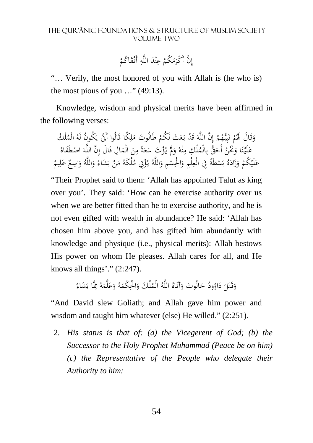إِنَّ أَكْرَمَكُمْ عِنْدَ اللَّهِ أَتْقَاكُمْ ِ ْ َ َ ن ₫. <sup> $\mathbf$ </sup>

"… Verily, the most honored of you with Allah is (he who is) the most pious of you  $\ldots$ " (49:13).

Knowledge, wisdom and physical merits have been affirmed in the following verses:

وَقَالَ هُمْ نَبِيُّهُمْ إِنَّ اللَّهَ قَدْ بَعَثَ لَكُمْ طَالُوتَ مَلِكًا قَالُوا أَنَّ يَكُونُ لَهُ الْمُلْكُ<br>وَيَدِيهُمْ فَيَنْهُمْ أَنْ اللَّهَ قَدْ بَعَثَ لَكُمْ طَالُوتَ مَلِكًا قَالُوا أَنَّ يَكُونُ لَهُ الْمُلْكُ َ ْ ْ ب ا ہ<br>ہ .<br>. ْ .<br>. ِ َ یہ<br>ء  $\overline{\mathfrak{l}}$ ٍ<br>م عَلَيْنَا وَخُنُ أَحَقُّ بِالْمُلْكِ مِنْهُ وَلَمْ يُؤْتَ سَعَةً مِنَ الْمَالِ قَالَ إِنَّ اللَّهَ اصْطَفَاهُ<br>بِهِ  $\ddot{\phantom{0}}$ ن **∶** ء<br>را ُ أَحْقَ بِالْمَلَكِ مِنْهُ وَلَمْ يَوْتَ سَعْهُ مِنْ الْمَالِ قَالَ إِنَّ اللَّهُ أَصْطَعَاهُ<br>فَيَ الْمَوْتَ بِالْمَانِعَ مِنْ اللَّهُ مِنْ اللَّهُ عَلَيْهِ مِنْ اللَّهُ مِنْ اللَّهُ مِنْ اللَّهُ الْمَسْ َ َ  $\overline{\mathfrak{l}}$ ن ِ **أ** َ ة<br>أ .<br>. .<br>. :<br>أ ِ<br>ِم َ اٍ ً<br>ً .<br>م ْ عَلَيْكُمْ وَزَادَهُ بَسْطَةً فِي الْعِلْمِ وَالْجِسْمِ وَاللَّهُ يُؤْتِي مُلْكَهُ مَنْ يَشَاءُ وَاللَّهُ وَاسِعٌ عَلِيمٌ **∶** َ  $\ddot{ }$ َ َ ة<br>م **ٔ** ِ ْ َ َ ْ :<br>- $\overline{\phantom{a}}$ ي َ َ ِ َ

"Their Prophet said to them: 'Allah has appointed Talut as king over you'. They said: 'How can he exercise authority over us when we are better fitted than he to exercise authority, and he is not even gifted with wealth in abundance? He said: 'Allah has chosen him above you, and has gifted him abundantly with knowledge and physique (i.e., physical merits): Allah bestows His power on whom He pleases. Allah cares for all, and He knows all things'." (2:247).

> $\overline{\phantom{0}}$ وَقَتَلَ دَاؤُودُ جَالُوتَ وَآتَاهُ اللَّهُ الْمُلْكَ وَالْحِكْمَةَ وَعَلَّمَهُ مِمَّا يَشَاءُ ت َ َ ٔ : .<br>. َ َ َ لْ ة<br>م  $\ddot{\phantom{0}}$ َ  $\overline{a}$ َ َ ِ ي

"And David slew Goliath; and Allah gave him power and wisdom and taught him whatever (else) He willed." (2:251).

2. *His status is that of: (a) the Vicegerent of God; (b) the Successor to the Holy Prophet Muhammad (Peace be on him) (c) the Representative of the People who delegate their Authority to him:*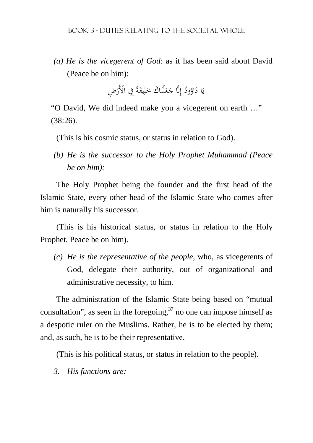*(a) He is the vicegerent of God*: as it has been said about David (Peace be on him):

ا َ ي ُ ود ُ او َ د ا ن ِ إ لْ َ ع َ ً يفة َ َ اك َ ج ن ِ ل في ِض َ ْ خ ِ ْالأَر

"O David, We did indeed make you a vicegerent on earth …" (38:26).

(This is his cosmic status, or status in relation to God).

*(b) He is the successor to the Holy Prophet Muhammad (Peace be on him):* 

The Holy Prophet being the founder and the first head of the Islamic State, every other head of the Islamic State who comes after him is naturally his successor.

(This is his historical status, or status in relation to the Holy Prophet, Peace be on him).

*(c) He is the representative of the people,* who, as vicegerents of God, delegate their authority, out of organizational and administrative necessity, to him.

The administration of the Islamic State being based on "mutual consultation", as seen in the foregoing, $37$  no one can impose himself as a despotic ruler on the Muslims. Rather, he is to be elected by them; and, as such, he is to be their representative.

(This is his political status, or status in relation to the people).

*3. His functions are:*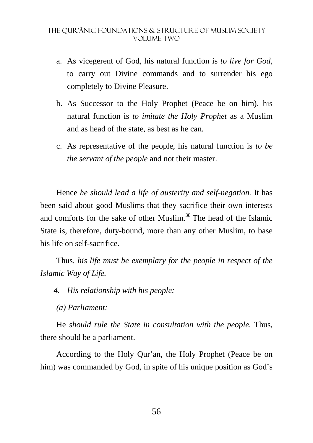- a. As vicegerent of God, his natural function is *to live for God,* to carry out Divine commands and to surrender his ego completely to Divine Pleasure.
- b. As Successor to the Holy Prophet (Peace be on him), his natural function is *to imitate the Holy Prophet* as a Muslim and as head of the state, as best as he can.
- c. As representative of the people, his natural function is *to be the servant of the people* and not their master.

Hence *he should lead a life of austerity and self-negation.* It has been said about good Muslims that they sacrifice their own interests and comforts for the sake of other Muslim.<sup>38</sup> The head of the Islamic State is, therefore, duty-bound, more than any other Muslim, to base his life on self-sacrifice.

Thus, *his life must be exemplary for the people in respect of the Islamic Way of Life.* 

*4. His relationship with his people:* 

*(a) Parliament:* 

He *should rule the State in consultation with the people.* Thus, there should be a parliament.

According to the Holy Qur'an, the Holy Prophet (Peace be on him) was commanded by God, in spite of his unique position as God's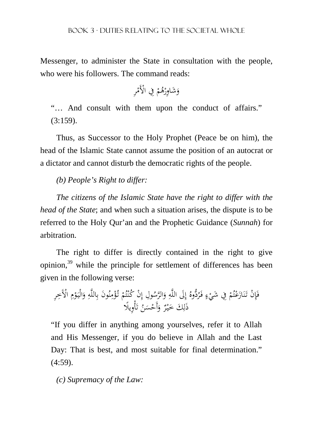Messenger, to administer the State in consultation with the people, who were his followers. The command reads:

ْ م ُ ه ْ َش ِاور َ في ِر و ِ ْ ْالأَم

"… And consult with them upon the conduct of affairs." (3:159).

Thus, as Successor to the Holy Prophet (Peace be on him), the head of the Islamic State cannot assume the position of an autocrat or a dictator and cannot disturb the democratic rights of the people.

*(b) People's Right to differ:* 

*The citizens of the Islamic State have the right to differ with the head of the State*; and when such a situation arises, the dispute is to be referred to the Holy Qur'an and the Prophetic Guidance (*Sunnah*) for arbitration.

The right to differ is directly contained in the right to give opinion,<sup>39</sup> while the principle for settlement of differences has been given in the following verse:

ْن إ ف ُم َع از في تـ ء ُ شي دوه ُ ِ فـ َلى َر إ الله ولِ ُ س الر ْن و إ ُم ُ ك ُ َون ن م ُؤ ِ تـ ِالله ب م و الْيـ و ِر ْالآَخِ ِ َ ْ ت ْ  $\ddot{\phantom{0}}$ ن ت<br>ا ِ ٍ .<br>. َ <u>ہ</u> َ ا ْ ت :<br>. ن ِ ةُ<br>م ِ ْ َ َ ذَلِكَ خَيْرٌ وَأَحْسَنُ تَأْوِيلًا ؚ<br>ٳ ْ َ  $\ddot{\phantom{0}}$ َ ت

"If you differ in anything among yourselves, refer it to Allah and His Messenger, if you do believe in Allah and the Last Day: That is best, and most suitable for final determination." (4:59).

*(c) Supremacy of the Law:*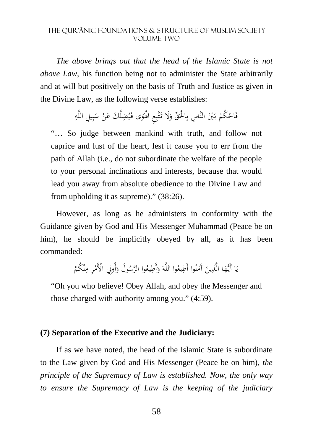*The above brings out that the head of the Islamic State is not above Law*, his function being not to administer the State arbitrarily and at will but positively on the basis of Truth and Justice as given in the Divine Law, as the following verse establishes:

> ْ فَاحْكُمْ بَيْنَ النَّاسِ بِالْحَقِّ وَلَا تَتَّبِعِ الْهَوَى فَيُضِلَّكَ عَنْ سَبِيلِ اللَّهِ ْ َ **ٔ** َ ِ َ َ ي َ .<br>-<br>-ِ ب **ـ** ِ

"… So judge between mankind with truth, and follow not caprice and lust of the heart, lest it cause you to err from the path of Allah (i.e., do not subordinate the welfare of the people to your personal inclinations and interests, because that would lead you away from absolute obedience to the Divine Law and from upholding it as supreme)." (38:26).

However, as long as he administers in conformity with the Guidance given by God and His Messenger Muhammad (Peace be on him), he should be implicitly obeyed by all, as it has been commanded:

> يَا أَيُّهَا الَّذِينَ آمَنُوا أَطِيعُوا اللَّهَ وَأَطِيعُوا الرَّسُولَ وَأُولِي الْأَمْرِ مِنْكُمْ يا<br>. َ َ ِ ن  $\overline{a}$ َ َ َ ْ ْ ن ِ

"Oh you who believe! Obey Allah, and obey the Messenger and those charged with authority among you." (4:59).

### **(7) Separation of the Executive and the Judiciary:**

If as we have noted, the head of the Islamic State is subordinate to the Law given by God and His Messenger (Peace be on him), *the principle of the Supremacy of Law is established. Now, the only way to ensure the Supremacy of Law is the keeping of the judiciary*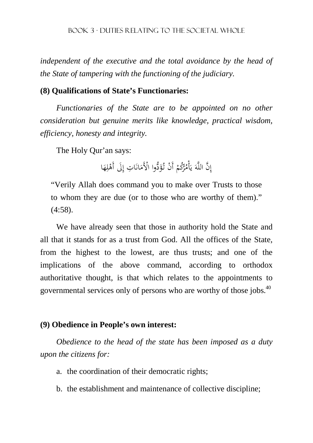#### BOOK 3 - DUTIES RELATING TO THE SOCIETAL WHOLE

*independent of the executive and the total avoidance by the head of the State of tampering with the functioning of the judiciary.* 

### **(8) Qualifications of State's Functionaries:**

*Functionaries of the State are to be appointed on no other consideration but genuine merits like knowledge, practical wisdom, efficiency, honesty and integrity.* 

The Holy Qur'an says:

إِنَّ اللَّهَ يَأْمُرُكُمْ أَنْ تُؤَدُّوا الْأَمَانَاتِ إِلَى أَهْلِهَا ا َ ْ يا<br>. َ .<br>.  $\overline{\phantom{a}}$ ا َ ِ å<br>
<sup>1</sup>

"Verily Allah does command you to make over Trusts to those to whom they are due (or to those who are worthy of them)." (4:58).

We have already seen that those in authority hold the State and all that it stands for as a trust from God. All the offices of the State, from the highest to the lowest, are thus trusts; and one of the implications of the above command, according to orthodox authoritative thought, is that which relates to the appointments to governmental services only of persons who are worthy of those jobs.<sup>40</sup>

### **(9) Obedience in People's own interest:**

*Obedience to the head of the state has been imposed as a duty upon the citizens for:* 

- a. the coordination of their democratic rights;
- b. the establishment and maintenance of collective discipline;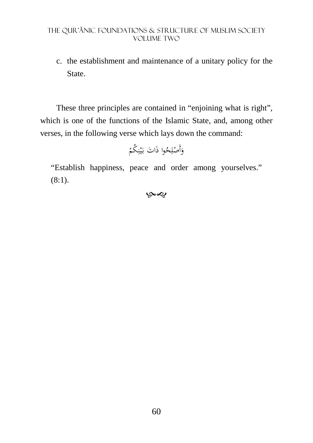c. the establishment and maintenance of a unitary policy for the State.

These three principles are contained in "enjoining what is right", which is one of the functions of the Islamic State, and, among other verses, in the following verse which lays down the command:

وا ُ ح ِ ل ْ أَص َ ات و َ ذَ ْ ُكم ِ ن ْ ي َ بـ

"Establish happiness, peace and order among yourselves." (8:1).

بهي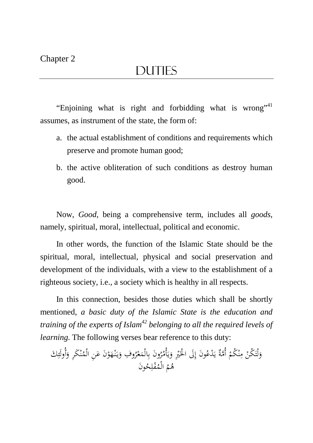# **DUTIES**

"Enjoining what is right and forbidding what is wrong"<sup>41</sup> assumes, as instrument of the state, the form of:

- a. the actual establishment of conditions and requirements which preserve and promote human good;
- b. the active obliteration of such conditions as destroy human good.

Now, *Good*, being a comprehensive term, includes all *goods*, namely, spiritual, moral, intellectual, political and economic.

In other words, the function of the Islamic State should be the spiritual, moral, intellectual, physical and social preservation and development of the individuals, with a view to the establishment of a righteous society, i.e., a society which is healthy in all respects.

In this connection, besides those duties which shall be shortly mentioned, *a basic duty of the Islamic State is the education and training of the experts of Islam<sup>42</sup> belonging to all the required levels of learning.* The following verses bear reference to this duty:

.<br>-<br>-ُكن لْت و ْ ُكم َون ٌ م أُمة ُ ْدع َلى ي إ َير َون ْ الخ ُ ر ُ أْم ِوف و ُ ر ع ِالْم َن ب و ْه نـَ يـ و ِن ع َكِر ُ َك الْم أُولَئ و <u>ً</u> َ ْ ن ِ يا<br>. اِ ٍ<br>ن ْ يا<br>. ي َ ْ **ِ** ْ َ َ َ **:** ن ِ َ هُمُ الْمُفْلِحُونَ ِ .<br>م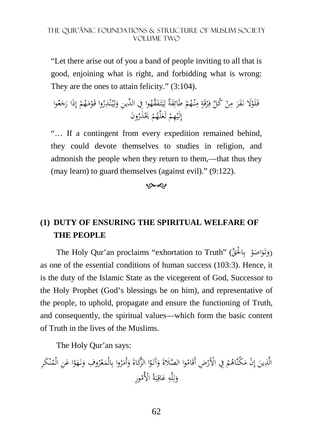"Let there arise out of you a band of people inviting to all that is good, enjoining what is right, and forbidding what is wrong: They are the ones to attain felicity." (3:104).

فَلَوْلَا نَفَرَ مِنْ كُلِّ فِرْقَةٍ مِنْهُمْ طَائِفَةٌ لِيَتَفَقَّهُوا فِي الدِّينِ وَلِيُنْذِرُوا قَوْمَهُمْ إِذَا رَجَعُوا ْ َ َ ِ <u>ۃ</u> ر<br>ا ِ <sup> $\mathbf$ </sup> ِ .<br>م :<br>ءَ .<br>: ي ؚ<br>ٳ ِ ن ؚ<br>ڸ ل َ ْ  $\overline{a}$ ْ ِ َ ْ لَيْهِمْ لَعَلَّهُمْ يَخْذَرُونَ ْ ٍٍ<br>ٍا إ ْ َ **ٔ** 

"… If a contingent from every expedition remained behind, they could devote themselves to studies in religion, and admonish the people when they return to them,—that thus they (may learn) to guard themselves (against evil)." (9:122).

صحب

### **(1) DUTY OF ENSURING THE SPIRITUAL WELFARE OF THE PEOPLE**

The Holy Qur'an proclaims "exhortation to Truth" (وَتَوَاصَوْ بِالْحَقِّ) <u>ٔ</u>  $\overline{\phantom{a}}$ َ َ َ ِ as one of the essential conditions of human success (103:3). Hence, it is the duty of the Islamic State as the vicegerent of God, Successor to the Holy Prophet (God's blessings be on him), and representative of the people, to uphold, propagate and ensure the functioning of Truth, and consequently, the spiritual values—which form the basic content of Truth in the lives of the Muslims.

The Holy Qur'an says:

 $\ddot{\phantom{0}}$ الَّذِينَ إِنْ مَكَّنَاهُمْ فِي الْأَرْضِ أَقَامُوا الصَّلَاةَ وَأتَوُا الزَّكَاةَ وَأَمَرُوا بِالْمَعْرُوفِ وَنَهَوْا عَنِ الْمُنْكَرِ<br>الَّذِينَ إِنْ مَكَّنَاهُمْ فِي الْأَرْضِ أَقَامُوا الصَّلَاةَ وَأتَوْا الزَّكَاةَ وَ ِ ِ ْ ر<br>( َ ة<br>م ا َ  $\overline{\phantom{a}}$ َ ْ  $\ddot{\phantom{0}}$ ْ َ َ َ **:** ن <u>ہ</u> وَلِلَّهِ عَاقِبَةُ الْأُمُورِ ِ<br>ل ل َ  $\ddot{\cdot}$ ب ِ<br>قِ َ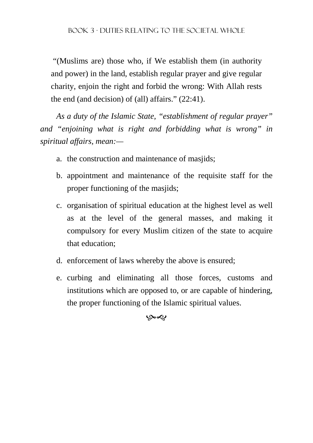"(Muslims are) those who, if We establish them (in authority and power) in the land, establish regular prayer and give regular charity, enjoin the right and forbid the wrong: With Allah rests the end (and decision) of (all) affairs." (22:41).

*As a duty of the Islamic State, "establishment of regular prayer" and "enjoining what is right and forbidding what is wrong" in spiritual affairs, mean:—* 

- a. the construction and maintenance of masjids;
- b. appointment and maintenance of the requisite staff for the proper functioning of the masjids;
- c. organisation of spiritual education at the highest level as well as at the level of the general masses, and making it compulsory for every Muslim citizen of the state to acquire that education;
- d. enforcement of laws whereby the above is ensured;
- e. curbing and eliminating all those forces, customs and institutions which are opposed to, or are capable of hindering, the proper functioning of the Islamic spiritual values.

### بهمو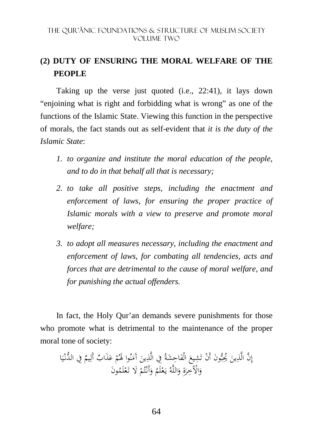## **(2) DUTY OF ENSURING THE MORAL WELFARE OF THE PEOPLE**

Taking up the verse just quoted (i.e., 22:41), it lays down "enjoining what is right and forbidding what is wrong" as one of the functions of the Islamic State. Viewing this function in the perspective of morals, the fact stands out as self-evident that *it is the duty of the Islamic State*:

- *1. to organize and institute the moral education of the people, and to do in that behalf all that is necessary;*
- *2. to take all positive steps, including the enactment and enforcement of laws, for ensuring the proper practice of Islamic morals with a view to preserve and promote moral welfare;*
- *3. to adopt all measures necessary, including the enactment and enforcement of laws, for combating all tendencies, acts and forces that are detrimental to the cause of moral welfare, and for punishing the actual offenders.*

In fact, the Holy Qur'an demands severe punishments for those who promote what is detrimental to the maintenance of the proper moral tone of society:

ن ِ إ َ ين ِ َون الذ ب ُ يح ْ أَن ِ َ َشِ يع ت ُ َشة احِ َ في الْف ِ َ ين ِ ال وا ذ ُ ن َ آَم ْ م ُ اب َ له ٌ َذ َ ع ٌ يم ِ في أَل ا ِ َ ي ْ الدنـ ةِ َ ر ْالآَخِ َ و ُ الله َ و ُ َم ل ْ ع َ يـْ ُم ت ْ أَنـَ َون و َ لا ُ َم ل ْ َع تـ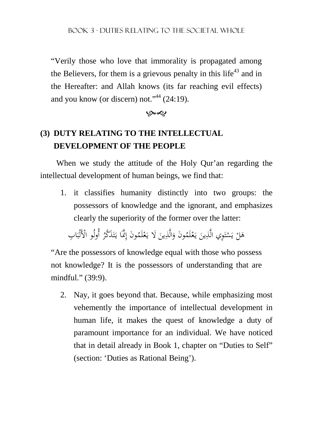"Verily those who love that immorality is propagated among the Believers, for them is a grievous penalty in this life<sup>43</sup> and in the Hereafter: and Allah knows (its far reaching evil effects) and you know (or discern) not."<sup>44</sup>  $(24:19)$ .

### صحب

### **(3) DUTY RELATING TO THE INTELLECTUAL DEVELOPMENT OF THE PEOPLE**

When we study the attitude of the Holy Qur'an regarding the intellectual development of human beings, we find that:

1. it classifies humanity distinctly into two groups: the possessors of knowledge and the ignorant, and emphasizes clearly the superiority of the former over the latter:

ْ هَلْ يَسْتَوِي الَّذِينَ يَعْلَمُونَ وَالَّذِينَ لَا يَعْلَمُونَ إِنَّمَا يَتَذَكَّرُ أُولُو الْأَلْبَابِ ً<br>أ ت ْ ي .<br>-ِ ْ یہ<br>ا :<br>ا ِ َ ْ بہ<br>ا ً. ت يا<br>.  $\ddot{\cdot}$ 

"Are the possessors of knowledge equal with those who possess not knowledge? It is the possessors of understanding that are mindful." (39:9).

2. Nay, it goes beyond that. Because, while emphasizing most vehemently the importance of intellectual development in human life, it makes the quest of knowledge a duty of paramount importance for an individual. We have noticed that in detail already in Book 1, chapter on "Duties to Self" (section: 'Duties as Rational Being').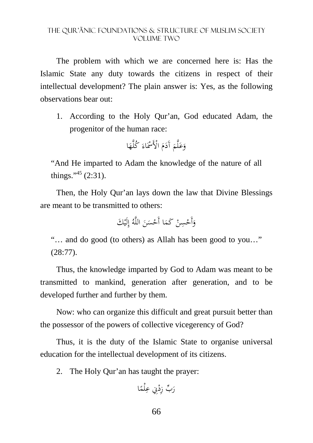The problem with which we are concerned here is: Has the Islamic State any duty towards the citizens in respect of their intellectual development? The plain answer is: Yes, as the following observations bear out:

1. According to the Holy Qur'an, God educated Adam, the progenitor of the human race:

َ لم َ ع َ و َ م َ آَد َ اء َ ْسم ْالأَ ا َ ُكله

"And He imparted to Adam the knowledge of the nature of all things."<sup>45</sup> (2:31).

Then, the Holy Qur'an lays down the law that Divine Blessings are meant to be transmitted to others:

ْ ن ْسِ أَح َ و ا َ َ كم َ ن َ ْس أَح ُ ْ َك الله لَي ِ إ

"… and do good (to others) as Allah has been good to you…" (28:77).

Thus, the knowledge imparted by God to Adam was meant to be transmitted to mankind, generation after generation, and to be developed further and further by them.

Now: who can organize this difficult and great pursuit better than the possessor of the powers of collective vicegerency of God?

Thus, it is the duty of the Islamic State to organise universal education for the intellectual development of its citizens.

2. The Holy Qur'an has taught the prayer:

ب َ ِني ر ْ زد ا ِ ً ْلم عِ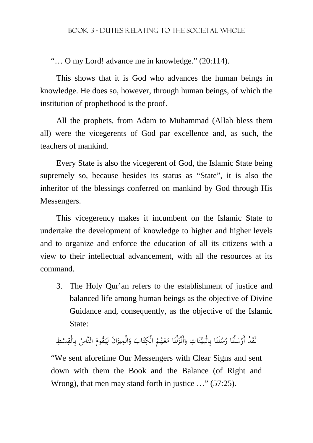"… O my Lord! advance me in knowledge." (20:114).

This shows that it is God who advances the human beings in knowledge. He does so, however, through human beings, of which the institution of prophethood is the proof.

All the prophets, from Adam to Muhammad (Allah bless them all) were the vicegerents of God par excellence and, as such, the teachers of mankind.

Every State is also the vicegerent of God, the Islamic State being supremely so, because besides its status as "State", it is also the inheritor of the blessings conferred on mankind by God through His Messengers.

This vicegerency makes it incumbent on the Islamic State to undertake the development of knowledge to higher and higher levels and to organize and enforce the education of all its citizens with a view to their intellectual advancement, with all the resources at its command.

3. The Holy Qur'an refers to the establishment of justice and balanced life among human beings as the objective of Divine Guidance and, consequently, as the objective of the Islamic State:

#### لَقَدْ أَرْسَلْنَا رُسُلَنَا بِالْبَيِّنَاتِ وَأَنْزَلْنَا مَعَهُمُ الْكِتَابَ وَالْمِيزَانَ لِيَقُومَ النَّاسُ بِالْقِسْطِ  $\ddot{\phantom{0}}$ **ـ**  $\ddot{\phantom{0}}$ .<br>أ  $\ddot{\cdot}$ .<br>أ ز<br>ا َ  $\overline{\phantom{a}}$ ت َ َ َ ؚ<br>ٳ ل ــ<br>أ ٍ<br>و ب

"We sent aforetime Our Messengers with Clear Signs and sent down with them the Book and the Balance (of Right and Wrong), that men may stand forth in justice ..." (57:25).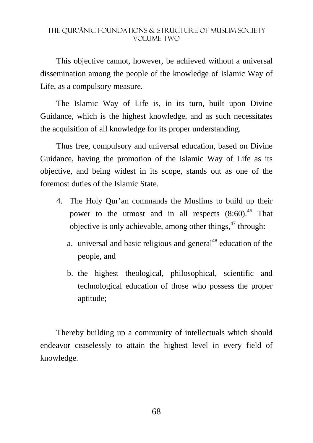This objective cannot, however, be achieved without a universal dissemination among the people of the knowledge of Islamic Way of Life, as a compulsory measure.

The Islamic Way of Life is, in its turn, built upon Divine Guidance, which is the highest knowledge, and as such necessitates the acquisition of all knowledge for its proper understanding.

Thus free, compulsory and universal education, based on Divine Guidance, having the promotion of the Islamic Way of Life as its objective, and being widest in its scope, stands out as one of the foremost duties of the Islamic State.

- 4. The Holy Qur'an commands the Muslims to build up their power to the utmost and in all respects  $(8:60)$ .<sup>46</sup> That objective is only achievable, among other things, $47$  through:
	- a. universal and basic religious and general<sup>48</sup> education of the people, and
	- b. the highest theological, philosophical, scientific and technological education of those who possess the proper aptitude;

Thereby building up a community of intellectuals which should endeavor ceaselessly to attain the highest level in every field of knowledge.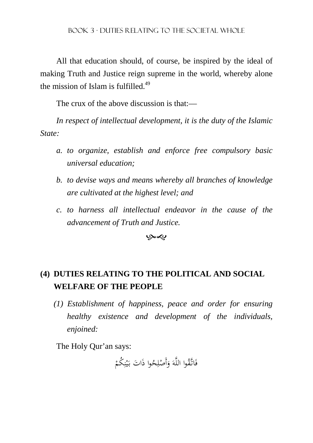### BOOK 3 - DUTIES RELATING TO THE SOCIETAL WHOLE

All that education should, of course, be inspired by the ideal of making Truth and Justice reign supreme in the world, whereby alone the mission of Islam is fulfilled  $49$ 

The crux of the above discussion is that —

*In respect of intellectual development, it is the duty of the Islamic State:* 

- *a. to organize, establish and enforce free compulsory basic universal education;*
- *b. to devise ways and means whereby all branches of knowledge are cultivated at the highest level; and*
- *c. to harness all intellectual endeavor in the cause of the advancement of Truth and Justice.*

#### صحب

### **(4) DUTIES RELATING TO THE POLITICAL AND SOCIAL WELFARE OF THE PEOPLE**

*(1) Establishment of happiness, peace and order for ensuring healthy existence and development of the individuals, enjoined:* 

The Holy Qur'an says:

ُوا اتـق َ ف َ الل وا ه ُ ح ِ ل ْ أَص َ ات و َ ذَ ْ ُكم ِ ن ْ ي َ بـ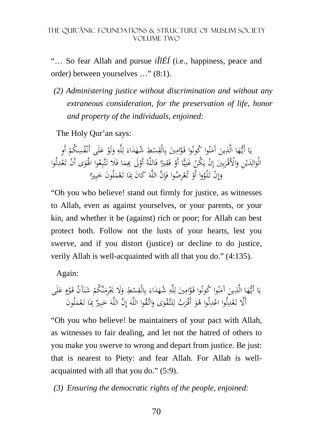"… So fear Allah and pursue *iÎlÉÍ* (i.e., happiness, peace and order) between yourselves …" (8:1).

*(2) Administering justice without discrimination and without any extraneous consideration, for the preservation of life, honor and property of the individuals, enjoined:* 

The Holy Qur'an says:

يَا أَيُّهَا الَّذِينَ آَمَنُوا كُونُوا قَوَّامِينَ بِالْقِسْطِ شُهَدَاءَ لِلَّهِ وَلَوْ عَلَى أَنْفُسِكُمْ أَوِ<br>مَدِينٍ فَائِمَّةٍ مِنْ مُرْكَبَةٍ مَنْ مَسْرَبِينَ وَيَسْتَغْفِظْ شَهْدَاءَ لِلَّهِ وَلَوْ عَلَى أَنْفُسِكُ يه<br>ر َ ِ ن  $\overline{a}$ ِ .<br>. ِ ب َ  $\overline{\phantom{a}}$ َ ₫. ِ ْ َ َ ْ ِن د ال َين الْو بِ ْر ْالأَقـَ ْن و إ ُكن ي ا غَن َ أَو اف ير ق ُ الله ف َلى َ أَو ا م َ َلا ِِ ف وا ُ ع تب تـ ى َ و ْ أَن لُوا ْ اله د َع تـ <u>ب</u><br>: ي ا<br>ا ِ َ ر<br>. ا .<br>ئ يا<br>. ي ِ ْ ا ا .<br>و ْ **ٌ** ِ َ َ ِ ْ وَإِنْ تَلْوُوا أَوْ تُعْرِضُوا فَإِنَّ اللَّهَ كَانَ بِمَا تَعْمَلُونَ خَبِيرًا ا إ َ ْ ْ في<br>أ َ ٔ<br>ا َ ِ  $\overline{a}$ ْ ً ب َ

"Oh you who believe! stand out firmly for justice, as witnesses to Allah, even as against yourselves, or your parents, or your kin, and whether it be (against) rich or poor; for Allah can best protect both. Follow not the lusts of your hearts, lest you swerve, and if you distort (justice) or decline to do justice, verily Allah is well-acquainted with all that you do." (4:135).

Again:

ا ي ا ه أَيـ ين ال وا ذ ُ آَم وا ُ َين ُ كون َوام ِ قـ له ل اء د ِط ُشه س َلا ب ِالْق و ُ نكم ِرم ُن َيج َ آ شن م َى َو قـ ل ع بہ<br>ا َ  $\ddot{\phantom{0}}$ ِ ن  $\overline{a}$ ِم ِ ء<br>ن ٍ<br>ا َ ْ ٍ<br>وَا ه<br>ء ْ  $\ddot{\cdot}$ <u>ٔ</u>  $\ddot{\phantom{0}}$ .<br>أ **ٍ** م<br>ر َ أَلَّا تَعْدِلُوا اعْدِلُوا هُوَ أَقْرَبُ لِلتَّقْوَى وَاتَّقُوا اللَّهَ إِنَّ اللَّهَ خَبِيرٌ ۚ كِا تَعْمَلُونَ ِ ْ َ َ ٍ<br>لِ َ ً<br>م ِ َ ب َ ُ<br>ا ِ  $\ddot{\phantom{0}}$ ْ

"Oh you who believe! be maintainers of your pact with Allah, as witnesses to fair dealing, and let not the hatred of others to you make you swerve to wrong and depart from justice. Be just: that is nearest to Piety: and fear Allah. For Allah is wellacquainted with all that you do." (5:9).

*(3) Ensuring the democratic rights of the people, enjoined:*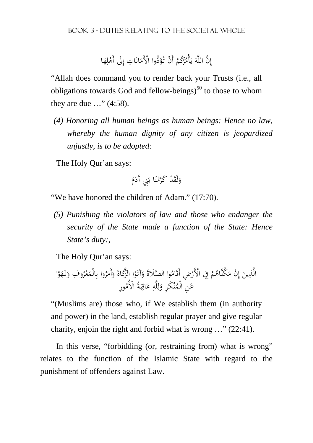إِنَّ اللَّهَ يَأْمُرُكُمْ أَنْ تُؤَدُّوا الْأَمَانَاتِ إِلَى أَهْلِهَا اٍ َ ْ یہ<br>ا َ .<br>ا  $\overline{\phantom{a}}$ ِ َ ا å<br>
<sup>1</sup>

"Allah does command you to render back your Trusts (i.e., all obligations towards God and fellow-beings)<sup>50</sup> to those to whom they are due …" (4:58).

*(4) Honoring all human beings as human beings: Hence no law, whereby the human dignity of any citizen is jeopardized unjustly, is to be adopted:* 

The Holy Qur'an says:

َ ْد لَق َ و ا َ ن ْ م ِني َ كر َ ب َ م َ آَد

"We have honored the children of Adam." (17:70).

*(5) Punishing the violators of law and those who endanger the security of the State made a function of the State: Hence State's duty:,* 

The Holy Qur'an says:

َ ين ِ ْن ال ذ ِ إ ْ م ُ كناه في ِض َ م ِ ْ ْالأَر وا ُ ام َ أَق َ الصَلاة ا ُ َو آَتـ َ َ و وا الزَكاة ُ ر َ أَم َ ِوف و ُ ر ْ ع َ ِالْم ب ا ْ و َ َه نـ َ و ِن َ ع َكِر ْ ن ُ ل الْم ِ ل َ و ِ ه ُ ة َ ب ِ اق َ ِور ع ُ ْالأُم

"(Muslims are) those who, if We establish them (in authority and power) in the land, establish regular prayer and give regular charity, enjoin the right and forbid what is wrong …" (22:41).

In this verse, "forbidding (or, restraining from) what is wrong" relates to the function of the Islamic State with regard to the punishment of offenders against Law.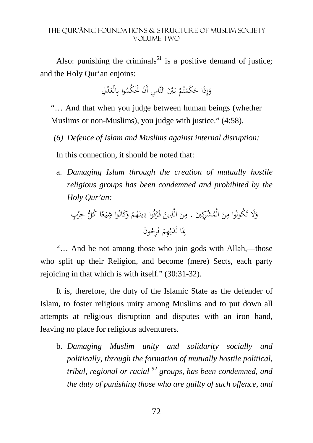Also: punishing the criminals<sup>51</sup> is a positive demand of justice; and the Holy Qur'an enjoins:

ذَا ِ إ َ و ْ ُم ت ْ َكم َ َْ َين ح ْ ن بـ ِ الناس أَ وا ُ ُكم َتحْ َ ْدلِ ِالْع ب

"… And that when you judge between human beings (whether Muslims or non-Muslims), you judge with justice." (4:58).

*(6) Defence of Islam and Muslims against internal disruption:* 

In this connection, it should be noted that:

a. *Damaging Islam through the creation of mutually hostile religious groups has been condemned and prohibited by the Holy Qur'an:* 

َ ن ِ م َ ين ِ ال وا ذ ُ ق َر فـ ْ م ُ َه ِينـُ <sup>د</sup> وا َكان َ و ا ً ع َ يـ ٍب ُ ك ل شِ ْ ز َلا . حِ َ و وا ُ َ ُكون ت َ ن ِ َين م ْشِركِ ُ الْم ا َ ِ بم ْ ِهم ْ ي َ َون لَد ُ ِرح َ ف

"… And be not among those who join gods with Allah,—those who split up their Religion, and become (mere) Sects, each party rejoicing in that which is with itself." (30:31-32).

It is, therefore, the duty of the Islamic State as the defender of Islam, to foster religious unity among Muslims and to put down all attempts at religious disruption and disputes with an iron hand, leaving no place for religious adventurers.

b. *Damaging Muslim unity and solidarity socially and politically, through the formation of mutually hostile political, tribal, regional or racial <sup>52</sup> groups, has been condemned, and the duty of punishing those who are guilty of such offence, and*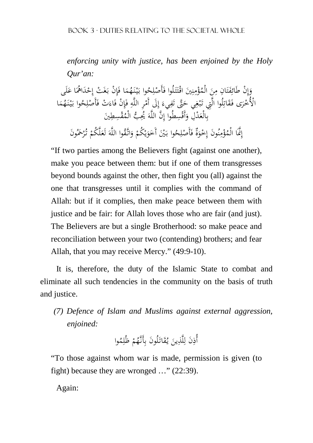*enforcing unity with justice, has been enjoined by the Holy Qur'an:* 

وَإِنْ طَائِفَتَانِ مِنَ الْمُؤْمِنِينَ اقْتَتَلُوا فَأَصْلِحُوا بَيْنَهُمَا فَإِنْ بَغَتْ إِحْدَاهُمَا عَلَى<br>وَإِنْ طَائِفَتَانِ مِنَ الْمُؤْمِنِينَ اقْتَتَلُوا فَأَصْلِحُوا بَيْنَهُمَا فَإِنْ بَغَتْ إِحْدَاهُمَا عَلَى ِ إ َ ً. ت .<br>م ِ<br>ئا :<br>؟ ِم<br>ِ ِ ن ∕' ْ مُؤْمِنِينَ افْتَتَلُوا فَأَصْلِحُوا بِينَهُ<br>مَدْ سَلَمَ اللّهُ عَنْ اللّهُ مِنْ اللّهُ <u>بر</u> ِّ ِ ْ َ َ **∶** ب<br>: ٳ في<br>أ َ ا<br>ا ـ<br>. َ َى ر ُوا ْالأُخ ل ات ال ي فـ ِتي َق غ تـ تى َ ح يء َف َلى ت إ ِر ِ أَم ْن الله إ َ ْت ف اء ف وا ُ ح ل أَص ف م ُ َه نـْ يـ بـ ا ْ ِ .<br>م ِ ْ ب م<br>ءَ َ ِ ْ ِم<br>ٍ ٳ ف<br>أ َ ا ْ َ  $\ddot{\phantom{0}}$ بہ<br>. َ بِالْعَدْلِ وَأَقْسِطُوا إِنَّ اللَّهَ يُحِبُّ الْمُقْسِطِينَ َ ا ً<br>م إِمَّا الْمُؤْمِنُونَ إِحْوَةٌ فَأَصْلِحُوا بَيْنَ أَخَوَيْكُمْ وَاتَّقُوا اللَّهَ لَعَلَّكُمْ تُرْحَمُونَ ن ∕' ْ َ ْ ِ ْ َ ْ <u>ب</u><br>: ي َ َ َ َ ْ َ .<br>ل

"If two parties among the Believers fight (against one another), make you peace between them: but if one of them transgresses beyond bounds against the other, then fight you (all) against the one that transgresses until it complies with the command of Allah: but if it complies, then make peace between them with justice and be fair: for Allah loves those who are fair (and just). The Believers are but a single Brotherhood: so make peace and reconciliation between your two (contending) brothers; and fear Allah, that you may receive Mercy." (49:9-10).

It is, therefore, the duty of the Islamic State to combat and eliminate all such tendencies in the community on the basis of truth and justice.

*(7) Defence of Islam and Muslims against external aggression, enjoined:* 

َن ِ أُذ َ ين ِ لذ ِ ُ َون ل ل َ اتـ َ ق ُ يـ ْ م ُ أَنـه ِ ب وا ُ م ِ ظُل

"To those against whom war is made, permission is given (to fight) because they are wronged …" (22:39).

Again: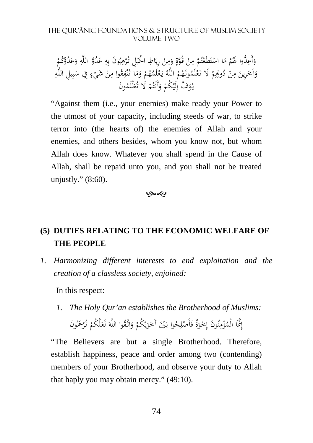وَأَعِدُّوا لَهُمْ مَا اسْتَطَعْتُمْ مِنْ قُوَّةٍ وَمِنْ رِبَاطِ الْخَيْلِ تُرْهِبُونَ بِهِ عَدُوَّ اللَّهِ وَعَدُوَّكُمْ<br>ءَ َ ْ <br>، ֓**֓**֓֝֘ ت ْ ت **ٔ** .<br>-<br>-ِ  $\ddot{\circ}$ .<br>-<br>-∕' ء<br>: با<br>بر ِ ْ ي َ ب ِ ر<br>. ِ<br>با ₫ ْ َ :<br>ا ِرين آَخ و ن م م وِِ ُ د َ لا م ُ َه ونـُ َم ل َع الل تـ ُ ه م ُ ه َم ل ع يـ ا م و وا ُ ق ْف ُ تـ ن م ء شي في ِ ِ يل ب ِ س الله َ َ .<br>-ِم ْ م الله يعلم<br>م*رَّد ع*َمَّة ْ ْ ْ يا<br>. َ َ ِ ن .<br>-<br>-ِم .<br>ء **ٔ** .<br>أ **ـ** ِ يُوَفٌ إِلَيْكُمْ وَأَنْتُمْ لَا تُظْلَمُونَ َ ْ ْ ٍ<br>ٍ∫ إ ْ ت .<br>. َ بر<br>ت

"Against them (i.e., your enemies) make ready your Power to the utmost of your capacity, including steeds of war, to strike terror into (the hearts of) the enemies of Allah and your enemies, and others besides, whom you know not, but whom Allah does know. Whatever you shall spend in the Cause of Allah, shall be repaid unto you, and you shall not be treated unjustly." (8:60).



## **(5) DUTIES RELATING TO THE ECONOMIC WELFARE OF THE PEOPLE**

*1. Harmonizing different interests to end exploitation and the creation of a classless society, enjoined:* 

In this respect:

*1. The Holy Qur'an establishes the Brotherhood of Muslims:* 

إِنَّمَا الْمُؤْمِنُونَ إِحْوَةٌ فَأَصْلِحُوا بَيْنَ أَحَوَيْكُمْ وَاتَّقُوا اللَّهَ لَعَلَّكُمْ تُرْحَمُونَ ن ∕' ْ َ ْ َ ا ْ <u>ب</u><br>: ي َ َ َ َ ْ َ .<br>ل

"The Believers are but a single Brotherhood. Therefore, establish happiness, peace and order among two (contending) members of your Brotherhood, and observe your duty to Allah that haply you may obtain mercy." (49:10).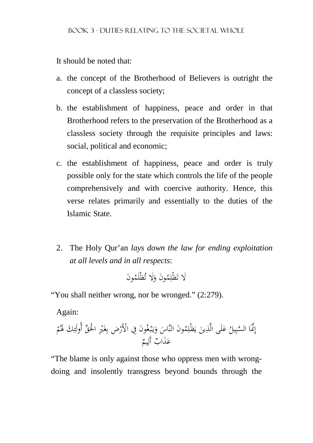It should be noted that:

- a. the concept of the Brotherhood of Believers is outright the concept of a classless society;
- b. the establishment of happiness, peace and order in that Brotherhood refers to the preservation of the Brotherhood as a classless society through the requisite principles and laws: social, political and economic;
- c. the establishment of happiness, peace and order is truly possible only for the state which controls the life of the people comprehensively and with coercive authority. Hence, this verse relates primarily and essentially to the duties of the Islamic State.
- 2. The Holy Qur'an *lays down the law for ending exploitation at all levels and in all respects*:

َ لا َون ُ م ِ َظْل َلا ت َ َون و ُ َم ُظْل ت

"You shall neither wrong, nor be wronged." (2:279).

Again:

ِنمَا إ ُ ِيل الس َى ب ل َ ع َ ين ِ َون الذ ُ م ِ ظْل َ ي َ ُ َون الناس غ ْ بـ َ يـ في ِض َ و ِ ْ ْالأَر ِ ْ َير غ ق ِ ب َ َك ْ الح ِ أُولَئ ْ م ُ َ له اب ٌ َذ َ ع ٌ يم ِ أَل

"The blame is only against those who oppress men with wrongdoing and insolently transgress beyond bounds through the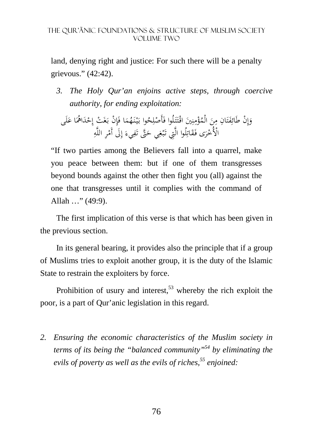land, denying right and justice: For such there will be a penalty grievous." (42:42).

*3. The Holy Qur'an enjoins active steps, through coercive authority, for ending exploitation:* 

ْن و انِ ف طَ ائ ن َين م م ؤ الْم ُ اقـ وا ل تـ ت وا ُ ح ل أَص ف ا م ُ َه نـ يـ ْن بـ إ َ ْت ف غ بـ ا َ ُ اهم د َ إ ى ِح ل ع ِ إ َ ً. ت .<br>م ِ َ ِم ِ ن ∕' ْ ُ ْ نڌ<br>ن ِّ ِ ْ َ  $\ddot{\phantom{0}}$ ْ بہ<br>أ ٳ فہ<br>أ َ ا<br>ا ْ َ الْأُخْرَى فَقَاتِلُوا الَّتِي تَبْغِي حَتَّى تَفِيءَ إِلَى أَمْرِ اللَّهِ ْ ِ<br>تِ .<br>م ِ **ٔ** ب َ </sub> ِ **ٔ** ِم<br>ٍ

"If two parties among the Believers fall into a quarrel, make you peace between them: but if one of them transgresses beyond bounds against the other then fight you (all) against the one that transgresses until it complies with the command of Allah …" (49:9).

The first implication of this verse is that which has been given in the previous section.

In its general bearing, it provides also the principle that if a group of Muslims tries to exploit another group, it is the duty of the Islamic State to restrain the exploiters by force.

Prohibition of usury and interest,<sup>53</sup> whereby the rich exploit the poor, is a part of Qur'anic legislation in this regard.

*2. Ensuring the economic characteristics of the Muslim society in terms of its being the "balanced community"<sup>54</sup> by eliminating the evils of poverty as well as the evils of riches,<sup>55</sup> enjoined:*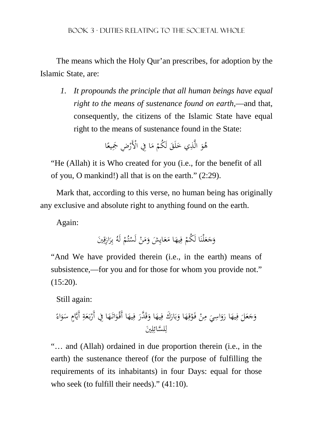The means which the Holy Qur'an prescribes, for adoption by the Islamic State, are:

*1. It propounds the principle that all human beings have equal right to the means of sustenance found on earth*,—and that, consequently, the citizens of the Islamic State have equal right to the means of sustenance found in the State:

َ و ُ ه ي ِ الذ َ َق ل َ خ ْ ا لَ ُكم َ في ِض م ِ ْ ْالأَر ا ً َجمِيع

"He (Allah) it is Who created for you (i.e., for the benefit of all of you, O mankind!) all that is on the earth." (2:29).

Mark that, according to this verse, no human being has originally any exclusive and absolute right to anything found on the earth.

Again:

ا َ ْلن َ ع َ ج َ و ْ لَ ُكم ا َ ِيه َش ف ِ اي َ ع َ م ْ ن َ م َ و ْ ُم ت ْ لَس ُ َين لَه ِ ِ ازق َ ر ِ ب

"And We have provided therein (i.e., in the earth) means of subsistence,—for you and for those for whom you provide not." (15:20).

Still again:

َ َل ع َ ج َ و ا َ ِيه ف َ ي اسِ َ و َ ر ْ ن ِ م ا َ ه ِ ق ْ َك َو فـ َ ار َ ب َ و ا َ ِيه ف َ در َ ق َ و ا َ ِيه ف ا َ َه اتـَ ْو في أَقـ ِ ِ ة َ ع َ بـ ْ امٍ أَر أَي ً اء َ و َ س َين ِ ل ِ لسائ ِ ل

"… and (Allah) ordained in due proportion therein (i.e., in the earth) the sustenance thereof (for the purpose of fulfilling the requirements of its inhabitants) in four Days: equal for those who seek (to fulfill their needs)." (41:10).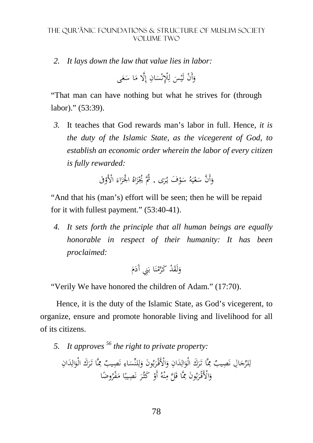*2. It lays down the law that value lies in labor:* 

أَن ْ َ و َ ْس لَي انِ َ ْس ن ْلإِ ِ ِلا ل ا إ َ م ى َ ع َ س

"That man can have nothing but what he strives for (through labor)." (53:39).

*3.* It teaches that God rewards man's labor in full. Hence, *it is the duty of the Islamic State, as the vicegerent of God, to establish an economic order wherein the labor of every citizen is fully rewarded:* 

> وَأَنَّ سَعْيَهُ سَوْفَ يُرَى . ثُمَّ يُجْزَاهُ الْجَزَاءَ الْأُوْفَى .<br>ن ْ َ .<br>ن **ٔ** ْ َ ∶' ي ْ **ـ** ْ ٔ<br>أ ر<br>.

"And that his (man's) effort will be seen; then he will be repaid for it with fullest payment." (53:40-41).

*4. It sets forth the principle that all human beings are equally honorable in respect of their humanity: It has been proclaimed:* 

َ ْد لَق َ و ا َ ن ْ م ِني َ كر َ ب َ م َ آَد

"Verily We have honored the children of Adam." (17:70).

Hence, it is the duty of the Islamic State, as God's vicegerent, to organize, ensure and promote honorable living and livelihood for all of its citizens.

*5. It approves <sup>56</sup> the right to private property:*  لِلرِّجَالِ نَصِيبٌ مِمَّا تَرَكَ الْوَالِدَانِ وَالْأَقْرَبُونَ وَلِلنِّسَاءِ نَصِيبٌ مِمَّا تَرَكَ الْوَالِدَانِ<br>الْفَرَّجَةِ الْوَالِدَانِ َ َ َ ا<br>ا ِ َ ب ر<br>ن ِ  $\ddot{\phantom{0}}$ ل َ َ ر<br>. َ ٍ<br>لِ َ وَالْأَقْرَبُونَ مِمَّا قَلَّ مِنْهُ أَوْ كَثْرَ نَصِيبًا مَفْرُوضًا ب َ ِ ن ِم ْ ر<br>ا ֓֝֝֝֝֝֝֝֝֝֝֝֝֝֝֝֝֝֝֝֝֝֝<del>֟</del> َ  $\overline{a}$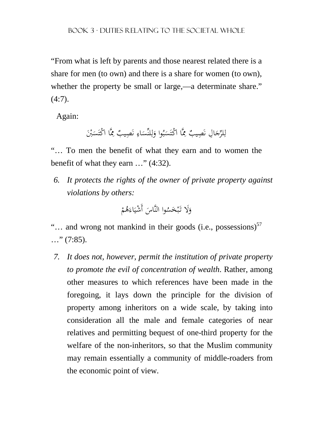"From what is left by parents and those nearest related there is a share for men (to own) and there is a share for women (to own), whether the property be small or large,—a determinate share."  $(4:7)$ .

Again:

لِلرِّجَالِ نَصِيبٌ مِمَّا اكْتَسَبُوا وَلِلنِّسَاءِ نَصِيبٌ مِمَّا اكْتَسَبْنَ َ .<br>نا ِ ب  $\ddot{\phantom{0}}$ ِ  $\ddot{\phantom{0}}$ ا َ .<br>نا ِ

"… To men the benefit of what they earn and to women the benefit of what they earn ..." (4:32).

*6. It protects the rights of the owner of private property against violations by others:* 

َلا َ و وا ُ َس ْخ ب َ تـَ الناس ْ م ُ ه َ اء َ أَشي ْ

"... and wrong not mankind in their goods (i.e., possessions) $<sup>57</sup>$ </sup>  $\ldots$ " (7:85).

*7. It does not, however, permit the institution of private property to promote the evil of concentration of wealth*. Rather, among other measures to which references have been made in the foregoing, it lays down the principle for the division of property among inheritors on a wide scale, by taking into consideration all the male and female categories of near relatives and permitting bequest of one-third property for the welfare of the non-inheritors, so that the Muslim community may remain essentially a community of middle-roaders from the economic point of view.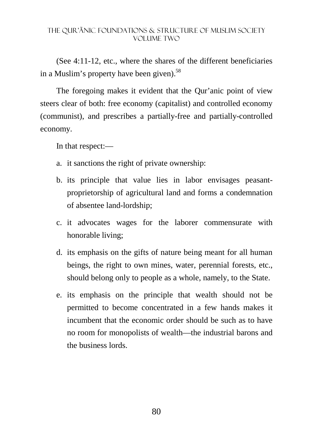(See 4:11-12, etc., where the shares of the different beneficiaries in a Muslim's property have been given).<sup>58</sup>

The foregoing makes it evident that the Qur'anic point of view steers clear of both: free economy (capitalist) and controlled economy (communist), and prescribes a partially-free and partially-controlled economy.

In that respect:—

- a. it sanctions the right of private ownership:
- b. its principle that value lies in labor envisages peasantproprietorship of agricultural land and forms a condemnation of absentee land-lordship;
- c. it advocates wages for the laborer commensurate with honorable living;
- d. its emphasis on the gifts of nature being meant for all human beings, the right to own mines, water, perennial forests, etc., should belong only to people as a whole, namely, to the State.
- e. its emphasis on the principle that wealth should not be permitted to become concentrated in a few hands makes it incumbent that the economic order should be such as to have no room for monopolists of wealth—the industrial barons and the business lords.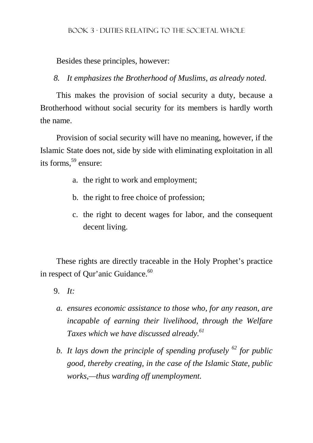#### BOOK 3 - DUTIES RELATING TO THE SOCIETAL WHOLE

Besides these principles, however:

*8. It emphasizes the Brotherhood of Muslims, as already noted.* 

This makes the provision of social security a duty, because a Brotherhood without social security for its members is hardly worth the name.

Provision of social security will have no meaning, however, if the Islamic State does not, side by side with eliminating exploitation in all its forms. $59$  ensure:

- a. the right to work and employment;
- b. the right to free choice of profession;
- c. the right to decent wages for labor, and the consequent decent living.

These rights are directly traceable in the Holy Prophet's practice in respect of Our'anic Guidance.<sup>60</sup>

- 9. *It:*
- *a. ensures economic assistance to those who, for any reason, are incapable of earning their livelihood, through the Welfare Taxes which we have discussed already.<sup>61</sup>*
- *b. It lays down the principle of spending profusely <sup>62</sup> for public good, thereby creating, in the case of the Islamic State, public works,—thus warding off unemployment.*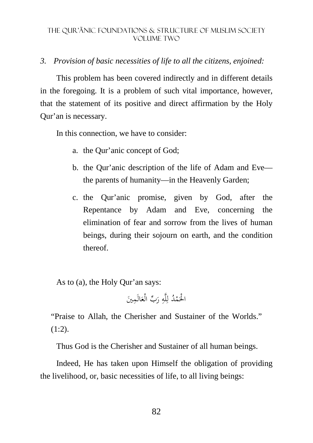*3. Provision of basic necessities of life to all the citizens, enjoined:* 

This problem has been covered indirectly and in different details in the foregoing. It is a problem of such vital importance, however, that the statement of its positive and direct affirmation by the Holy Qur'an is necessary.

In this connection, we have to consider:

- a. the Qur'anic concept of God;
- b. the Qur'anic description of the life of Adam and Eve the parents of humanity—in the Heavenly Garden;
- c. the Qur'anic promise, given by God, after the Repentance by Adam and Eve, concerning the elimination of fear and sorrow from the lives of human beings, during their sojourn on earth, and the condition thereof.

As to (a), the Holy Qur'an says:

الْحَمْدُ لِلَّهِ رَبِّ الْعَالَمِينَ **ٔ ٔ** <u>ہ</u> ِ َ َ

"Praise to Allah, the Cherisher and Sustainer of the Worlds."  $(1:2).$ 

Thus God is the Cherisher and Sustainer of all human beings.

Indeed, He has taken upon Himself the obligation of providing the livelihood, or, basic necessities of life, to all living beings: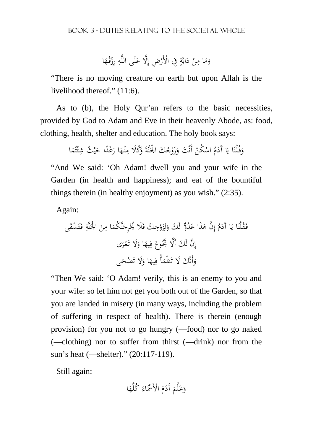وَمَا مِنْ دَابَّةٍ فِي الْأَرْضِ إِلَّا عَلَى اللَّهِ رِزْقُهَا  $\overline{a}$ َ .<br>.<br>. ِ <u>ۃ</u>  $\ddot{\phantom{0}}$ ِ ر<br>ا َ <u>ہ</u> َ ْ

"There is no moving creature on earth but upon Allah is the livelihood thereof." (11:6).

As to (b), the Holy Qur'an refers to the basic necessities, provided by God to Adam and Eve in their heavenly Abode, as: food, clothing, health, shelter and education. The holy book says:

> وَقُلْنَا يَا أَدَمُ اسْكُنْ أَنْتَ وَزَوْجُكَ الْجَنَّةَ وَكُلًا مِنْهَا رَغَدًا حَيْثُ شِئْتُمَا .<br>أ َ ب<br>أ  $\ddot{\phantom{0}}$ .<br>-<br>-**ٔ** .<br>. َ .<br>. َ َ .<br>. ً<br>ل ي َ َ ت ْ ئ

"And We said: 'Oh Adam! dwell you and your wife in the Garden (in health and happiness); and eat of the bountiful things therein (in healthy enjoyment) as you wish." (2:35).

Again:

ا َ ُْلن َق فـ ا َ ي ُ م َ آَد ن ِ إ َ و اهَ ذ ُ َد َك ع َك لَ ْجِ و َ ز ِ ل َ ََلا ا و ف َ ُ نكم َ ِرج ُيخْ َ ن ِ م ِ نة َ َ ْ الج ى َ ْشق ت َ فـ ن ِ أَلا َك إ لَ َ ُوع َ تج ا َ ف َلا ِيه َ و ى َ ر ْ َع تـ َك أَن َ و َ لا أُ َ َظْم ت ا َ ف َلا ِيه َ و ى َ َ ْضح ت

"Then We said: 'O Adam! verily, this is an enemy to you and your wife: so let him not get you both out of the Garden, so that you are landed in misery (in many ways, including the problem of suffering in respect of health). There is therein (enough provision) for you not to go hungry (—food) nor to go naked (—clothing) nor to suffer from thirst (—drink) nor from the sun's heat (—shelter)." (20:117-119).

Still again:

َ لم َ ع َ و َ م َ آَد َ اء َ ْسم ْالأَ ا َ ُكله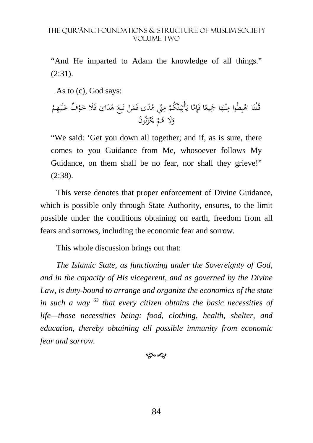"And He imparted to Adam the knowledge of all things."  $(2:31)$ .

As to (c), God says:

ا َ ُْلن قـ طُوا ِ ب ْ اه ا َ ْه ِنـ م ا ً جمِيع َ ما ِ إ َ ف ن َ يـِ أْت َ ي ْ ُ كم ني م ى ِ ً د ُ ه ْ ن َ َم ف َ ِع ب َ ت َ اي َ د ََلا ٌف ُ ه ف ْ و َ ْ خ ِهم ْ َي ل َ ع َلا َ و ْ م ُ ُ َون ه ن َ ز ْ َيح

"We said: 'Get you down all together; and if, as is sure, there comes to you Guidance from Me, whosoever follows My Guidance, on them shall be no fear, nor shall they grieve!" (2:38).

This verse denotes that proper enforcement of Divine Guidance, which is possible only through State Authority, ensures, to the limit possible under the conditions obtaining on earth, freedom from all fears and sorrows, including the economic fear and sorrow.

This whole discussion brings out that:

*The Islamic State, as functioning under the Sovereignty of God, and in the capacity of His vicegerent, and as governed by the Divine Law, is duty-bound to arrange and organize the economics of the state in such a way <sup>63</sup> that every citizen obtains the basic necessities of life—those necessities being: food, clothing, health, shelter, and education, thereby obtaining all possible immunity from economic fear and sorrow.* 

#### بهي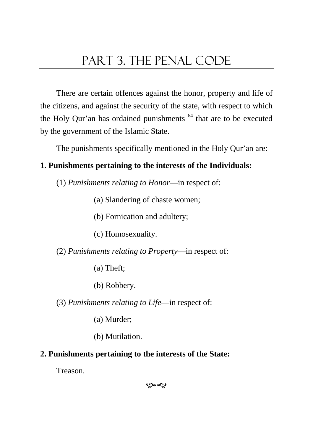There are certain offences against the honor, property and life of the citizens, and against the security of the state, with respect to which the Holy Qur'an has ordained punishments<sup>64</sup> that are to be executed by the government of the Islamic State.

The punishments specifically mentioned in the Holy Qur'an are:

### **1. Punishments pertaining to the interests of the Individuals:**

(1) *Punishments relating to Honor*—in respect of:

(a) Slandering of chaste women;

(b) Fornication and adultery;

(c) Homosexuality.

(2) *Punishments relating to Property*—in respect of:

(a) Theft;

(b) Robbery.

(3) *Punishments relating to Life*—in respect of:

(a) Murder;

(b) Mutilation.

## **2. Punishments pertaining to the interests of the State:**

Treason.

صحب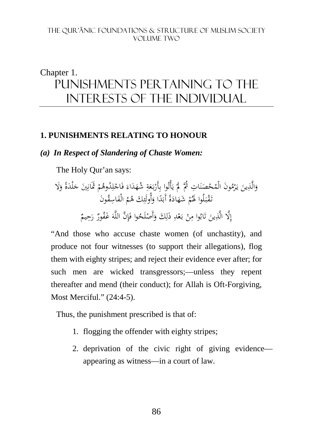## Chapter 1. Punishments pertaining to the interests of the individual

#### **1. PUNISHMENTS RELATING TO HONOUR**

#### *(a) In Respect of Slandering of Chaste Women:*

The Holy Qur'an says:

َ ين ِ الذ َ و َون ُ م ْ ر َ ِ ات يـ َ ن َ ْص ُح الْم ُ ثم ْ ُ َ لم وا أْت َ ي ِ ة َ ع َ بـ ْ أَر ِ ب َ اء َ د َ ْ ُشه م ُ ُوه د ِ ل ْ اج َ َين ف ِ ً َثمَان ة َ ْلد َ ج َ وَ لا ُوا ل َ بـ ْ َق تـ ْ م ُ ً َ له ة َ اد َ َشه ا ً د َ َك أَب ِ أُولَئ َ و ُ م ُ ُ َون ه ق اسِ َ الْف ِلا إ َ ين ِ ال وا ذ ُ اب َ ت ْ ن ِ م ِ د ْ ع َ َك بـ ِ ذَ وا ل ُ َح ل ْ أَص َ إ ن ِ َ و ف َ الله ٌ ُور غَف ٌ يم َحِ ر

"And those who accuse chaste women (of unchastity), and produce not four witnesses (to support their allegations), flog them with eighty stripes; and reject their evidence ever after; for such men are wicked transgressors;—unless they repent thereafter and mend (their conduct); for Allah is Oft-Forgiving, Most Merciful." (24:4-5).

Thus, the punishment prescribed is that of:

- 1. flogging the offender with eighty stripes;
- 2. deprivation of the civic right of giving evidence appearing as witness—in a court of law.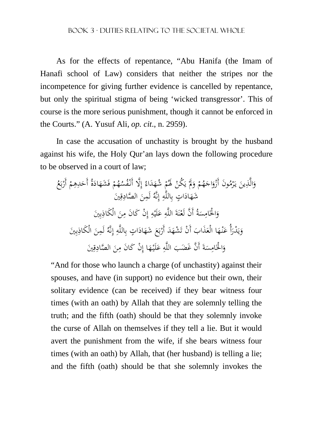#### BOOK 3 - DUTIES RELATING TO THE SOCIETAL WHOLE

As for the effects of repentance, "Abu Hanifa (the Imam of Hanafi school of Law) considers that neither the stripes nor the incompetence for giving further evidence is cancelled by repentance, but only the spiritual stigma of being 'wicked transgressor'. This of course is the more serious punishment, though it cannot be enforced in the Courts." (A. Yusuf Ali, *op. cit*., n. 2959).

In case the accusation of unchastity is brought by the husband against his wife, the Holy Qur'an lays down the following procedure to be observed in a court of law;

َ ين ِ الذ َ و َون ُ م ْ ر َ يـ ْ م ُ ه َ اج َ ْو أَز ْ َلم َ و ْ ُكن َ ي ْ م ُ َ له َ ُشه ُ اء د لا َ ِ إ ْ م ُ ه ُ ُس ْف أَنـ ُ ة َ اد َ َ َشه ف ْ م ِ ه ِ د َ أَح ُ ع َ ب ْ أَر ٍ ات َ اد َ َشه ِ ِالله ب ُ نه ِ إ َ ن َين لَمِ ِ ق ِ الصاد ُ ة َ س ِ ام َ ْ الخ َ َ و أَن ة َ ن ْ لَع ِ الله ِ ه ْ َي ل َ ْن ع ِ ان إ َ ك َ َ ن ِ َين م ِ ب ِ الْ َكاذ أُ َ ْدر َ ي َ و ا َ ْه نـ َ اب ع َ َذ َ َد الْع ْ أَن َ َ ْشه ت َ ع َ ب ْ ٍ ات أَر َ اد َ َشه الل ِ ب ِ ه ُ نه ِ إ َ ن َين لَمِ ِ ب ِ الْ َكاذ َ ة َ س ِ ام َ ْ الخ َ و أَن َ َضب َغ ِ الل ا ه َ ه ْ َيـ ل َ ان ْن َ ك َ ِ ع إ َ ن ِ َين م ِ ق ِ الصاد

"And for those who launch a charge (of unchastity) against their spouses, and have (in support) no evidence but their own, their solitary evidence (can be received) if they bear witness four times (with an oath) by Allah that they are solemnly telling the truth; and the fifth (oath) should be that they solemnly invoke the curse of Allah on themselves if they tell a lie. But it would avert the punishment from the wife, if she bears witness four times (with an oath) by Allah, that (her husband) is telling a lie; and the fifth (oath) should be that she solemnly invokes the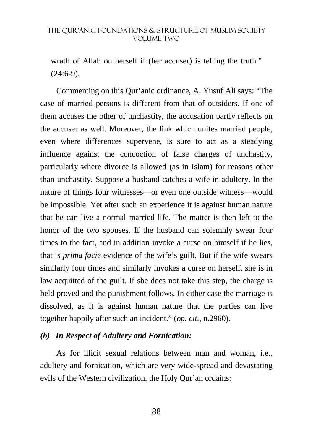wrath of Allah on herself if (her accuser) is telling the truth."  $(24:6-9)$ .

Commenting on this Qur'anic ordinance, A. Yusuf Ali says: "The case of married persons is different from that of outsiders. If one of them accuses the other of unchastity, the accusation partly reflects on the accuser as well. Moreover, the link which unites married people, even where differences supervene, is sure to act as a steadying influence against the concoction of false charges of unchastity, particularly where divorce is allowed (as in Islam) for reasons other than unchastity. Suppose a husband catches a wife in adultery. In the nature of things four witnesses—or even one outside witness—would be impossible. Yet after such an experience it is against human nature that he can live a normal married life. The matter is then left to the honor of the two spouses. If the husband can solemnly swear four times to the fact, and in addition invoke a curse on himself if he lies, that is *prima facie* evidence of the wife's guilt. But if the wife swears similarly four times and similarly invokes a curse on herself, she is in law acquitted of the guilt. If she does not take this step, the charge is held proved and the punishment follows. In either case the marriage is dissolved, as it is against human nature that the parties can live together happily after such an incident." (*op. cit.*, n.2960).

#### *(b) In Respect of Adultery and Fornication:*

As for illicit sexual relations between man and woman, i.e., adultery and fornication, which are very wide-spread and devastating evils of the Western civilization, the Holy Qur'an ordains: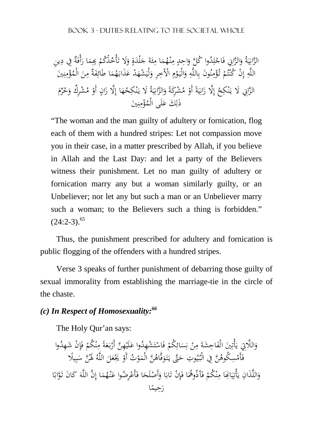ُ ة َ ي ِ الزِاني الزان َ ُ و وا د ِ ل ْ اج َ ف ُ كل ٍ د احِ َ و ا َ م ُ ْه ِنـ َ م ة َ ئ ِ م ٍ ة َ ْلد َ ج َلا َ و ْ ْذُكم ُ أْخ َ ت ا َ م ِِ ٌ َة أْف َ في ِ ين ر ِ ِ د ِ ْن الله ِ إ ْ ُم ت ْ ُ ك ُ َون ن ن ِ م ْ ُؤ ِ تـِالله ب ِ م ْ و َ الْيـَ و ِر َ ْد ْالآَخِ َ ْشه لْي َ و ا َ م ُ ه َ َذابـ َ ٌ َ ع ة ف ِ طَ ائ َ ن ِ َين م ِ ن ِ م ْ ؤ ُ الْم الز َ لا ِاني ُ ح ْكِ ن َ ِلا يـ إ ً ة َ ي ِ ان َ ز ْ أَو ً ُ ْشِرَكة ُ م ة َ ي ِ الزان َ و َ لا ا َ ه ُ ْكِح ن َ ِلا يـ إ انٍ َ ز ْ ُ ْش أَو ِرٌك م َ م ر ُ ح َ و َك ِ َى ل ذَ ل َ َين ع ِ ن ِ م ْ ؤ ُ الْم

"The woman and the man guilty of adultery or fornication, flog each of them with a hundred stripes: Let not compassion move you in their case, in a matter prescribed by Allah, if you believe in Allah and the Last Day: and let a party of the Believers witness their punishment. Let no man guilty of adultery or fornication marry any but a woman similarly guilty, or an Unbeliever; nor let any but such a man or an Unbeliever marry such a woman; to the Believers such a thing is forbidden."  $(24:2-3).$ <sup>65</sup>

Thus, the punishment prescribed for adultery and fornication is public flogging of the offenders with a hundred stripes.

Verse 3 speaks of further punishment of debarring those guilty of sexual immorality from establishing the marriage-tie in the circle of the chaste.

## *(c) In Respect of Homosexuality:<sup>66</sup>*

The Holy Qur'an says:

وَاللَّاتِي يَأْتِينَ الْفَاحِشَةَ مِنْ نِسَائِكُمْ فَاسْتَشْهِدُوا عَلَيْهِنَّ أَرْبَعَةً مِنْكُمْ فَإِنْ شَهِدُوا<br>وَاللَّاتِي َ ِ<br>بَا بہ<br>ا ي ءَ<br>ہ .<br>م .<br>-<br>-ِم<br>ِ ْ ِ<br>ئ ً<br>ً ِ<br>ب .<br>. َ ።<br>" َ َ بہ<br>. ر<br>( ْ ن ِ في<br>أ فَأَمْسِكُوهُنَّ فِي الْبُيُوتِ حَتَّى يَتَوَفَّاهُنَّ الْمَوْتُ أَوْ يَجْعَلَ اللَّهُ لَهُنَّ سَبِيلًا َ ي َ َ با<br>ا َ ْ ٍ<sup>ّ</sup> ْ ِ ب **ـ** وَاللَّذَانِ يَأْتِيَانِحَا مِنْكُمْ فَأَذُوهُمَا فَإِنْ تَابَا وَأَصْلَحَا فَأَعْرِضُوا عَنْهُمَا إِنَّ اللَّهَ كَانَ تَوَّابًا َ **∶** ي ؚ<br>ڹ ب<br>: ي ْ ن ∕' ا<br>ا ٳ في<br>أ َ َ َ ْ َ ْ َ **:** َ َ ِ َ ً رَحِيمًا ً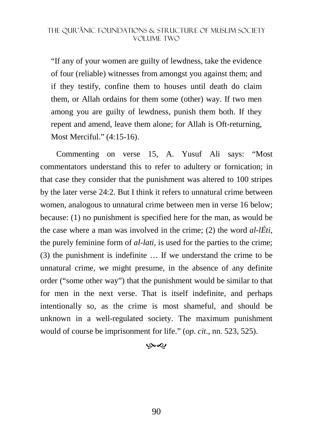"If any of your women are guilty of lewdness, take the evidence of four (reliable) witnesses from amongst you against them; and if they testify, confine them to houses until death do claim them, or Allah ordains for them some (other) way. If two men among you are guilty of lewdness, punish them both. If they repent and amend, leave them alone; for Allah is Oft-returning, Most Merciful." (4:15-16).

Commenting on verse 15, A. Yusuf Ali says: "Most commentators understand this to refer to adultery or fornication; in that case they consider that the punishment was altered to 100 stripes by the later verse 24:2. But I think it refers to unnatural crime between women, analogous to unnatural crime between men in verse 16 below; because: (1) no punishment is specified here for the man, as would be the case where a man was involved in the crime; (2) the word *al-lÉti*, the purely feminine form of *al-lati*, is used for the parties to the crime; (3) the punishment is indefinite … If we understand the crime to be unnatural crime, we might presume, in the absence of any definite order ("some other way") that the punishment would be similar to that for men in the next verse. That is itself indefinite, and perhaps intentionally so, as the crime is most shameful, and should be unknown in a well-regulated society. The maximum punishment would of course be imprisonment for life." (*op. cit*., nn. 523, 525).

#### صحا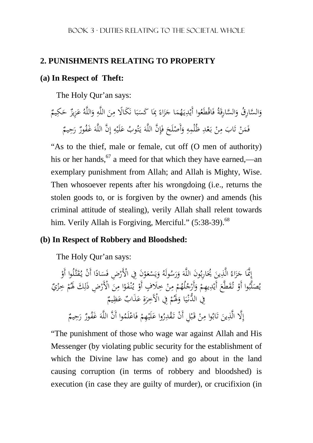#### **2. PUNISHMENTS RELATING TO PROPERTY**

## **(a) In Respect of Theft:**

The Holy Qur'an says:

ُق الس ِار َ ُ و َة الس ِارق َ و وا ُ ْطَع اق َ ف ا َ م ُ ه َ يـ ِ د ْ أَي ً اء َ ز َ ا ج َ ِ بم ا َ ب َ َ كس َ َك ًالا ن َ ن ِ م ِ الله ُ الله َ و ٌ ِزيز َ ع ٌ يم َكِ ح ْ ن َ َم اب ف َ َ ت ْ ن ِ م ِ د ْ ع َ بـ ِ ه ظُْلمِ َ َح ل ْ أَص َ ن ِ إ َ و ف َ وب الله ُ ُ ت َ ِ يـه ْ َي ل َ ع ن ِ إ َ الله ٌ ُور غَف ٌ يم َحِ ر

"As to the thief, male or female, cut off (O men of authority) his or her hands,  $67$  a meed for that which they have earned,—an exemplary punishment from Allah; and Allah is Mighty, Wise. Then whosoever repents after his wrongdoing (i.e., returns the stolen goods to, or is forgiven by the owner) and amends (his criminal attitude of stealing), verily Allah shall relent towards him. Verily Allah is Forgiving, Merciful." (5:38-39).<sup>68</sup>

## **(b) In Respect of Robbery and Bloodshed:**

The Holy Qur'an says:

إِنَّمَا جَزَاءُ الَّذِينَ يُحَارِبُونَ اللَّهَ وَرَسُولَهُ وَيَسْعَوْنَ فِي الْأَرْضِ فَسَادًا أَنْ يُقَتَّلُوا أَوْ<br>تَمَّــ أَوالِمَا تَسْمَعُونَ فِي الْمَاسَمِينَ مِنْ الْأَرْضِ فَسَيْرَ مِنْ مَاسَعَةٍ وَالْمَاسَمِينَ ءُ<br>ُ َ َ :<br>؟ ِ <u>ٔ</u> َ َ ْ َ .<br>. ي َ ر<br>ا ً .<br>. .<br>م ْ وا ُ ل ُص ي أَو َطع ُق تـ ِ يهم د أَي م ُ ُه ل ُ ْج أَر و ن َلا ٍف م ْ خ أَو ا َو ْف نـ ُ يـ ن م ِض ِ َك ْالأَر ذَل م ُ َ له ٌ ْي ز خِ ب  $\ddot{\phantom{0}}$ ْ  $\zeta$ ْ ِ <u>ب</u><br>: ْ َ .<br>-<br>-∕' ِ ْ َ ر<br>ا ِ ْ فِي الدُّنْيَا وَلَهُمْ فِي الْأَخِرَةِ عَذَابٌ عَظِيمٌ  $\ddot{\phantom{0}}$ ي .<br>. ْ َ َ َ إِلَّا الَّذِينَ تَابُوا مِنْ قَبْلِ أَنْ تَقْدِرُوا عَلَيْهِمْ فَاعْلَمُوا أَنَّ اللَّهَ غَفُورٌ رَحِيمٌ َ ِ ت<br>ا .<br>-<br>-ْ ب َ ِ ْ ْ َ **ٔ** َ

"The punishment of those who wage war against Allah and His Messenger (by violating public security for the establishment of which the Divine law has come) and go about in the land causing corruption (in terms of robbery and bloodshed) is execution (in case they are guilty of murder), or crucifixion (in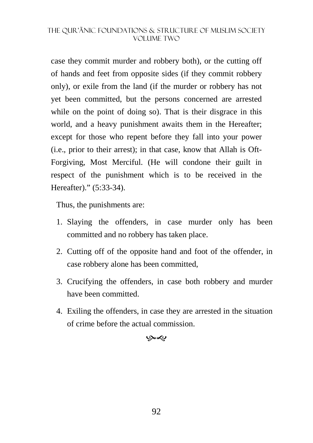case they commit murder and robbery both), or the cutting off of hands and feet from opposite sides (if they commit robbery only), or exile from the land (if the murder or robbery has not yet been committed, but the persons concerned are arrested while on the point of doing so). That is their disgrace in this world, and a heavy punishment awaits them in the Hereafter; except for those who repent before they fall into your power (i.e., prior to their arrest); in that case, know that Allah is Oft-Forgiving, Most Merciful. (He will condone their guilt in respect of the punishment which is to be received in the Hereafter)." (5:33-34).

Thus, the punishments are:

- 1. Slaying the offenders, in case murder only has been committed and no robbery has taken place.
- 2. Cutting off of the opposite hand and foot of the offender, in case robbery alone has been committed,
- 3. Crucifying the offenders, in case both robbery and murder have been committed.
- 4. Exiling the offenders, in case they are arrested in the situation of crime before the actual commission.

#### بهي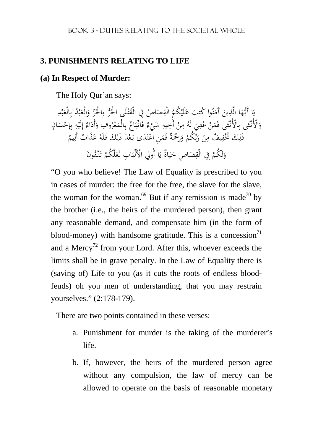#### **3. PUNISHMENTS RELATING TO LIFE**

#### **(a) In Respect of Murder:**

The Holy Qur'an says:

يَا أَيُّهَا الَّذِينَ آمَنُوا كُتِبَ عَلَيْكُمُ الْقِصَاصُ فِي الْقَتْلَى الْحُرُّ بِالْحُرَّ وَالْعَبْدُ بِالْعَبْدِ<br>وُوسط الْقَادِينَ آمَنُوا كُتِبَ عَلَيْكُمُ الْقِصَاصُ فِي الْقَتْلَى الْحُرُّ بِالْحُرَّ وَالْعَبْدُ یہ<br>ع َ :<br>ا ِ ن  $\overline{a}$ َ م<br>په ْ َ ِ  $\frac{1}{2}$ Ï. .<br>م ِ ب **:** ب َ َ ِ ْ ب َ ب وَالْأُنْثَى بِالْأُنْثَى فَمَنْ عُفِيَ لَهُ مِنْ أُخِيهِ شَيْءٌ فَاتِّبَاغٌ بِالْمَعْرُوفِ وَأَدَاءٌ إِلَيْهِ بِإِحْسَانٍ<br>يَانَ تَقْصُرُونَ مِنْ مُنْ عُفِيَ لَهُ مِنْ أُخِيهِ شَيْءٌ فَاتِّبَاغٌ بِالْمَعْرُوفِ وَأَدَاءٌ إ ث .<br>. َ ث .<br>. ِ<br>با ب .<br>-<br>-م<br>پر ِ<br>پ ِ .<br>-ِ ِم<br>ٍ ْ َ ُ ْ َ ب :<br>. َ ِم<br>ٍ ْ ٍٍ<br>ٍا  $\ddot{\phantom{0}}$ ِ<br>پ ب ذَلِكَ تَخْفِيفٌ مِنْ رَبِّكُمْ وَرَحْمَةٌ فَمَنِ اعْتَدَى بَعْدَ ذَلِكَ فَلَهُ عَذَابٌ أَلِيمٌ ِ ِ :<br>-ٍ<br>ื้ ْ بول ر<br>ـ َ َ  $\ddot{\phantom{0}}$ ا<br>ا ت ْ ا<br>ا ْ َ َ َ ؚ<br>ٳ ْ وَلَكُمْ فِي الْقِصَاصِ حَيَاةٌ يَا أُولِي الْأَلْبَابِ لَعَلَّكُمْ تَتَّقُونَ َ  $\ddot{\phantom{0}}$ َ ي َ يا<br>.  $\ddot{\cdot}$ <sup> $\mathbf$ </sup> َ َ

"O you who believe! The Law of Equality is prescribed to you in cases of murder: the free for the free, the slave for the slave, the woman for the woman.<sup>69</sup> But if any remission is made<sup>70</sup> by the brother (i.e., the heirs of the murdered person), then grant any reasonable demand, and compensate him (in the form of blood-money) with handsome gratitude. This is a concession<sup>71</sup> and a Mercy<sup>72</sup> from your Lord. After this, whoever exceeds the limits shall be in grave penalty. In the Law of Equality there is (saving of) Life to you (as it cuts the roots of endless bloodfeuds) oh you men of understanding, that you may restrain yourselves." (2:178-179).

There are two points contained in these verses:

- a. Punishment for murder is the taking of the murderer's life.
- b. If, however, the heirs of the murdered person agree without any compulsion, the law of mercy can be allowed to operate on the basis of reasonable monetary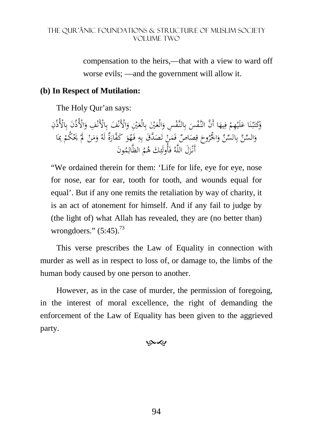compensation to the heirs,—that with a view to ward off worse evils; —and the government will allow it.

## **(b) In Respect of Mutilation:**

The Holy Qur'an says:

ا َ ن ْ بـَ َكت َ و ْ ِهم ْ َي ل َ ع ا َ ف أَن ِيه َ ْس ب ِس ِ النـف ْ َْ َين النـف الْع َ َْين <sup>و</sup> ِ ِالْع َف ب ْ ْالأَن َ ِف و ْ ْالأَن ِ ْالأُذُ َن ب َ و ْالأُذُنِ ِ ب الس ن َ الس و ن ِ ب َ وح ُ ر ُ ْ الج َ اص و ٌ َ ِص ق ْ ن َ َم د َق ف َ َص ت ِ ه ِ ب َ و ُ فـ ةٌ َه َ َكفار ُ لَه ْ ن َ م َ و ْ َ لم ْ ُكم ا يح َ ْ َ ِ بم َل َ ْز أَنـ ُ َك الله ِ أُولَئ َ ف ُ م ُ َون ه ُ م ِ الظال

"We ordained therein for them: 'Life for life, eye for eye, nose for nose, ear for ear, tooth for tooth, and wounds equal for equal'. But if any one remits the retaliation by way of charity, it is an act of atonement for himself. And if any fail to judge by (the light of) what Allah has revealed, they are (no better than) wrongdoers."  $(5:45)$ .<sup>73</sup>

This verse prescribes the Law of Equality in connection with murder as well as in respect to loss of, or damage to, the limbs of the human body caused by one person to another.

However, as in the case of murder, the permission of foregoing, in the interest of moral excellence, the right of demanding the enforcement of the Law of Equality has been given to the aggrieved party.

بهي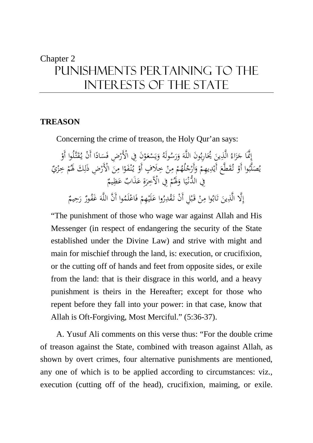## Chapter 2 PUNISHMENTS PER TAINING TO THE interests of the state

#### **TREASON**

Concerning the crime of treason, the Holy Qur'an says:

إِنَّمَا جَزَاءُ الَّذِينَ يُحَارِبُونَ اللَّهَ وَرَسُولَهُ وَيَسْعَوْنَ فِي الْأَرْضِ فَسَادًا أَنْ يُقَتَّلُوا أَوْ<br>تَمَّــ أَوالِمَا تَسْمَعُونَ فِي الْمَاسَمِينَ مِنْ الْأَرْضِ فَيَّسَمَعُونَ فِي الْمَوْضِ وَيَسْمَعُو ءَ اللَّذِينَ يُحَارِبُولَ اللَّهُ وَرَسُولُهُ وَيَسْتَعُولُ فِي الأَرْضِ فَسَادًا أَنْ يَا<br>نَهُ \* شَيَ \* فَي مُهُو مُسَبِّدَ : شَيْءٌ وَصَعَبَ الْمُؤْثَّلِ الْمُؤْثَّلِ الْمُؤْثَّلِ الْمُؤَثَّلِ الْمُؤ َ َ :<br>آ ِ <u>ٔ</u> ہ<br>. َ َ ْ َ .<br>. ي َ ر<br>ا <u>:</u> .<br>. .<br>م ْ وا ُ ل ُص ي أَو َطع ُق تـ ِ يهم د أَي م ُ ُه ل ُ ْج أَر و ن م َ لا ٍف خِ أَو ا َو ْف نـ ُ يـ ن م ِض ِ َك ْالأَر ذَل م ُ َ له ٌ ْي ز خِ ب  $\ddot{\phantom{0}}$ ْ  $\zeta$ ْ ِ <u>ب</u><br>: ْ َ .<br>-<br>-∕' **ٔ** ْ َ ر<br>أ ِ ْ فِي الدُّنْيَا وَلَهُمْ فِي الْأَخِرَةِ عَذَابٌ عَظِيمٌ  $\ddot{\phantom{0}}$ ي .<br>. ْ َ َ َ إِلَّا الَّذِينَ تَابُوا مِنْ قَبْلِ أَنْ تَقْدِرُوا عَلَيْهِمْ فَاعْلَمُوا أَنَّ اللَّهَ غَفُورٌ رَحِيمٌ َ ِ <u>ت</u> .<br>-<br>-ْ ب َ ِ ْ ْ َ **ٔ** َ

"The punishment of those who wage war against Allah and His Messenger (in respect of endangering the security of the State established under the Divine Law) and strive with might and main for mischief through the land, is: execution, or crucifixion, or the cutting off of hands and feet from opposite sides, or exile from the land: that is their disgrace in this world, and a heavy punishment is theirs in the Hereafter; except for those who repent before they fall into your power: in that case, know that Allah is Oft-Forgiving, Most Merciful." (5:36-37).

A. Yusuf Ali comments on this verse thus: "For the double crime of treason against the State, combined with treason against Allah, as shown by overt crimes, four alternative punishments are mentioned, any one of which is to be applied according to circumstances: viz., execution (cutting off of the head), crucifixion, maiming, or exile.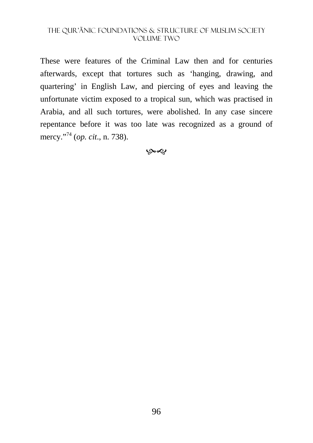These were features of the Criminal Law then and for centuries afterwards, except that tortures such as 'hanging, drawing, and quartering' in English Law, and piercing of eyes and leaving the unfortunate victim exposed to a tropical sun, which was practised in Arabia, and all such tortures, were abolished. In any case sincere repentance before it was too late was recognized as a ground of mercy."<sup>74</sup> (*op. cit*., n. 738).

صحب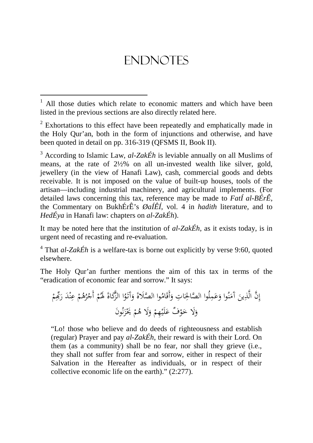# ENDNOTES

<u>.</u> 1 All those duties which relate to economic matters and which have been listed in the previous sections are also directly related here.

 $2^{2}$  Exhortations to this effect have been repeatedly and emphatically made in the Holy Qur'an, both in the form of injunctions and otherwise, and have been quoted in detail on pp. 316-319 (QFSMS II, Book II).

<sup>3</sup> According to Islamic Law, *al-ZakÉh* is leviable annually on all Muslims of means, at the rate of 2½% on all un-invested wealth like silver, gold, jewellery (in the view of Hanafi Law), cash, commercial goods and debts receivable. It is not imposed on the value of built-up houses, tools of the artisan—including industrial machinery, and agricultural implements. (For detailed laws concerning this tax, reference may be made to *FatÍ al-BÉrÊ*, the Commentary on BukhÉrÊ's *ØaÍÊÍ*, vol. 4 in *hadith* literature, and to *HedÉya* in Hanafi law: chapters on *al-ZakÉh*).

It may be noted here that the institution of *al-ZakÉh*, as it exists today, is in urgent need of recasting and re-evaluation.

<sup>4</sup> That *al-ZakÉh* is a welfare-tax is borne out explicitly by verse 9:60, quoted elsewhere.

The Holy Qur'an further mentions the aim of this tax in terms of the "eradication of economic fear and sorrow." It says:

ن ِ إ َ ين ِ ال وا ذ ُ ن َ ُوا آَم ل َمِ ع َ ِ ات و َ الصالحِ وا ُ ام َ أَق َ ا َ و الصَلاة ُ َو آَتـ َ َ و َكاة الز ْ م ُ َ له ْ م ُ ه ُ ر ْ أَج َ ْد ن عِ ْ م ِ َ ر َلا َ ٌف و ْ و َ ْ خ ِهم ْ َي ل َ ع َلا َ و ْ م ُ ُ َون ه ن َ ز ْ َيح

"Lo! those who believe and do deeds of righteousness and establish (regular) Prayer and pay *al-ZakÉh*, their reward is with their Lord. On them (as a community) shall be no fear, nor shall they grieve (i.e., they shall not suffer from fear and sorrow, either in respect of their Salvation in the Hereafter as individuals, or in respect of their collective economic life on the earth)." (2:277).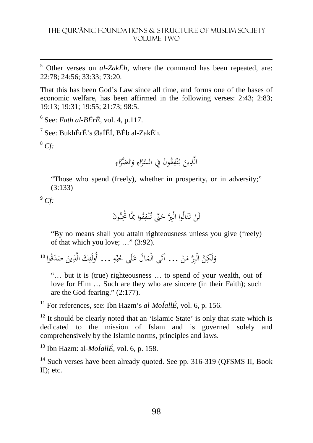<sup>5</sup> Other verses on *al-ZakÉh*, where the command has been repeated, are: 22:78; 24:56; 33:33; 73:20.

That this has been God's Law since all time, and forms one of the bases of economic welfare, has been affirmed in the following verses: 2:43; 2:83; 19:13; 19:31; 19:55; 21:73; 98:5.

6 See: *Fath al-BÉrÊ*, vol. 4, p.117.

7 See: BukhÉrÊ's ØaÍÊÍ, BÉb al-ZakÉh.

<sup>8</sup> *Cf:* 

َ ين ِ ُ َون الذ ق ِ ْف ن ُ في يـ ِ ِ اء السر ِ اء الضر َ و

"Those who spend (freely), whether in prosperity, or in adversity;" (3:133)

<sup>9</sup> *Cf:* 

ْ لَن الُوا َ ن َ تـ الْ تى ِبر َ ح وا ُ ق ِ ْف ن ُ ِ تـ ا َون مم ب ُتحِ

"By no means shall you attain righteousness unless you give (freely) of that which you love; …" (3:92).

وَلَكِنَّ الْبِرَّ مَنْ ... آَتَى الْمَالَ عَلَى حُبِّهِ ... أُولَئِكَ الَّذِينَ صَدَقُوا <sup>10</sup> ِ :<br>ا ِ ا<br>ا  $\overline{\phantom{a}}$  $\overline{a}$ َ ً ب َ .<br>-َ

"… but it is (true) righteousness … to spend of your wealth, out of love for Him … Such are they who are sincere (in their Faith); such are the God-fearing." (2:177).

<sup>11</sup> For references, see: Ibn Hazm's  $al$ -*MoÍallÉ*, vol. 6, p. 156.

 $12$  It should be clearly noted that an 'Islamic State' is only that state which is dedicated to the mission of Islam and is governed solely and comprehensively by the Islamic norms, principles and laws.

<sup>13</sup> Ibn Hazm: al-*MoÍallÉ,* vol. 6, p. 158.

<sup>14</sup> Such verses have been already quoted. See pp. 316-319 (QFSMS II, Book II); etc.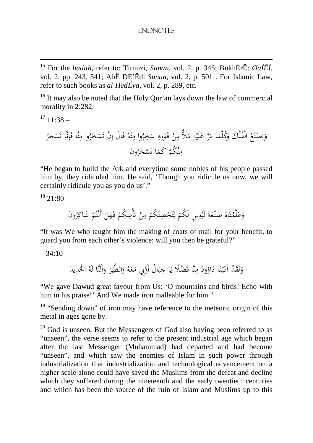<sup>15</sup> For the *hadith*, refer to: Tirmizi, *Sunan*, vol. 2, p. 345; BukhÉrÊ: *ØaÍÊÍ*, vol. 2, pp. 243, 541; AbË DÉ'Ëd: *Sunan*, vol. 2, p. 501 . For Islamic Law, refer to such books as *al*-*HedÉya*, vol. 2, p. 289, etc.

<sup>16</sup> It may also be noted that the Holy Our'an lays down the law of commercial morality in 2:282.

<sup>17</sup> 11:38 – ُ َع َ ْصن ي َ َك و ُْل الْف ا َ ُكلم َ و ر َ م ِ ه ْ َي ل َ ع َلأٌ َ م ْ ن ِ م ِ ه ِ م ْ َو قـ وا ُ ِخر َ ُ س ْه ن َ م َال ِ ْن ق ِ إ وا ُ ر َ ْخ َس ت نا ِ ا م ن ِ إ َ ف ُ ر َ ْخ َس ن ْ ْ ُكم ن ِ م ا َ َ كم َون ُ ر َ ْخ َس ت

"He began to build the Ark and everytime some nobles of his people passed him by, they ridiculed him. He said, 'Though you ridicule us now, we will certainly ridicule you as you do us'."

 $1821.80 -$ 

<u>.</u>

ُ اه َ ن ْ لم َ ع َ َ و ة َ ْع نـ َ ص ٍوس ُ لَب ْ لَ ُكم ْ ُكم َ ِصن ْ ُح ت ِ ل ْ ن ِ م ْ ُكم أْسِ َ ب ْ َل َه فـ ْ ُم ت ْ َون أَنـ ُ ر َشاكِ

"It was We who taught him the making of coats of mail for your benefit, to guard you from each other's violence: will you then be grateful?"

 $34 \cdot 10 -$ 

َ ْد لَق َ و ا َ ن ْ يـ َ آَتـ َ ود ُ او َ د نا َ ْض م ًلا ِ ف ا َ ي ُ ال َ ب ُ أَو ج ِبي ِ ه َ ع َ م َ ر ْ الطيـ َ و أَلَنا َ و ُ لَه َ ِيد د َ ْ الح

"We gave Dawud great favour from Us: 'O mountains and birds! Echo with him in his praise!' And We made iron malleable for him."

<sup>19</sup> "Sending down" of iron may have reference to the meteoric origin of this metal in ages gone by.

 $20$  God is unseen. But the Messengers of God also having been referred to as "unseen", the verse seems to refer to the present industrial age which began after the last Messenger (Muhammad) had departed and had become "unseen", and which saw the enemies of Islam in such power through industrialization that industrialization and technological advancement on a higher scale alone could have saved the Muslims from the defeat and decline which they suffered during the nineteenth and the early twentieth centuries and which has been the source of the ruin of Islam and Muslims up to this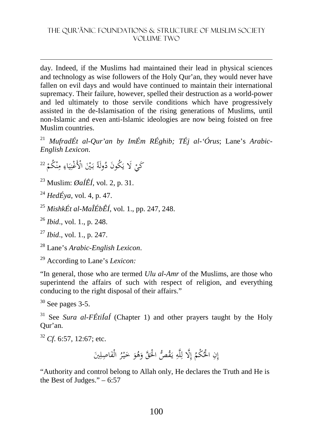day. Indeed, if the Muslims had maintained their lead in physical sciences and technology as wise followers of the Holy Qur'an, they would never have fallen on evil days and would have continued to maintain their international supremacy. Their failure, however, spelled their destruction as a world-power and led ultimately to those servile conditions which have progressively assisted in the de-Islamisation of the rising generations of Muslims, until non-Islamic and even anti-Islamic ideologies are now being foisted on free Muslim countries.

<sup>21</sup> *MufradÉt al-Qur'an by ImÉm RÉghib; TÉj al-'Órus*; Lane's *Arabic-English Lexicon*.

كَيْ لَا يَكُونَ دُولَةً بَيْنَ الْأَغْنِيَاءِ مِنْكُمْ <sup>22</sup> .<br>. يا<br>. ي ة<br>أ ِ ∶' ي ِ ْ ن ِ<br>ِم

<sup>23</sup> Muslim: *ØaÍÊÍ*, vol. 2, p. 31.

<sup>24</sup> *HedÉya*, vol. 4, p. 47.

<u>.</u>

<sup>25</sup> *MishkÉt al-MaÎÉbÊÍ*, vol. 1., pp. 247, 248.

<sup>26</sup> *Ibid*., vol. 1., p. 248.

<sup>27</sup> *Ibid*., vol. 1., p. 247.

<sup>28</sup> Lane's *Arabic-English Lexicon*.

<sup>29</sup> According to Lane's *Lexicon:*

"In general, those who are termed *Ulu al-Amr* of the Muslims, are those who superintend the affairs of such with respect of religion, and everything conducing to the right disposal of their affairs."

 $30$  See pages 3-5.

<sup>31</sup> See *Sura al-FÉtiÍaÍ* (Chapter 1) and other prayers taught by the Holy Qur'an.

<sup>32</sup> *Cf*. 6:57, 12:67; etc.

إِنِ الْحُكْمُ إِلَّا لِلَّهِ يَقْصُّ الْحَقَّ وَهُوَ خَيْرُ الْفَاصِلِينَ ِ ِ بہ<br>ا َ َ َ ْ َ ِ .<br>م

"Authority and control belong to Allah only, He declares the Truth and He is the Best of Judges." – 6:57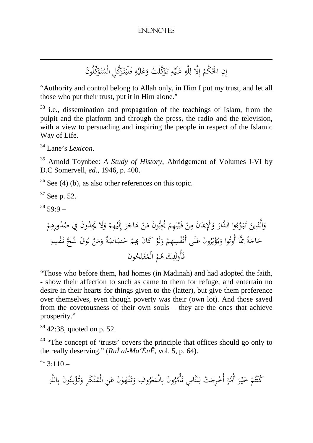إِنِ الْحُكْمُ إِلَّا لِلَّهِ عَلَيْهِ تَوَكَّلْتُ وَعَلَيْهِ فَلْيَتَوَكَّلِ الْمُتَوَكِّلُونَ ِ<br>ٍ ٳ ⊿<br>ٍ ْ َ َ ْ َ َ َ  $\ddot{\phantom{0}}$ َ َ

"Authority and control belong to Allah only, in Him I put my trust, and let all those who put their trust, put it in Him alone."

<sup>33</sup> i.e., dissemination and propagation of the teachings of Islam, from the pulpit and the platform and through the press, the radio and the television, with a view to persuading and inspiring the people in respect of the Islamic Way of Life.

<sup>34</sup> Lane's *Lexicon.*

<sup>35</sup> Arnold Toynbee: *A Study of History*, Abridgement of Volumes I-VI by D.C Somervell, *ed*., 1946, p. 400.

 $36$  See (4) (b), as also other references on this topic.

 $37$  See p. 52.

 $3859·9$  –

<u>.</u>

َ ين ِ الذ َ و وا ُ وء َ بـ َ تـ َ ان الدار َ َ ْالإِيم َ و ْ ن ِ م ْ ِهم ِ ل ْ ب َ َون قـب ُ يحِ ْ ن َ م َ ر َ اج َ ه ْ ِهم ْ لَي َلا إ ِ َ ُ َون و د َيجِ في ِ ْ م ِ ِوره ُ د ُ ص ً ة َ اج َ ح ا ِ مم وا ُ َون أُوت ُ ر ِ ث ْ ؤ ُ يـ َ َى و ل َ ع ْ ِهم ُسِ ْف أَنـ ْ لَو َ ان و َ ك َ ْ م ِِ ٌ ة َ اص َ َص ْ خ ن َ م َ َوق و ُ ش ح ْ ي ُ َف نـ ِ ه سِ َك ِ أُولَئ َ ف ُ م ُ َون ه ُ ح ِ ل ْ ف ُ الْم

"Those who before them, had homes (in Madinah) and had adopted the faith, - show their affection to such as came to them for refuge, and entertain no desire in their hearts for things given to the (latter), but give them preference over themselves, even though poverty was their (own lot). And those saved from the covetousness of their own souls – they are the ones that achieve prosperity."

 $39$  42:38, quoted on p. 52.

<sup>40</sup> "The concept of 'trusts' covers the principle that offices should go only to the really deserving." (*RuÍ al-Ma'ÉnÊ*, vol. 5, p. 64).

 $41$  3:110 –

ْ كْنْتُمْ خَيْرَ أُمَّةٍ أُخْرِجَتْ لِلنَّاسِ تَأْمُرُونَ بِالْمَعْرُوفِ وَتَنْهَوْنَ عَنِ الْمُنْكَرِ وَتُؤْمِنُونَ بِاللَّهِ ت **ٔ** َ **∶** َ <u>ۃ</u> َ ْ ٍ<br>م ْ  $\epsilon$ ت<br>ا َ َ **ٔ** ن ن ِ ْ َ ⊿<br>≀ ب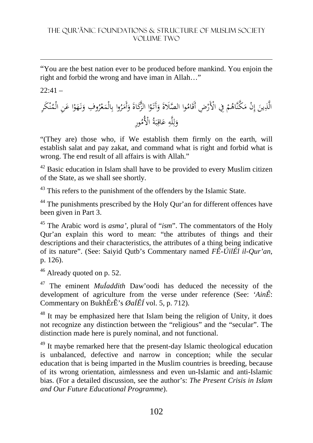"You are the best nation ever to be produced before mankind. You enjoin the right and forbid the wrong and have iman in Allah…"

 $22:41 -$ 

<u>.</u>

:<br>ا الَّذِينَ إِنْ مَكَّنَاهُمْ فِي الْأَرْضِ أَقَامُوا الصَّلَاةَ وَأَتَوُا الزَّكَاةَ وَأَمَرُوا بِالْمَعْرُوفِ وَنَهَوْا عَنِ الْمُنْكَرِ ِ ِ ْ ر<br>( َ ة<br>م ا َ  $\overline{\phantom{a}}$ َ ْ  $\ddot{\phantom{0}}$ ْ َ َ َ **:** ن <u>ہ</u> وَلِلَّهِ عَاقِبَةُ الْأُمُورِ ِ<br>ل ل َ  $\ddot{\cdot}$ ب ِ َ

"(They are) those who, if We establish them firmly on the earth, will establish salat and pay zakat, and command what is right and forbid what is wrong. The end result of all affairs is with Allah."

 $42$  Basic education in Islam shall have to be provided to every Muslim citizen of the State, as we shall see shortly.

<sup>43</sup> This refers to the punishment of the offenders by the Islamic State.

<sup>44</sup> The punishments prescribed by the Holy Our'an for different offences have been given in Part 3.

<sup>45</sup> The Arabic word is *asma'*, plural of "*ism*". The commentators of the Holy Qur'an explain this word to mean: "the attributes of things and their descriptions and their characteristics, the attributes of a thing being indicative of its nature". (See: Saiyid Qutb's Commentary named *FÊ-ÚilÉl il-Qur'an*, p. 126).

<sup>46</sup> Already quoted on p. 52.

<sup>47</sup> The eminent *MuÍaddith* Daw'oodi has deduced the necessity of the development of agriculture from the verse under reference (See: *'AinÊ*: Commentary on BukhÉrÊ's *ØaÍÊÍ* vol. 5, p. 712).

<sup>48</sup> It may be emphasized here that Islam being the religion of Unity, it does not recognize any distinction between the "religious" and the "secular". The distinction made here is purely nominal, and not functional.

<sup>49</sup> It maybe remarked here that the present-day Islamic theological education is unbalanced, defective and narrow in conception; while the secular education that is being imparted in the Muslim countries is breeding, because of its wrong orientation, aimlessness and even un-Islamic and anti-Islamic bias. (For a detailed discussion, see the author's: *The Present Crisis in Islam and Our Future Educational Programme*).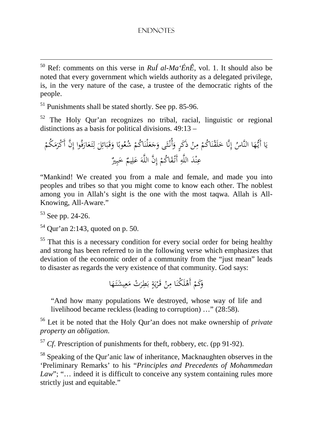#### **ENDNOTES**

<sup>50</sup> Ref: comments on this verse in  $RuI$  al-Ma'ÉnÊ, vol. 1. It should also be noted that every government which wields authority as a delegated privilege, is, in the very nature of the case, a trustee of the democratic rights of the people.

<sup>51</sup> Punishments shall be stated shortly. See pp. 85-96.

<sup>52</sup> The Holy Our'an recognizes no tribal, racial, linguistic or regional distinctions as a basis for political divisions. 49:13 –

يَا أَيُّهَا النَّاسُ إِنَّا خَلَقْنَاكُمْ مِنْ ذَكَرٍ وَأُنْثَى وَجَعَلْنَاكُمْ شُعُوبًا وَقَبَائِلَ لِتَعَارَفُوا إِنَّ أَكْرَمَكُمْ يا<br>. َ ْ ن ِ<br>مُ َ ِم ئة<br>أ ث .<br>. َ ْ َ َ َ ً َ ِ<br>ئا  $\ddot{\cdot}$ ب َ َ َ َ ً<br>أ ِ ْ َ َ َ عِنْدَ اللَّهِ أَتْقَاكُمْ إِنَّ اللَّهَ عَلِيمٌ خَبِيرٌ ن <u>ہ</u> ْ َ ِ َ ب َ

"Mankind! We created you from a male and female, and made you into peoples and tribes so that you might come to know each other. The noblest among you in Allah's sight is the one with the most taqwa. Allah is All-Knowing, All-Aware."

<sup>53</sup> See pp. 24-26.

<u>.</u>

 $54$  Our'an 2:143, quoted on p. 50.

<sup>55</sup> That this is a necessary condition for every social order for being healthy and strong has been referred to in the following verse which emphasizes that deviation of the economic order of a community from the "just mean" leads to disaster as regards the very existence of that community. God says:

> ْ وَكَمْ أَهْلَكْنَا مِنْ قَرْيَةٍ بَطِرَتْ مَعِيشَتَهَا َ  $\ddot{\phantom{0}}$ ð. .<br>-ِم<br>ِ <u>ہ</u> یا<br>: ي ر<br>. َ َ َ .<br>أ ِ  $\overline{a}$

"And how many populations We destroyed, whose way of life and livelihood became reckless (leading to corruption) …" (28:58).

<sup>56</sup> Let it be noted that the Holy Qur'an does not make ownership of *private property an obligation*.

<sup>57</sup> *Cf*. Prescription of punishments for theft, robbery, etc. (pp 91-92).

<sup>58</sup> Speaking of the Qur'anic law of inheritance, Macknaughten observes in the 'Preliminary Remarks' to his "*Principles and Precedents of Mohammedan Law*"; "... indeed it is difficult to conceive any system containing rules more strictly just and equitable."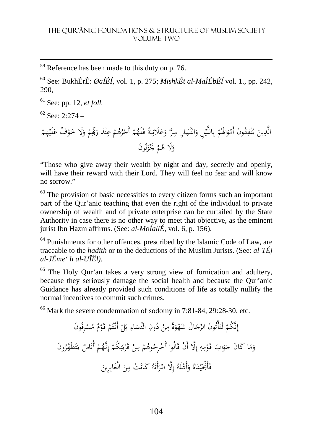<sup>59</sup> Reference has been made to this duty on p. 76.

<sup>60</sup> See: BukhÉrÊ: *ØaÍÊÍ*, vol. 1, p. 275; *MishkÉt al-MaÎÉbÊÍ* vol. 1., pp. 242, 290,

<sup>61</sup> See: pp. 12, *et foll.*

 $62$  See: 2:274 –

<u>.</u>

 $\ddot{\phantom{0}}$ الَّذِينَ يُنْفِقُونَ أَمْوَالَهُمْ بِاللَّيْلِ وَالنَّهَارِ سِرًّا وَعَلَانِيَةً فَلَهُمْ أَجْرُهُمْ عِنْدَ رَبِّمِمْ وَلَا خَوْفٌ عَلَيْهِمْ ِ ِ ن ْ َ **ا** ْ ي َ َ ًة<br>م ∶' ي  $\ddot{\mathbf{u}}$ َ َ ْ َ ْ ْ ا<br>ا ن ْ ر<br>ا َ ْ َ ْ َ وَلَا هُـمْ يَحْزَنُونَ َ ْ ن َ <u>ٔ</u>

"Those who give away their wealth by night and day, secretly and openly, will have their reward with their Lord. They will feel no fear and will know no sorrow."

 $63$  The provision of basic necessities to every citizen forms such an important part of the Qur'anic teaching that even the right of the individual to private ownership of wealth and of private enterprise can be curtailed by the State Authority in case there is no other way to meet that objective, as the eminent jurist Ibn Hazm affirms. (See: *al-MoÍallÉ*, vol. 6, p. 156).

<sup>64</sup> Punishments for other offences. prescribed by the Islamic Code of Law, are traceable to the *hadith* or to the deductions of the Muslim Jurists. (See: *al-TÉj al-JÉme' li al-UÎËl).* 

<sup>65</sup> The Holy Qur'an takes a very strong view of fornication and adultery, because they seriously damage the social health and because the Qur'anic Guidance has already provided such conditions of life as totally nullify the normal incentives to commit such crimes.

 $66$  Mark the severe condemnation of sodomy in 7:81-84, 29:28-30, etc.

ْ ن ُكم ِ ُ َون إ أْت َ لَت َال َ ج ً الر ة َ و ْ شه َ ْ ن ِ م ونِ ُ د ِ اء َ النس ْ ل َ ب ْ ُم ت ْ أَنـ ٌ م ْ َو ُ َون قـ ِرف ْ ُس م ا َ م َ ان و اب َ ك َ َ َ و َ ج ِ ه ِ م ْ قـ لا َو ِ ْ أَن إ الُوا َ ق ْ م ُ وه ُ ِرج ْ أَخ ْ ن ِ م ْ ُكم ِ ت َ ي ْ َر قـ ْ م ُ ِنـه إ ٌ اس َ َون أُن ُ َطَهر ت َ يـُ اه َ ن ْ يـَ أَنجْ َ ف ُ َه ل ْ أَه َ ِلا و إ ُ َه أَت َ ر ْ َ ْت ام َكان َ ن ِ م َ ِِرين اب َ الْغ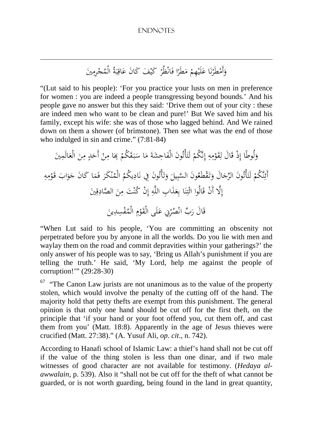وَأَمْطَرْنَا عَلَيْهِمْ مَطَرًا فَانْظُرْ كَيْفَ كَانَ عَاقِبَةُ الْمُجْرِمِينَ :<br>: ن ر<br>أ َ ْ ْ َ ً َ ر<br>( َ ي  $\ddot{\cdot}$ ب ِ َ ِم **ٔ** 

<u>.</u>

"(Lut said to his people): 'For you practice your lusts on men in preference for women : you are indeed a people transgressing beyond bounds.' And his people gave no answer but this they said: 'Drive them out of your city : these are indeed men who want to be clean and pure!' But We saved him and his family, except his wife: she was of those who lagged behind. And We rained down on them a shower (of brimstone). Then see what was the end of those who indulged in sin and crime."  $(7.81-84)$ 

لُوطًا َ َ َال ْذ ق ِ و إ ِ ه ِ م ْ َو ق ِ ل ْ ن ُكم ِ ُ َون إ أْت َ لَت َ َشة احِ َ الْف ا َ م ْ َ ُكم ق َ بـ َ َ س ا ِ ْ ن ِ م ٍ د َ أَح َ ن ِ َين م الَمِ َ الْع ْ ُ نكم ِ ُ َون أَئ أْت َ لَت َال َ ج َون الر ُ ْطَع َق تـَ و َ ِيل الس ُ َون ب أْت َ ت َ في و ِ ُ ُ يكم ِ اد َ ن الْ َ ْ َكر ن ُ م ا َ َم ان ف اب َ ك َ َ َ و َ ج ِ ه ِ م ْ َو قـ ِلا ْ أَن إ الُوا َ ا ق َ ن ِ ت ْ َذ ِ اب ائ َ ع ب ِ ِ ْن الله ِ َت إ ْ ُ كن َ ن ِ َين م ِ ق ِ الصاد َ َال ب ق َ ِني ر ْ ر ُ َ ان ى ْص ل َ ع ِ م ْ َو الْق َ ين ِ د ْسِ ف ُ الْم

"When Lut said to his people, 'You are committing an obscenity not perpetrated before you by anyone in all the worlds. Do you lie with men and waylay them on the road and commit depravities within your gatherings?' the only answer of his people was to say, 'Bring us Allah's punishment if you are telling the truth.' He said, 'My Lord, help me against the people of corruption!'" (29:28-30)

 $67$  "The Canon Law jurists are not unanimous as to the value of the property stolen, which would involve the penalty of the cutting off of the hand. The majority hold that petty thefts are exempt from this punishment. The general opinion is that only one hand should be cut off for the first theft, on the principle that 'if your hand or your foot offend you, cut them off, and cast them from you' (Matt. 18:8). Apparently in the age of Jesus thieves were crucified (Matt. 27:38)." (A. Yusuf Ali, *op. cit*., n. 742).

According to Hanafi school of Islamic Law: a thief's hand shall not be cut off if the value of the thing stolen is less than one dinar, and if two male witnesses of good character are not available for testimony. (*Hedaya alawwalain*, p. 539). Also it "shall not be cut off for the theft of what cannot be guarded, or is not worth guarding, being found in the land in great quantity,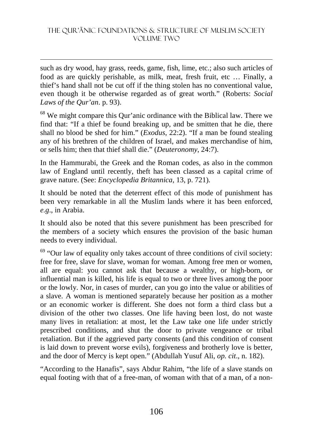<u>.</u>

such as dry wood, hay grass, reeds, game, fish, lime, etc.; also such articles of food as are quickly perishable, as milk, meat, fresh fruit, etc … Finally, a thief's hand shall not be cut off if the thing stolen has no conventional value, even though it be otherwise regarded as of great worth." (Roberts: *Social Laws of the Qur'an*. p. 93).

<sup>68</sup> We might compare this Qur'anic ordinance with the Biblical law. There we find that: "If a thief be found breaking up, and be smitten that he die, there shall no blood be shed for him." (*Exodus*, 22:2). "If a man be found stealing any of his brethren of the children of Israel, and makes merchandise of him, or sells him; then that thief shall die." (*Deuteronomy*, 24:7).

In the Hammurabi, the Greek and the Roman codes, as also in the common law of England until recently, theft has been classed as a capital crime of grave nature. (See: *Encyclopedia Britannica*, 13, p. 721).

It should be noted that the deterrent effect of this mode of punishment has been very remarkable in all the Muslim lands where it has been enforced, *e.g*., in Arabia.

It should also be noted that this severe punishment has been prescribed for the members of a society which ensures the provision of the basic human needs to every individual.

 $69$  "Our law of equality only takes account of three conditions of civil society: free for free, slave for slave, woman for woman. Among free men or women, all are equal: you cannot ask that because a wealthy, or high-born, or influential man is killed, his life is equal to two or three lives among the poor or the lowly. Nor, in cases of murder, can you go into the value or abilities of a slave. A woman is mentioned separately because her position as a mother or an economic worker is different. She does not form a third class but a division of the other two classes. One life having been lost, do not waste many lives in retaliation: at most, let the Law take one life under strictly prescribed conditions, and shut the door to private vengeance or tribal retaliation. But if the aggrieved party consents (and this condition of consent is laid down to prevent worse evils), forgiveness and brotherly love is better, and the door of Mercy is kept open." (Abdullah Yusuf Ali, *op. cit*., n. 182).

"According to the Hanafis", says Abdur Rahim, "the life of a slave stands on equal footing with that of a free-man, of woman with that of a man, of a non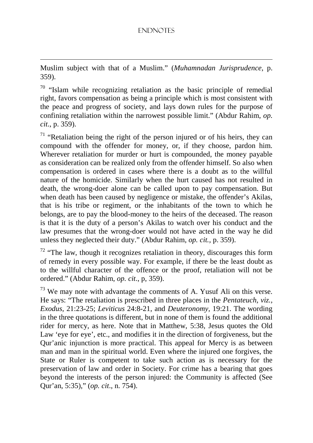Muslim subject with that of a Muslim." (*Muhamnadan Jurisprudence*, p. 359).

<u>.</u>

<sup>70</sup> "Islam while recognizing retaliation as the basic principle of remedial right, favors compensation as being a principle which is most consistent with the peace and progress of society, and lays down rules for the purpose of confining retaliation within the narrowest possible limit." (Abdur Rahim, *op. cit*., p. 359).

 $71$  "Retaliation being the right of the person injured or of his heirs, they can compound with the offender for money, or, if they choose, pardon him. Wherever retaliation for murder or hurt is compounded, the money payable as consideration can be realized only from the offender himself. So also when compensation is ordered in cases where there is a doubt as to the willful nature of the homicide. Similarly when the hurt caused has not resulted in death, the wrong-doer alone can be called upon to pay compensation. But when death has been caused by negligence or mistake, the offender's Akilas, that is his tribe or regiment, or the inhabitants of the town to which he belongs, are to pay the blood-money to the heirs of the deceased. The reason is that it is the duty of a person's Akilas to watch over his conduct and the law presumes that the wrong-doer would not have acted in the way he did unless they neglected their duty." (Abdur Rahim, *op. cit.,* p. 359).

 $72$  "The law, though it recognizes retaliation in theory, discourages this form of remedy in every possible way. For example, if there be the least doubt as to the willful character of the offence or the proof, retaliation will not be ordered." (Abdur Rahim, *op. cit*., p, 359).

 $^{73}$  We may note with advantage the comments of A. Yusuf Ali on this verse. He says: "The retaliation is prescribed in three places in the *Pentateuch, viz., Exodus,* 21:23-25; *Leviticus* 24:8-21, and *Deuteronomy,* 19:21. The wording in the three quotations is different, but in none of them is found the additional rider for mercy, as here. Note that in Matthew, 5:38, Jesus quotes the Old Law 'eye for eye', etc., and modifies it in the direction of forgiveness, but the Qur'anic injunction is more practical. This appeal for Mercy is as between man and man in the spiritual world. Even where the injured one forgives, the State or Ruler is competent to take such action as is necessary for the preservation of law and order in Society. For crime has a bearing that goes beyond the interests of the person injured: the Community is affected (See Qur'an, 5:35)," (*op. cit*., n. 754).